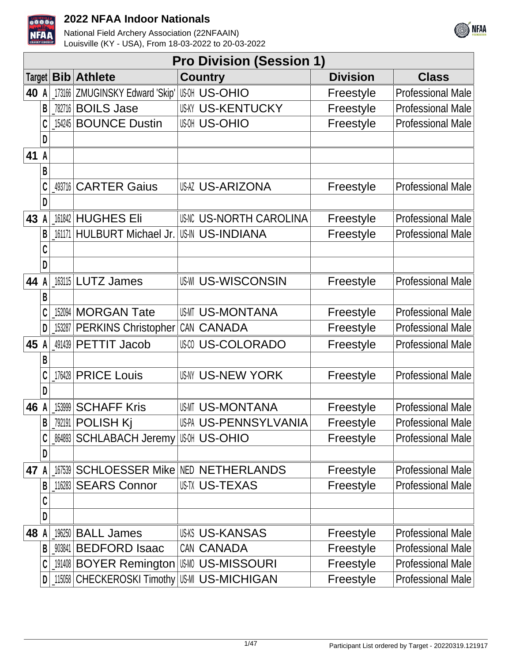



|               |   |            |                                        | <b>Pro Division (Session 1)</b>        |                 |                          |
|---------------|---|------------|----------------------------------------|----------------------------------------|-----------------|--------------------------|
| <b>Target</b> |   | <b>Bib</b> | <b>Athlete</b>                         | <b>Country</b>                         | <b>Division</b> | <b>Class</b>             |
| 40            | A | 173166     | ZMUGINSKY Edward 'Skip'                | <b>US-OHIO</b>                         | Freestyle       | <b>Professional Male</b> |
|               | B |            | 782716 <b>BOILS Jase</b>               | <b>US-KY US-KENTUCKY</b>               | Freestyle       | <b>Professional Male</b> |
|               | C | 154245     | <b>BOUNCE Dustin</b>                   | <b>US-OHIO</b>                         | Freestyle       | <b>Professional Male</b> |
|               | D |            |                                        |                                        |                 |                          |
| 41 A          |   |            |                                        |                                        |                 |                          |
|               | B |            |                                        |                                        |                 |                          |
|               |   | 493716     | <b>CARTER Gaius</b>                    | <b>US-ARIZONA</b>                      | Freestyle       | <b>Professional Male</b> |
|               | D |            |                                        |                                        |                 |                          |
| 43            |   |            | 161842 HUGHES Eli                      | <b>US-NORTH CAROLINA</b>               | Freestyle       | <b>Professional Male</b> |
|               | B | 161171     | HULBURT Michael Jr.                    | <b>US-IN US-INDIANA</b>                | Freestyle       | <b>Professional Male</b> |
|               |   |            |                                        |                                        |                 |                          |
|               | D |            |                                        |                                        |                 |                          |
| 44            |   |            | 163115 LUTZ James                      | <b>US-WI US-WISCONSIN</b>              | Freestyle       | <b>Professional Male</b> |
|               | B |            |                                        |                                        |                 |                          |
|               |   | 152094     | <b>MORGAN Tate</b>                     | <b>US-MI US-MONTANA</b>                | Freestyle       | <b>Professional Male</b> |
|               | D |            | 153287 PERKINS Christopher CAN CANADA  |                                        | Freestyle       | <b>Professional Male</b> |
| 45            |   |            | 491439 PETTIT Jacob                    | <b>US-COLORADO</b>                     | Freestyle       | <b>Professional Male</b> |
|               | B |            |                                        |                                        |                 |                          |
|               | C | 176428     | <b>PRICE Louis</b>                     | <b>US-NY US-NEW YORK</b>               | Freestyle       | <b>Professional Male</b> |
|               | D |            |                                        |                                        |                 |                          |
| 46            |   | 153999     | <b>SCHAFF Kris</b>                     | <b>US-MI US-MONTANA</b>                | Freestyle       | <b>Professional Male</b> |
|               | B |            | 792191   POLISH Kj                     | US-PA US-PENNSYLVANIA                  | Freestyle       | <b>Professional Male</b> |
|               | C | 864893     | <b>SCHLABACH Jeremy US-MI US-OHIO</b>  |                                        | Freestyle       | <b>Professional Male</b> |
|               | D |            |                                        |                                        |                 |                          |
| 47            |   | 167539     |                                        | <b>SCHLOESSER Mike NED NETHERLANDS</b> | Freestyle       | <b>Professional Male</b> |
|               | B |            | 116283 SEARS Connor                    | <b>USTX US-TEXAS</b>                   | Freestyle       | <b>Professional Male</b> |
|               | C |            |                                        |                                        |                 |                          |
|               | D |            |                                        |                                        |                 |                          |
| 48            |   |            | 196250   BALL James                    | <b>US-KS US-KANSAS</b>                 | Freestyle       | <b>Professional Male</b> |
|               | B | 903841     | <b>BEDFORD Isaac</b>                   | CAN CANADA                             | Freestyle       | <b>Professional Male</b> |
|               | C |            | 191408 BOYER Remington USM US-MISSOURI |                                        | Freestyle       | <b>Professional Male</b> |
|               | D | 115058     | CHECKEROSKI Timothy US-MICHIGAN        |                                        | Freestyle       | Professional Male        |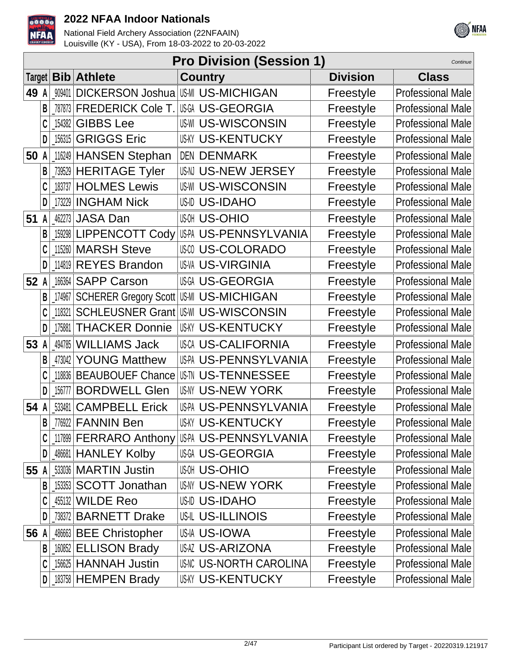



|        | <b>Pro Division (Session 1)</b><br>Continue |        |                                   |                                                  |                 |                          |  |  |  |  |
|--------|---------------------------------------------|--------|-----------------------------------|--------------------------------------------------|-----------------|--------------------------|--|--|--|--|
| Target |                                             |        | <b>Bib</b> Athlete                | <b>Country</b>                                   | <b>Division</b> | <b>Class</b>             |  |  |  |  |
| 49     | A                                           | 909401 | <b>DICKERSON Joshua</b>           | US-MI US-MICHIGAN                                | Freestyle       | <b>Professional Male</b> |  |  |  |  |
|        | B                                           | 787873 | <b>FREDERICK Cole T.</b>          | US-GEORGIA                                       | Freestyle       | <b>Professional Male</b> |  |  |  |  |
|        |                                             | 154382 | <b>GIBBS Lee</b>                  | <b>US-WISCONSIN</b>                              | Freestyle       | <b>Professional Male</b> |  |  |  |  |
|        | D                                           | 156315 | <b>GRIGGS Eric</b>                | <b>US-KY US-KENTUCKY</b>                         | Freestyle       | <b>Professional Male</b> |  |  |  |  |
| 50     | A                                           |        | 116249 HANSEN Stephan             | <b>DEN DENMARK</b>                               | Freestyle       | <b>Professional Male</b> |  |  |  |  |
|        | В                                           |        | 739529 HERITAGE Tyler             | US-N US-NEW JERSEY                               | Freestyle       | <b>Professional Male</b> |  |  |  |  |
|        |                                             |        | 183737 HOLMES Lewis               | <b>US-WISCONSIN</b>                              | Freestyle       | <b>Professional Male</b> |  |  |  |  |
|        | D                                           |        | 173229 INGHAM Nick                | US-ID US-IDAHO                                   | Freestyle       | <b>Professional Male</b> |  |  |  |  |
| 51     | A                                           |        | 462273 JASA Dan                   | <b>US-OHIO</b>                                   | Freestyle       | <b>Professional Male</b> |  |  |  |  |
|        | B                                           |        | 159298 LIPPENCOTT Cody            | US-PA US-PENNSYLVANIA                            | Freestyle       | <b>Professional Male</b> |  |  |  |  |
|        |                                             |        | 115260 MARSH Steve                | <b>USO US-COLORADO</b>                           | Freestyle       | <b>Professional Male</b> |  |  |  |  |
|        | D                                           |        | 114819 REYES Brandon              | <b>US-VA US-VIRGINIA</b>                         | Freestyle       | <b>Professional Male</b> |  |  |  |  |
| 52     | A                                           |        | 166364 SAPP Carson                | <b>US-GEORGIA</b>                                | Freestyle       | <b>Professional Male</b> |  |  |  |  |
|        | B                                           | 174967 | SCHERER Gregory Scott US-MICHIGAN |                                                  | Freestyle       | <b>Professional Male</b> |  |  |  |  |
|        |                                             | 118321 |                                   | <b>SCHLEUSNER Grant US-WISCONSIN</b>             | Freestyle       | <b>Professional Male</b> |  |  |  |  |
|        | D                                           | 175881 | <b>THACKER Donnie</b>             | <b>US-KENTUCKY</b>                               | Freestyle       | <b>Professional Male</b> |  |  |  |  |
| 53     | A                                           |        | 494785 WILLIAMS Jack              | <b>USCA US-CALIFORNIA</b>                        | Freestyle       | <b>Professional Male</b> |  |  |  |  |
|        | B                                           | 473042 | <b>YOUNG Matthew</b>              | US-PA US-PENNSYLVANIA                            | Freestyle       | <b>Professional Male</b> |  |  |  |  |
|        |                                             | 118836 | <b>BEAUBOUEF Chance</b>           | <b>US-TENNESSEE</b>                              | Freestyle       | <b>Professional Male</b> |  |  |  |  |
|        | D                                           | 156777 | <b>BORDWELL Glen</b>              | <b>US-NY US-NEW YORK</b>                         | Freestyle       | <b>Professional Male</b> |  |  |  |  |
| 54     | A                                           | 533481 | <b>CAMPBELL Erick</b>             | US-PA US-PENNSYLVANIA                            | Freestyle       | <b>Professional Male</b> |  |  |  |  |
|        | B                                           |        | _776922   FANNIN Ben              | <b>US-KENTUCKY</b>                               | Freestyle       | <b>Professional Male</b> |  |  |  |  |
|        |                                             |        |                                   | 117899   FERRARO Anthony   US-A, US-PENNSYLVANIA | Freestyle       | <b>Professional Male</b> |  |  |  |  |
|        | D                                           |        | 486681 HANLEY Kolby               | US-GEORGIA                                       | Freestyle       | <b>Professional Male</b> |  |  |  |  |
| 55 A   |                                             |        | 533036 MARTIN Justin              | <b>US-OHIO</b>                                   | Freestyle       | Professional Male        |  |  |  |  |
|        |                                             |        | 153353 SCOTT Jonathan             | <b>US-NY US-NEW YORK</b>                         | Freestyle       | <b>Professional Male</b> |  |  |  |  |
|        |                                             |        | 455132 WILDE Reo                  | USID US-IDAHO                                    | Freestyle       | <b>Professional Male</b> |  |  |  |  |
|        |                                             |        | 738372 BARNETT Drake              | US-IL US-ILLINOIS                                | Freestyle       | <b>Professional Male</b> |  |  |  |  |
| 56     | A                                           |        | 486663 BEE Christopher            | US-IA US-IOWA                                    | Freestyle       | <b>Professional Male</b> |  |  |  |  |
|        | В                                           |        | 160852 ELLISON Brady              | US-ARIZONA                                       | Freestyle       | <b>Professional Male</b> |  |  |  |  |
|        |                                             |        | 156625 HANNAH Justin              | <b>US-NORTH CAROLINA</b>                         | Freestyle       | <b>Professional Male</b> |  |  |  |  |
|        | D                                           |        | $183758$ HEMPEN Brady             | <b>US-KENTUCKY</b>                               | Freestyle       | Professional Male        |  |  |  |  |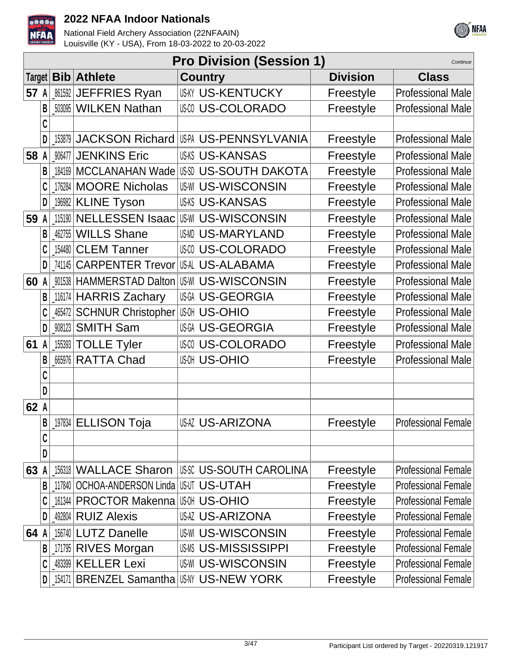



|        |   |        |                                | <b>Pro Division (Session 1)</b>                   |                 | Continue                   |
|--------|---|--------|--------------------------------|---------------------------------------------------|-----------------|----------------------------|
| Target |   |        | <b>Bib</b> Athlete             | <b>Country</b>                                    | <b>Division</b> | <b>Class</b>               |
| 57     | A |        | 861592 JEFFRIES Ryan           | <b>US-KY US-KENTUCKY</b>                          | Freestyle       | <b>Professional Male</b>   |
|        | B |        | 503095 WILKEN Nathan           | <b>US-COLORADO</b>                                | Freestyle       | <b>Professional Male</b>   |
|        |   |        |                                |                                                   |                 |                            |
|        |   |        |                                | [153879   JACKSON Richard   US-P. US-PENNSYLVANIA | Freestyle       | <b>Professional Male</b>   |
| 58     |   |        | 906477 JENKINS Eric            | <b>US-KS US-KANSAS</b>                            | Freestyle       | <b>Professional Male</b>   |
|        | B | 184169 | <b>MCCLANAHAN Wade</b>         | US-SOUTH DAKOTA                                   | Freestyle       | <b>Professional Male</b>   |
|        |   | 176284 | <b>MOORE Nicholas</b>          | <b>US-WI US-WISCONSIN</b>                         | Freestyle       | <b>Professional Male</b>   |
|        | D | 196982 | <b>KLINE Tyson</b>             | <b>US-KS US-KANSAS</b>                            | Freestyle       | <b>Professional Male</b>   |
| 59     | A |        | 115190 NELLESSEN Isaac         | <b>US-WISCONSIN</b>                               | Freestyle       | <b>Professional Male</b>   |
|        | B | 462755 | <b>WILLS Shane</b>             | US-MARYLAND                                       | Freestyle       | <b>Professional Male</b>   |
|        |   |        | 154480 CLEM Tanner             | <b>US-COLORADO</b>                                | Freestyle       | <b>Professional Male</b>   |
|        | D | 741145 | <b>CARPENTER Trevor</b>        | US-AL US-ALABAMA                                  | Freestyle       | <b>Professional Male</b>   |
| 60     | A |        | 901538 HAMMERSTAD Dalton       | <b>US-WISCONSIN</b>                               | Freestyle       | <b>Professional Male</b>   |
|        | B |        | 116174 HARRIS Zachary          | <b>US-GEORGIA</b>                                 | Freestyle       | <b>Professional Male</b>   |
|        |   | 465472 | <b>SCHNUR Christopher</b>      | <b>US-OHIO</b>                                    | Freestyle       | <b>Professional Male</b>   |
|        | D |        | _908123 SMITH Sam              | <b>US-GEORGIA</b>                                 | Freestyle       | <b>Professional Male</b>   |
| 61     | A |        | 155393 TOLLE Tyler             | <b>US-COLORADO</b>                                | Freestyle       | <b>Professional Male</b>   |
|        | B | 665976 | <b>RATTA Chad</b>              | <b>US-DHIO</b>                                    | Freestyle       | <b>Professional Male</b>   |
|        |   |        |                                |                                                   |                 |                            |
|        | D |        |                                |                                                   |                 |                            |
| 62 A   |   |        |                                |                                                   |                 |                            |
|        | B |        | 197834 ELLISON Toja            | US-ARIZONA                                        | Freestyle       | Professional Female        |
|        | C |        |                                |                                                   |                 |                            |
|        | D |        |                                |                                                   |                 |                            |
| 63     |   |        | 156318 WALLACE Sharon          | <b>IUSSC US-SOUTH CAROLINA</b>                    | Freestyle       | <b>Professional Female</b> |
|        | B |        | 117840   OCHOA-ANDERSON Linda  | USUT US-UTAH                                      | Freestyle       | <b>Professional Female</b> |
|        |   |        | 161344 PROCTOR Makenna US-MILD |                                                   | Freestyle       | <b>Professional Female</b> |
|        |   |        | 492804 RUIZ Alexis             | <b>US-ARIZONA</b>                                 | Freestyle       | <b>Professional Female</b> |
| 64     |   |        | 156740 LUTZ Danelle            | <b>US-WI US-WISCONSIN</b>                         | Freestyle       | <b>Professional Female</b> |
|        | B |        | 171795 RIVES Morgan            | <b>USMS US-MISSISSIPPI</b>                        | Freestyle       | <b>Professional Female</b> |
|        |   |        | 483399 KELLER Lexi             | <b>US-WI US-WISCONSIN</b>                         | Freestyle       | <b>Professional Female</b> |
|        |   |        |                                | 154171 BRENZEL Samantha USNY US-NEW YORK          | Freestyle       | <b>Professional Female</b> |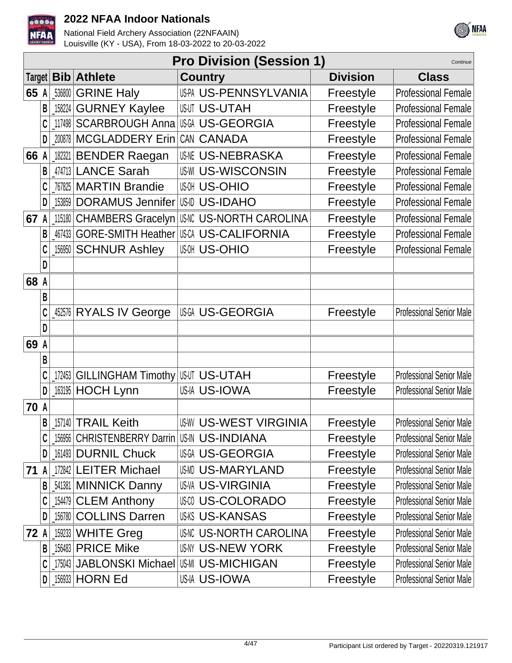



|      |   |        |                                                  | <b>Pro Division (Session 1)</b> |                 | Continue                        |
|------|---|--------|--------------------------------------------------|---------------------------------|-----------------|---------------------------------|
|      |   |        | Target <b>Bib Athlete</b>                        | <b>Country</b>                  | <b>Division</b> | <b>Class</b>                    |
| 65   | A | 536800 | <b>GRINE Haly</b>                                | US-PA US-PENNSYLVANIA           | Freestyle       | <b>Professional Female</b>      |
|      | B | 158224 | <b>GURNEY Kaylee</b>                             | <b>US-UTAH</b>                  | Freestyle       | <b>Professional Female</b>      |
|      |   |        | 117498 SCARBROUGH Anna                           | <b>US-GEORGIA</b>               | Freestyle       | <b>Professional Female</b>      |
|      | D |        | 200878 MCGLADDERY Erin                           | CAN CANADA                      | Freestyle       | <b>Professional Female</b>      |
| 66   | A |        | 182321 BENDER Raegan                             | <b>US-NEBRASKA</b>              | Freestyle       | <b>Professional Female</b>      |
|      | B |        | 474713 LANCE Sarah                               | <b>US-WISCONSIN</b>             | Freestyle       | <b>Professional Female</b>      |
|      |   |        | 767825 MARTIN Brandie                            | <b>US-OHIO</b>                  | Freestyle       | <b>Professional Female</b>      |
|      | D | 153859 | <b>DORAMUS Jennifer</b>                          | US-ID US-IDAHO                  | Freestyle       | <b>Professional Female</b>      |
| 67   | A |        | 115180 CHAMBERS Gracelyn                         | US-NORTH CAROLINA               | Freestyle       | <b>Professional Female</b>      |
|      | B |        | 467433 GORE-SMITH Heather                        | USCA US-CALIFORNIA              | Freestyle       | <b>Professional Female</b>      |
|      |   | 156950 | <b>SCHNUR Ashley</b>                             | <b>US-OHIO</b>                  | Freestyle       | <b>Professional Female</b>      |
|      | D |        |                                                  |                                 |                 |                                 |
| 68 A |   |        |                                                  |                                 |                 |                                 |
|      | B |        |                                                  |                                 |                 |                                 |
|      |   |        | 452576 RYALS IV George                           | US-GEORGIA                      | Freestyle       | <b>Professional Senior Male</b> |
|      | D |        |                                                  |                                 |                 |                                 |
| 69 A |   |        |                                                  |                                 |                 |                                 |
|      | B |        |                                                  |                                 |                 |                                 |
|      |   | 172453 | <b>GILLINGHAM Timothy</b>                        | <b>IUSUT US-UTAH</b>            | Freestyle       | <b>Professional Senior Male</b> |
|      | D |        | 163195 HOCH Lynn                                 | <b>US-IA US-IOWA</b>            | Freestyle       | <b>Professional Senior Male</b> |
| 70 A |   |        |                                                  |                                 |                 |                                 |
|      | B |        | [157140 TRAIL Keith                              | <b>US-WEST VIRGINIA</b>         | Freestyle       | <b>Professional Senior Male</b> |
|      |   |        | 156956   CHRISTENBERRY Darrin   US-IN US-INDIANA |                                 | Freestyle       | <b>Professional Senior Male</b> |
|      |   |        | D 161493 DURNIL Chuck                            | US-GEORGIA                      | Freestyle       | <b>Professional Senior Male</b> |
| 71   | A |        | 172842 LEITER Michael                            | US-MARYLAND                     | Freestyle       | <b>Professional Senior Male</b> |
|      | B |        | <b>541381 MINNICK Danny</b>                      | <b>US-VA US-VIRGINIA</b>        | Freestyle       | <b>Professional Senior Male</b> |
|      |   |        | [154479 CLEM Anthony                             | <b>US-COLORADO</b>              | Freestyle       | <b>Professional Senior Male</b> |
|      |   |        | 156780 COLLINS Darren                            | <b>US-KANSAS</b>                | Freestyle       | <b>Professional Senior Male</b> |
| 72 A |   |        | $159233$ WHITE Greg                              | <b>US-NORTH CAROLINA</b>        | Freestyle       | Professional Senior Male        |
|      | B |        | $156483$ PRICE Mike                              | <b>US-IV US-NEW YORK</b>        | Freestyle       | <b>Professional Senior Male</b> |
|      |   |        | 175043 JABLONSKI Michael                         | US-MI US-MICHIGAN               | Freestyle       | <b>Professional Senior Male</b> |
|      |   |        | $D$ 156933 HORN Ed                               | US-IA US-IOWA                   | Freestyle       | <b>Professional Senior Male</b> |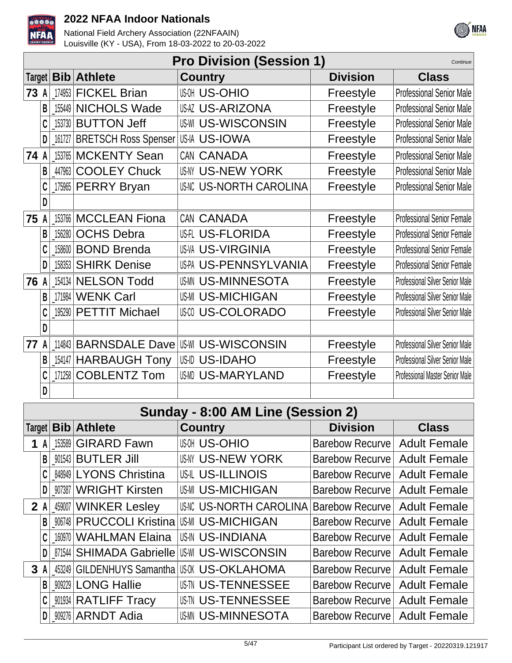

National Field Archery Association (22NFAAIN) Louisville (KY - USA), From 18-03-2022 to 20-03-2022



|      |           |            |                                                  | <b>Pro Division (Session 1)</b>                  |                        | Continue                               |
|------|-----------|------------|--------------------------------------------------|--------------------------------------------------|------------------------|----------------------------------------|
|      |           |            | Target   Bib   Athlete                           | <b>Country</b>                                   | <b>Division</b>        | <b>Class</b>                           |
| 73 A |           |            | $174953$ FICKEL Brian                            | <b>US-OHIO</b>                                   | Freestyle              | <b>Professional Senior Male</b>        |
|      | B         |            | 155449 NICHOLS Wade                              | <b>US-ARIZONA</b>                                | Freestyle              | <b>Professional Senior Male</b>        |
|      |           |            | [153730 BUTTON Jeff                              | <b>US-WI US-WISCONSIN</b>                        | Freestyle              | <b>Professional Senior Male</b>        |
|      | D         |            | 161727 BRETSCH Ross Spenser                      | US-IA US-IOWA                                    | Freestyle              | <b>Professional Senior Male</b>        |
| 74 A |           |            | 153765 MCKENTY Sean                              | CAN CANADA                                       | Freestyle              | <b>Professional Senior Male</b>        |
|      | B         | 447963     | <b>COOLEY Chuck</b>                              | <b>US-NY US-NEW YORK</b>                         | Freestyle              | <b>Professional Senior Male</b>        |
|      |           |            | 175965 PERRY Bryan                               | <b>US-NORTH CAROLINA</b>                         | Freestyle              | <b>Professional Senior Male</b>        |
|      | D         |            |                                                  |                                                  |                        |                                        |
| 75 A |           |            | 153766 MCCLEAN Fiona                             | CAN CANADA                                       | Freestyle              | <b>Professional Senior Female</b>      |
|      | B         |            | 156280 OCHS Debra                                | <b>US-FLORIDA</b>                                | Freestyle              | <b>Professional Senior Female</b>      |
|      |           |            | 158600 BOND Brenda                               | <b>US-VA US-VIRGINIA</b>                         | Freestyle              | <b>Professional Senior Female</b>      |
|      | D         | $\_158353$ | <b>SHIRK Denise</b>                              | US-PA US-PENNSYLVANIA                            | Freestyle              | <b>Professional Senior Female</b>      |
| 76   | A         |            | 154134 NELSON Todd                               | <b>US-MINNESOTA</b>                              | Freestyle              | Professional Silver Senior Male        |
|      | B         |            | 171984 WENK Carl                                 | <b>US-MI US-MICHIGAN</b>                         | Freestyle              | Professional Silver Senior Male        |
|      |           |            | 195290 PETTIT Michael                            | <b>US-COLORADO</b>                               | Freestyle              | Professional Silver Senior Male        |
|      | D         |            |                                                  |                                                  |                        |                                        |
| 77   | A         | 114843     | <b>BARNSDALE Dave</b>                            | US-WISCONSIN                                     | Freestyle              | Professional Silver Senior Male        |
|      | B         |            | 154147 HARBAUGH Tony                             | <b>US-IDAHO</b>                                  | Freestyle              | <b>Professional Silver Senior Male</b> |
|      |           |            | 171258 COBLENTZ Tom                              | <b>US-MARYLAND</b>                               | Freestyle              | <b>Professional Master Senior Male</b> |
|      | D         |            |                                                  |                                                  |                        |                                        |
|      |           |            |                                                  | Sunday - 8:00 AM Line (Session 2)                |                        |                                        |
|      |           |            | $\textsf{Target} \mathbf{Bib} \mathbf{Ath}$ lete | <b>Country</b>                                   | <b>Division</b>        | <b>Class</b>                           |
|      | 1 A       |            | 153589 GIRARD Fawn                               | <b>US-OHIO</b>                                   | Barebow Recurve        | <b>Adult Female</b>                    |
|      | B         |            | 901543 BUTLER Jill                               | <b>US-NY US-NEW YORK</b>                         | Barebow Recurve        | <b>Adult Female</b>                    |
|      |           |            | <b>848949 LYONS Christina</b>                    | <b>US-ILLINOIS</b>                               | <b>Barebow Recurve</b> | <b>Adult Female</b>                    |
|      | D         |            | _907387   WRIGHT Kirsten                         | <b>US-MICHIGAN</b>                               | <b>Barebow Recurve</b> | <b>Adult Female</b>                    |
|      | 2 A       |            | 459007 WINKER Lesley                             | US-NORTH CAROLINA                                | <b>Barebow Recurve</b> | <b>Adult Female</b>                    |
|      | B         |            | 906748 PRUCCOLI Kristina                         | IUS-MI US-MICHIGAN                               | <b>Barebow Recurve</b> | <b>Adult Female</b>                    |
|      |           |            | 160970   WAHLMAN Elaina                          | US-IN US-INDIANA                                 | Barebow Recurve        | <b>Adult Female</b>                    |
|      | D         |            |                                                  | 871544 SHIMADA Gabrielle US-WISCONSIN            | <b>Barebow Recurve</b> | <b>Adult Female</b>                    |
|      | 3 A       |            |                                                  | 453249   GILDENHUYS Samantha   US-W. US-OKLAHOMA | Barebow Recurve        | <b>Adult Female</b>                    |
|      | $B \vert$ |            | <b>M9229 LONG Hallie</b>                         | <b>US-TENNESSEE</b>                              | <b>Barebow Recurve</b> | <b>Adult Female</b>                    |

**C** \_001934 RATLIFF Tracy US-TENNESSEE Barebow Recurve Adult Female **D** \_909276 ARNDT Adia WS-MINNESOTA Barebow Recurve Adult Female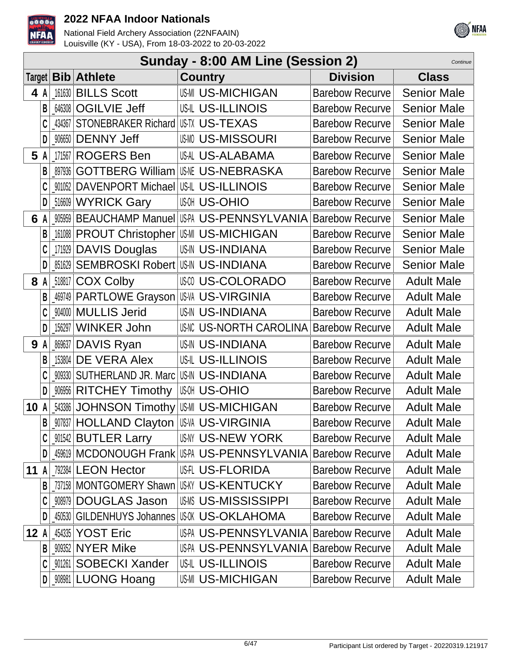



|             |     |        |                                                        |                          | Sunday - 8:00 AM Line (Session 2) | Continue           |
|-------------|-----|--------|--------------------------------------------------------|--------------------------|-----------------------------------|--------------------|
|             |     |        | Target   Bib   Athlete                                 | <b>Country</b>           | <b>Division</b>                   | <b>Class</b>       |
|             | 4 A |        | 161630 BILLS Scott                                     | <b>US-MICHIGAN</b>       | Barebow Recurve                   | <b>Senior Male</b> |
|             | B   |        | 646308   OGILVIE Jeff                                  | <b>US-IL US-ILLINOIS</b> | <b>Barebow Recurve</b>            | <b>Senior Male</b> |
|             | C   | 434367 | STONEBRAKER Richard US-TV US-TEXAS                     |                          | <b>Barebow Recurve</b>            | <b>Senior Male</b> |
|             | D   | 906650 | <b>DENNY Jeff</b>                                      | <b>US-MISSOURI</b>       | <b>Barebow Recurve</b>            | <b>Senior Male</b> |
| 5 A         |     |        | 171567 ROGERS Ben                                      | US-ALABAMA               | <b>Barebow Recurve</b>            | <b>Senior Male</b> |
|             | B   | 897936 | <b>GOTTBERG William</b>                                | <b>IUSNE US-NEBRASKA</b> | <b>Barebow Recurve</b>            | <b>Senior Male</b> |
|             |     |        | <b>_001052   DAVENPORT Michael   US-IL US-ILLINOIS</b> |                          | <b>Barebow Recurve</b>            | <b>Senior Male</b> |
|             | D   |        | 516609 WYRICK Gary                                     | <b>US-OHIO</b>           | <b>Barebow Recurve</b>            | <b>Senior Male</b> |
|             | 6 A |        | 005959 BEAUCHAMP Manuel US-PA US-PENNSYLVANIA          |                          | <b>Barebow Recurve</b>            | <b>Senior Male</b> |
|             | B   |        | [161088   PROUT Christopher   US-MICHIGAN              |                          | <b>Barebow Recurve</b>            | <b>Senior Male</b> |
|             |     | 171929 | <b>DAVIS Douglas</b>                                   | <b>US-IN US-INDIANA</b>  | <b>Barebow Recurve</b>            | <b>Senior Male</b> |
|             |     | 851629 | SEMBROSKI Robert US-IN US-INDIANA                      |                          | <b>Barebow Recurve</b>            | <b>Senior Male</b> |
|             | 8 A |        | 518817 COX Colby                                       | <b>US-COLORADO</b>       | <b>Barebow Recurve</b>            | <b>Adult Male</b>  |
|             | B   |        | 469749   PARTLOWE Grayson   US-W. US-VIRGINIA          |                          | <b>Barebow Recurve</b>            | <b>Adult Male</b>  |
|             |     |        | 904000 MULLIS Jerid                                    | <b>US-IN US-INDIANA</b>  | <b>Barebow Recurve</b>            | <b>Adult Male</b>  |
|             | D   | 156297 | <b>WINKER John</b>                                     | US-NORTH CAROLINA        | <b>Barebow Recurve</b>            | <b>Adult Male</b>  |
| 9           | A   |        | 869637 DAVIS Ryan                                      | <b>US-IN US-INDIANA</b>  | <b>Barebow Recurve</b>            | <b>Adult Male</b>  |
|             | B   | 153804 | DE VERA Alex                                           | US-IL US-ILLINOIS        | <b>Barebow Recurve</b>            | <b>Adult Male</b>  |
|             |     | 909330 | SUTHERLAND JR. Marc US-IN US-INDIANA                   |                          | <b>Barebow Recurve</b>            | <b>Adult Male</b>  |
|             | D   | 906956 | <b>RITCHEY Timothy</b>                                 | <b>US-OHIO</b>           | <b>Barebow Recurve</b>            | <b>Adult Male</b>  |
| 10 A        |     |        | 543386 JOHNSON Timothy US-MICHIGAN                     |                          | <b>Barebow Recurve</b>            | <b>Adult Male</b>  |
|             | B   |        | _907837   HOLLAND Clayton   US-VA US-VIRGINIA          |                          | <b>Barebow Recurve</b>            | <b>Adult Male</b>  |
|             | C   |        | _901542 <b>BUTLER Larry</b>                            | US-NY US-NEW YORK        | <b>Barebow Recurve</b>            | <b>Adult Male</b>  |
|             | D   |        | 459619 MCDONOUGH Frank US-A US-PENNSYLVANIA            |                          | <b>Barebow Recurve</b>            | <b>Adult Male</b>  |
| <b>11 A</b> |     |        | 792384 LEON Hector                                     | US-TLORIDA               | <b>Barebow Recurve</b>            | <b>Adult Male</b>  |
|             |     |        | 737158 MONTGOMERY Shawn US-KY US-KENTUCKY              |                          | <b>Barebow Recurve</b>            | <b>Adult Male</b>  |
|             |     | 908979 | <b>DOUGLAS Jason</b>                                   | <b>US-MISSISSIPPI</b>    | <b>Barebow Recurve</b>            | <b>Adult Male</b>  |
|             |     | 450530 | GILDENHUYS Johannes US-0K US-OKLAHOMA                  |                          | <b>Barebow Recurve</b>            | <b>Adult Male</b>  |
| 12A         |     |        | 454335 YOST Eric                                       |                          | US-PENNSYLVANIA   Barebow Recurve | <b>Adult Male</b>  |
|             | B   |        | 909352 NYER Mike                                       | US-PA US-PENNSYLVANIA    | <b>Barebow Recurve</b>            | <b>Adult Male</b>  |
|             | C   |        | 901261 SOBECKI Xander                                  | US-IL US-ILLINOIS        | <b>Barebow Recurve</b>            | <b>Adult Male</b>  |
|             | D   |        | _908981 LUONG Hoang                                    | <b>US-MICHIGAN</b>       | <b>Barebow Recurve</b>            | <b>Adult Male</b>  |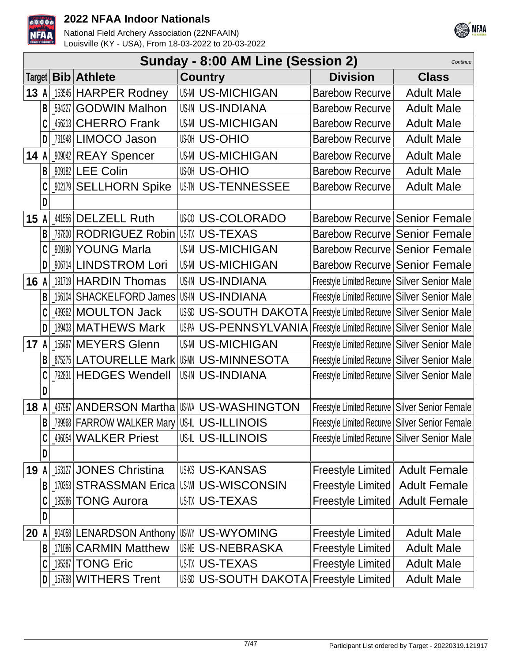



|        |   |        |                                                  | Sunday - 8:00 AM Line (Session 2)              |                                                  | Continue            |
|--------|---|--------|--------------------------------------------------|------------------------------------------------|--------------------------------------------------|---------------------|
| Target |   |        | <b>Bib</b> Athlete                               | <b>Country</b>                                 | <b>Division</b>                                  | <b>Class</b>        |
| 13 A   |   |        | 153545 HARPER Rodney                             | <b>US-MICHIGAN</b>                             | Barebow Recurve                                  | <b>Adult Male</b>   |
|        | B | 534227 | <b>GODWIN Malhon</b>                             | <b>US-INDIANA</b>                              | <b>Barebow Recurve</b>                           | <b>Adult Male</b>   |
|        |   |        | 456213 CHERRO Frank                              | <b>US-MI US-MICHIGAN</b>                       | <b>Barebow Recurve</b>                           | <b>Adult Male</b>   |
|        |   |        | 731948 LIMOCO Jason                              | <b>US-OHIO</b>                                 | <b>Barebow Recurve</b>                           | <b>Adult Male</b>   |
| 14A    |   |        | _909042 REAY Spencer                             | <b>US-MI US-MICHIGAN</b>                       | <b>Barebow Recurve</b>                           | <b>Adult Male</b>   |
|        | B |        | 909182 LEE Colin                                 | <b>US-OHIO</b>                                 | <b>Barebow Recurve</b>                           | <b>Adult Male</b>   |
|        |   |        | _902179 SELLHORN Spike                           | <b>US-TU US-TENNESSEE</b>                      | <b>Barebow Recurve</b>                           | <b>Adult Male</b>   |
|        | D |        |                                                  |                                                |                                                  |                     |
| 15A    |   |        | 441556 DELZELL Ruth                              | <b>US-COLORADO</b>                             | Barebow Recurve Senior Female                    |                     |
|        |   |        | 787800 RODRIGUEZ Robin                           | <b>IUS-TX US-TEXAS</b>                         | Barebow Recurve Senior Female                    |                     |
|        |   |        | 909190 YOUNG Marla                               | <b>US-MI US-MICHIGAN</b>                       | Barebow Recurve Senior Female                    |                     |
|        | D |        | 906714 LINDSTROM Lori                            | <b>US-MI US-MICHIGAN</b>                       | Barebow Recurve Senior Female                    |                     |
| 16     | A |        | 191719 HARDIN Thomas                             | <b>US-IN US-INDIANA</b>                        | Freestyle Limited Recurve   Silver Senior Male   |                     |
|        | B |        | 156104   SHACKELFORD James                       | US-IN US-INDIANA                               | Freestyle Limited Recurve   Silver Senior Male   |                     |
|        | C |        | 439362 MOULTON Jack                              | USSI US-SOUTH DAKOTA                           | Freestyle Limited Recurve   Silver Senior Male   |                     |
|        | D |        | 189433   MATHEWS Mark                            | USPA US-PENNSYLVANIA                           | Freestyle Limited Recurve   Silver Senior Male   |                     |
| 17     | A |        | 155497 MEYERS Glenn                              | <b>US-MI US-MICHIGAN</b>                       | Freestyle Limited Recurve   Silver Senior Male   |                     |
|        |   |        | 875275 LATOURELLE Mark                           | <b>IUSMN US-MINNESOTA</b>                      | Freestyle Limited Recurve   Silver Senior Male   |                     |
|        |   |        | 792831 HEDGES Wendell                            | <b>US-IN US-INDIANA</b>                        | Freestyle Limited Recurve   Silver Senior Male   |                     |
|        | D |        |                                                  |                                                |                                                  |                     |
| 18     | A |        |                                                  | 437987   ANDERSON Martha   US MM US-WASHINGTON | Freestyle Limited Recurve   Silver Senior Female |                     |
|        | B |        | _789968   FARROW WALKER Mary   US-IL US-ILLINOIS |                                                | Freestyle Limited Recurve Silver Senior Female   |                     |
|        | C |        | 436054 WALKER Priest                             | US-ILLINOIS                                    | Freestyle Limited Recurve   Silver Senior Male   |                     |
|        | D |        |                                                  |                                                |                                                  |                     |
| 19     | A |        | 153127 JONES Christina                           | USKS US-KANSAS                                 | Freestyle Limited                                | <b>Adult Female</b> |
|        | В |        |                                                  | 170353 STRASSMAN Erica US-WISCONSIN            | <b>Freestyle Limited</b>                         | <b>Adult Female</b> |
|        |   |        | 195386 TONG Aurora                               | <b>US-TX US-TEXAS</b>                          | <b>Freestyle Limited</b>                         | <b>Adult Female</b> |
|        | D |        |                                                  |                                                |                                                  |                     |
| 20     | A |        | 904058   LENARDSON Anthony                       | US-WYOMING                                     | <b>Freestyle Limited</b>                         | <b>Adult Male</b>   |
|        | B |        | 171086 CARMIN Matthew                            | <b>US-NEBRASKA</b>                             | <b>Freestyle Limited</b>                         | <b>Adult Male</b>   |
|        | C |        | 195387   TONG Eric                               | USTX US-TEXAS                                  | <b>Freestyle Limited</b>                         | <b>Adult Male</b>   |
|        | D |        | 157698 WITHERS Trent                             | US-SOUTH DAKOTA Freestyle Limited              |                                                  | <b>Adult Male</b>   |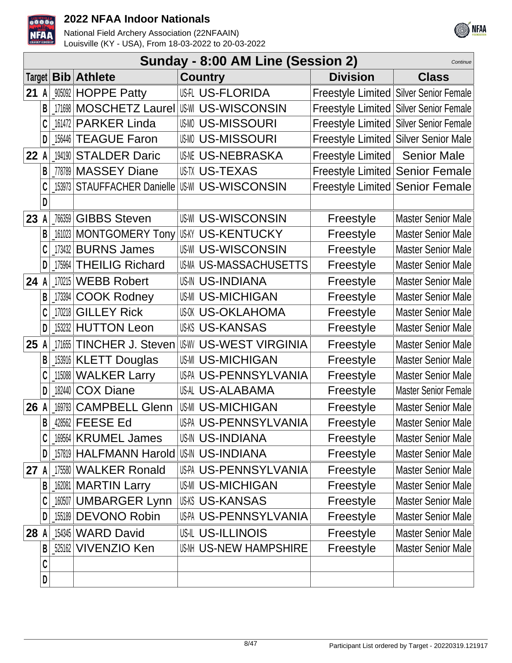



|        |   |        |                                         | Sunday - 8:00 AM Line (Session 2) |                                          | Continue                    |
|--------|---|--------|-----------------------------------------|-----------------------------------|------------------------------------------|-----------------------------|
| Target |   |        | <b>Bib</b> Athlete                      | <b>Country</b>                    | <b>Division</b>                          | <b>Class</b>                |
| 21     | A |        | 905092 HOPPE Patty                      | <b>US-TLORIDA</b>                 | Freestyle Limited Silver Senior Female   |                             |
|        | B |        | 171698 MOSCHETZ Laurel                  | <b>US-WI US-WISCONSIN</b>         | Freestyle Limited   Silver Senior Female |                             |
|        | C |        | 161472 PARKER Linda                     | <b>US-MISSOURI</b>                | Freestyle Limited Silver Senior Female   |                             |
|        | D |        | 156446 TEAGUE Faron                     | <b>US-MISSOURI</b>                | Freestyle Limited Silver Senior Male     |                             |
| 22 A   |   |        | 194190 STALDER Daric                    | <b>US-NEBRASKA</b>                | Freestyle Limited                        | <b>Senior Male</b>          |
|        |   |        | 778789 MASSEY Diane                     | <b>US-TX US-TEXAS</b>             | Freestyle Limited Senior Female          |                             |
|        |   |        | 153973 STAUFFACHER Danielle             | <b>US-WISCONSIN</b>               | Freestyle Limited Senior Female          |                             |
|        | D |        |                                         |                                   |                                          |                             |
| 23     |   |        | 766359 GIBBS Steven                     | <b>US-WISCONSIN</b>               | Freestyle                                | <b>Master Senior Male</b>   |
|        | B |        | 161023 MONTGOMERY Tony                  | <b>US-KY US-KENTUCKY</b>          | Freestyle                                | <b>Master Senior Male</b>   |
|        | C |        | 173432 BURNS James                      | <b>US-WISCONSIN</b>               | Freestyle                                | <b>Master Senior Male</b>   |
|        | D |        | 175964 THEILIG Richard                  | US-M US-MASSACHUSETTS             | Freestyle                                | <b>Master Senior Male</b>   |
| 24     |   | 170215 | <b>WEBB Robert</b>                      | <b>US-IN US-INDIANA</b>           | Freestyle                                | <b>Master Senior Male</b>   |
|        | B | 173394 | <b>COOK Rodney</b>                      | <b>US-MICHIGAN</b>                | Freestyle                                | <b>Master Senior Male</b>   |
|        | C | 170218 | <b>GILLEY Rick</b>                      | <b>US-OKLAHOMA</b>                | Freestyle                                | <b>Master Senior Male</b>   |
|        | D |        | 153232 HUTTON Leon                      | <b>US-KS US-KANSAS</b>            | Freestyle                                | <b>Master Senior Male</b>   |
| 25     |   | 171655 | <b>TINCHER J. Steven</b>                | <b>US-WEST VIRGINIA</b>           | Freestyle                                | <b>Master Senior Male</b>   |
|        | B |        | 153916   KLETT Douglas                  | <b>US-MI US-MICHIGAN</b>          | Freestyle                                | <b>Master Senior Male</b>   |
|        | C |        | 115088 WALKER Larry                     | US-PA US-PENNSYLVANIA             | Freestyle                                | <b>Master Senior Male</b>   |
|        | D |        | 182440 COX Diane                        | US-AL US-ALABAMA                  | Freestyle                                | <b>Master Senior Female</b> |
| 26 A   |   | 169793 | <b>CAMPBELL Glenn</b>                   | <b>US-MI US-MICHIGAN</b>          | Freestyle                                | <b>Master Senior Male</b>   |
|        | B |        | 428562 FEESE Ed                         | US-PA US-PENNSYLVANIA             | Freestyle                                | <b>Master Senior Male</b>   |
|        |   |        | 169564   KRUMEL James                   | <b>US-IN US-INDIANA</b>           | Freestyle                                | <b>Master Senior Male</b>   |
|        | D |        | 157819 HALFMANN Harold US-IN US-INDIANA |                                   | Freestyle                                | Master Senior Male          |
| 27A    |   |        | 175580 WALKER Ronald                    | US-PA US-PENNSYLVANIA             | Freestyle                                | <b>Master Senior Male</b>   |
|        | B |        | 162081 MARTIN Larry                     | <b>US-MICHIGAN</b>                | Freestyle                                | <b>Master Senior Male</b>   |
|        | C |        | 160507 UMBARGER Lynn                    | <b>US-KANSAS</b>                  | Freestyle                                | <b>Master Senior Male</b>   |
|        | D |        | 155189 DEVONO Robin                     | US-PA US-PENNSYLVANIA             | Freestyle                                | Master Senior Male          |
| 28     |   |        | 154345 WARD David                       | USIL US-ILLINOIS                  | Freestyle                                | Master Senior Male          |
|        | B |        | 525162 VIVENZIO Ken                     | US-NI US-NEW HAMPSHIRE            | Freestyle                                | <b>Master Senior Male</b>   |
|        | C |        |                                         |                                   |                                          |                             |
|        | D |        |                                         |                                   |                                          |                             |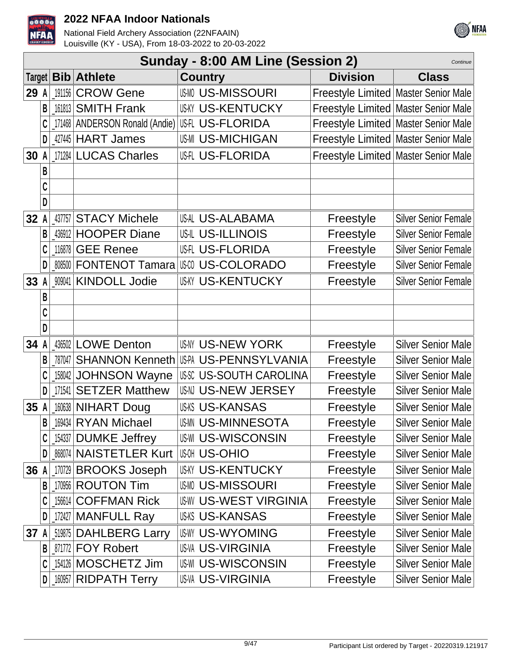



|      | Sunday - 8:00 AM Line (Session 2)<br>Continue |        |                                  |  |                               |                                        |                                      |  |  |
|------|-----------------------------------------------|--------|----------------------------------|--|-------------------------------|----------------------------------------|--------------------------------------|--|--|
|      |                                               |        | Target   Bib   Athlete           |  | <b>Country</b>                | <b>Division</b>                        | <b>Class</b>                         |  |  |
| 29   | A                                             | 191156 | <b>CROW Gene</b>                 |  | <b>US-MISSOURI</b>            | Freestyle Limited   Master Senior Male |                                      |  |  |
|      | B                                             |        | 161813 SMITH Frank               |  | <b>US-KY US-KENTUCKY</b>      | Freestyle Limited   Master Senior Male |                                      |  |  |
|      | C                                             |        | 171468   ANDERSON Ronald (Andie) |  | US-IL US-FLORIDA              | Freestyle Limited   Master Senior Male |                                      |  |  |
|      | D                                             |        | 427445 HART James                |  | <b>US-MICHIGAN</b>            | Freestyle Limited   Master Senior Male |                                      |  |  |
| 30   |                                               |        | 171284 LUCAS Charles             |  | <b>US-FLORIDA</b>             |                                        | Freestyle Limited Master Senior Male |  |  |
|      | B                                             |        |                                  |  |                               |                                        |                                      |  |  |
|      | C                                             |        |                                  |  |                               |                                        |                                      |  |  |
|      | D                                             |        |                                  |  |                               |                                        |                                      |  |  |
| 32   |                                               |        | 437757 STACY Michele             |  | US-ALABAMA                    | Freestyle                              | <b>Silver Senior Female</b>          |  |  |
|      | B                                             |        | 436912 HOOPER Diane              |  | <b>US-IL US-ILLINOIS</b>      | Freestyle                              | <b>Silver Senior Female</b>          |  |  |
|      | C                                             | 116878 | <b>GEE Renee</b>                 |  | US-FLORIDA                    | Freestyle                              | <b>Silver Senior Female</b>          |  |  |
|      | D                                             |        | 808500 FONTENOT Tamara           |  | US-COLORADO                   | Freestyle                              | <b>Silver Senior Female</b>          |  |  |
| 33   |                                               |        | 909041 KINDOLL Jodie             |  | <b>US-KY US-KENTUCKY</b>      | Freestyle                              | <b>Silver Senior Female</b>          |  |  |
|      | В                                             |        |                                  |  |                               |                                        |                                      |  |  |
|      | C                                             |        |                                  |  |                               |                                        |                                      |  |  |
|      | D                                             |        |                                  |  |                               |                                        |                                      |  |  |
| 34   |                                               |        | 436502 LOWE Denton               |  | <b>US-NY US-NEW YORK</b>      | Freestyle                              | <b>Silver Senior Male</b>            |  |  |
|      | B                                             | 787047 | <b>SHANNON Kenneth</b>           |  | US-PA US-PENNSYLVANIA         | Freestyle                              | <b>Silver Senior Male</b>            |  |  |
|      | C                                             |        | 158042 JOHNSON Wayne             |  | <b>USSC US-SOUTH CAROLINA</b> | Freestyle                              | <b>Silver Senior Male</b>            |  |  |
|      | D                                             | 171541 | <b>SETZER Matthew</b>            |  | US-N US-NEW JERSEY            | Freestyle                              | <b>Silver Senior Male</b>            |  |  |
| 35 A |                                               |        | 160638 NIHART Doug               |  | <b>US-KANSAS</b>              | Freestyle                              | <b>Silver Senior Male</b>            |  |  |
|      | B                                             |        | 169434 RYAN Michael              |  | <b>USMN US-MINNESOTA</b>      | Freestyle                              | <b>Silver Senior Male</b>            |  |  |
|      |                                               | 154337 | <b>DUMKE Jeffrey</b>             |  | <b>US-WI US-WISCONSIN</b>     | Freestyle                              | <b>Silver Senior Male</b>            |  |  |
|      | D                                             |        | 868074 NAISTETLER Kurt           |  | <b>US-OHIO</b>                | Freestyle                              | Silver Senior Male                   |  |  |
| 36   |                                               | 170729 | <b>BROOKS Joseph</b>             |  | <b>US-KY US-KENTUCKY</b>      | Freestyle                              | <b>Silver Senior Male</b>            |  |  |
|      | B                                             |        | 170956 ROUTON Tim                |  | <b>US-MISSOURI</b>            | Freestyle                              | <b>Silver Senior Male</b>            |  |  |
|      | C                                             | 156614 | <b>COFFMAN Rick</b>              |  | <b>US-WEST VIRGINIA</b>       | Freestyle                              | <b>Silver Senior Male</b>            |  |  |
|      | D                                             |        | 172427 MANFULL Ray               |  | <b>US-KS US-KANSAS</b>        | Freestyle                              | <b>Silver Senior Male</b>            |  |  |
| 37   |                                               | 519875 | <b>DAHLBERG Larry</b>            |  | <b>US-WYOMING</b>             | Freestyle                              | <b>Silver Senior Male</b>            |  |  |
|      | B                                             | 871772 | <b>FOY Robert</b>                |  | <b>US-VA US-VIRGINIA</b>      | Freestyle                              | <b>Silver Senior Male</b>            |  |  |
|      |                                               |        | 154126 MOSCHETZ Jim              |  | <b>US-WISCONSIN</b>           | Freestyle                              | Silver Senior Male                   |  |  |
|      | D                                             |        | 160957 RIDPATH Terry             |  | <b>US-VA US-VIRGINIA</b>      | Freestyle                              | Silver Senior Male                   |  |  |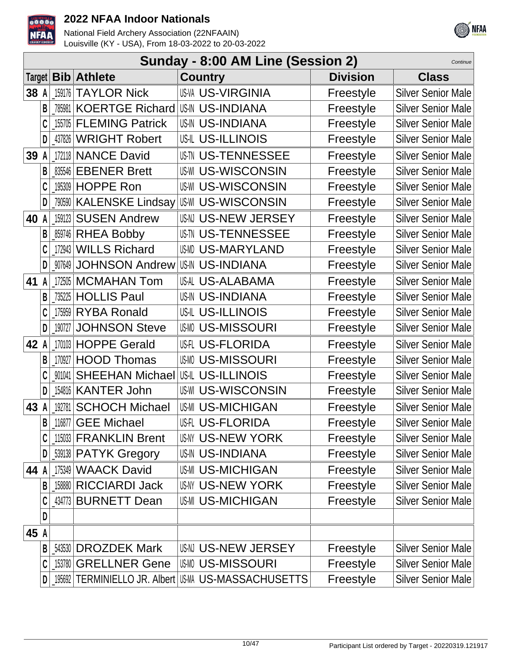



|    |   |        |                              | Sunday - 8:00 AM Line (Session 2)              |                 | Continue                  |
|----|---|--------|------------------------------|------------------------------------------------|-----------------|---------------------------|
|    |   |        | Target   Bib   Athlete       | <b>Country</b>                                 | <b>Division</b> | <b>Class</b>              |
| 38 | A | 159176 | <b>TAYLOR Nick</b>           | <b>US-VA US-VIRGINIA</b>                       | Freestyle       | <b>Silver Senior Male</b> |
|    | B |        | 785981 KOERTGE Richard       | <b>US-IN US-INDIANA</b>                        | Freestyle       | <b>Silver Senior Male</b> |
|    |   | 155705 | <b>FLEMING Patrick</b>       | <b>US-IN US-INDIANA</b>                        | Freestyle       | <b>Silver Senior Male</b> |
|    | D |        | 437826 WRIGHT Robert         | <b>US-IL US-ILLINOIS</b>                       | Freestyle       | <b>Silver Senior Male</b> |
| 39 |   |        | 172118 NANCE David           | U\$™ US-TENNESSEE                              | Freestyle       | <b>Silver Senior Male</b> |
|    |   |        | 835546 EBENER Brett          | US-WI US-WISCONSIN                             | Freestyle       | <b>Silver Senior Male</b> |
|    |   |        | 195309 HOPPE Ron             | <b>US-WISCONSIN</b>                            | Freestyle       | <b>Silver Senior Male</b> |
|    | D |        | .790590   KALENSKE Lindsay   | <b>US-WISCONSIN</b>                            | Freestyle       | <b>Silver Senior Male</b> |
| 40 | A | 159123 | <b>SUSEN Andrew</b>          | US-N US-NEW JERSEY                             | Freestyle       | <b>Silver Senior Male</b> |
|    | B |        | 859746 RHEA Bobby            | USIN US-TENNESSEE                              | Freestyle       | <b>Silver Senior Male</b> |
|    |   |        | 172943 WILLS Richard         | <b>US-MARYLAND</b>                             | Freestyle       | <b>Silver Senior Male</b> |
|    | D | 907649 | <b>JOHNSON Andrew</b>        | <b>US-IN US-INDIANA</b>                        | Freestyle       | <b>Silver Senior Male</b> |
| 41 | A |        | 172505   MCMAHAN Tom         | US-AL US-ALABAMA                               | Freestyle       | <b>Silver Senior Male</b> |
|    | B |        | 735225 HOLLIS Paul           | <b>US-IN US-INDIANA</b>                        | Freestyle       | <b>Silver Senior Male</b> |
|    |   | 175959 | <b>RYBA Ronald</b>           | US-IL US-ILLINOIS                              | Freestyle       | <b>Silver Senior Male</b> |
|    | D | 190727 | <b>JOHNSON Steve</b>         | <b>US-MISSOURI</b>                             | Freestyle       | <b>Silver Senior Male</b> |
| 42 | A |        | 170103 HOPPE Gerald          | US-I US-FLORIDA                                | Freestyle       | <b>Silver Senior Male</b> |
|    | B | 170927 | <b>HOOD Thomas</b>           | <b>US-MISSOURI</b>                             | Freestyle       | <b>Silver Senior Male</b> |
|    |   | 901041 | <b>SHEEHAN Michael</b>       | US-ILLINOIS                                    | Freestyle       | <b>Silver Senior Male</b> |
|    | D |        | 154816   KANTER John         | <b>US-WI US-WISCONSIN</b>                      | Freestyle       | <b>Silver Senior Male</b> |
| 43 |   | 192781 | <b>SCHOCH Michael</b>        | <b>US-MI US-MICHIGAN</b>                       | Freestyle       | <b>Silver Senior Male</b> |
|    | B |        | 116877 GEE Michael           | USIL US-FLORIDA                                | Freestyle       | Silver Senior Male        |
|    |   |        | 115033 FRANKLIN Brent        | US-NY US-NEW YORK                              | Freestyle       | <b>Silver Senior Male</b> |
|    | D |        | <b>_539138 PATYK Gregory</b> | <b>US-IN US-INDIANA</b>                        | Freestyle       | <b>Silver Senior Male</b> |
| 44 |   |        | 175349 WAACK David           | <b>US-MI US-MICHIGAN</b>                       | Freestyle       | <b>Silver Senior Male</b> |
|    | В |        | 158880 RICCIARDI Jack        | <b>US-NY US-NEW YORK</b>                       | Freestyle       | <b>Silver Senior Male</b> |
|    |   |        | 434773 BURNETT Dean          | <b>US-MI US-MICHIGAN</b>                       | Freestyle       | <b>Silver Senior Male</b> |
|    | D |        |                              |                                                |                 |                           |
| 45 | A |        |                              |                                                |                 |                           |
|    | B |        | 543530 DROZDEK Mark          | USN US-NEW JERSEY                              | Freestyle       | <b>Silver Senior Male</b> |
|    |   |        | 153780 GRELLNER Gene         | <b>US-MISSOURI</b>                             | Freestyle       | <b>Silver Senior Male</b> |
|    | D |        |                              | 195692 TERMINIELLO JR. Albert US-MASSACHUSETTS | Freestyle       | Silver Senior Male        |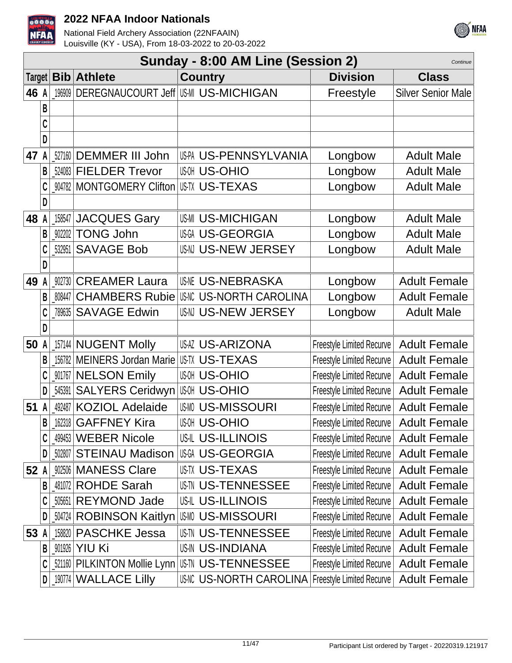



|        |   |        |                                 | Sunday - 8:00 AM Line (Session 2)           |                                  | Continue                  |
|--------|---|--------|---------------------------------|---------------------------------------------|----------------------------------|---------------------------|
| Target |   |        | <b>Bib</b> Athlete              | <b>Country</b>                              | <b>Division</b>                  | <b>Class</b>              |
| 46 A   |   | 196909 | DEREGNAUCOURT Jeff US-MICHIGAN  |                                             | Freestyle                        | <b>Silver Senior Male</b> |
|        | B |        |                                 |                                             |                                  |                           |
|        | C |        |                                 |                                             |                                  |                           |
|        | D |        |                                 |                                             |                                  |                           |
| 47     | A |        | 527160 DEMMER III John          | US-PA US-PENNSYLVANIA                       | Longbow                          | <b>Adult Male</b>         |
|        | B |        | 524083 FIELDER Trevor           | <b>US-OHIO</b>                              | Longbow                          | <b>Adult Male</b>         |
|        |   |        | 904782 MONTGOMERY Clifton       | US-TX US-TEXAS                              | Longbow                          | <b>Adult Male</b>         |
|        | D |        |                                 |                                             |                                  |                           |
| 48     | A | 158547 | <b>JACQUES Gary</b>             | <b>US-MI US-MICHIGAN</b>                    | Longbow                          | <b>Adult Male</b>         |
|        | B | 902202 | <b>TONG John</b>                | <b>USGI US-GEORGIA</b>                      | Longbow                          | <b>Adult Male</b>         |
|        |   | 532951 | <b>SAVAGE Bob</b>               | US-N US-NEW JERSEY                          | Longbow                          | <b>Adult Male</b>         |
|        | D |        |                                 |                                             |                                  |                           |
| 49     |   |        | 902730 CREAMER Laura            | <b>US-NEBRASKA</b>                          | Longbow                          | <b>Adult Female</b>       |
|        | B |        | 808447 CHAMBERS Rubie           | <b>US-NORTH CAROLINA</b>                    | Longbow                          | <b>Adult Female</b>       |
|        | C |        | 789635 SAVAGE Edwin             | US-N US-NEW JERSEY                          | Longbow                          | <b>Adult Male</b>         |
|        | D |        |                                 |                                             |                                  |                           |
| 50     | A |        | 157144 NUGENT Molly             | <b>US-ARIZONA</b>                           | <b>Freestyle Limited Recurve</b> | <b>Adult Female</b>       |
|        | В |        | 156782 MEINERS Jordan Marie     | <b>USTX US-TEXAS</b>                        | <b>Freestyle Limited Recurve</b> | <b>Adult Female</b>       |
|        |   |        | 901767 NELSON Emily             | <b>US-OHIO</b>                              | Freestyle Limited Recurve        | <b>Adult Female</b>       |
|        | D | 545391 | <b>SALYERS Ceridwyn</b>         | <b>US-OHIO</b>                              | <b>Freestyle Limited Recurve</b> | <b>Adult Female</b>       |
| 51     |   | 492487 | <b>KOZIOL Adelaide</b>          | <b>USMO US-MISSOURI</b>                     | <b>Freestyle Limited Recurve</b> | <b>Adult Female</b>       |
|        | B |        | [162318   GAFFNEY Kira          | <b>US-OHIO</b>                              | Freestyle Limited Recurve        | <b>Adult Female</b>       |
|        | C |        | 499453 WEBER Nicole             | <b>US-IL US-ILLINOIS</b>                    | Freestyle Limited Recurve        | <b>Adult Female</b>       |
|        | D |        | 502807   STEINAU Madison        | US-GEORGIA                                  | Freestyle Limited Recurve        | <b>Adult Female</b>       |
| 52 A   |   |        | 902506   MANESS Clare           | <b>US-TX US-TEXAS</b>                       | Freestyle Limited Recurve        | <b>Adult Female</b>       |
|        | B |        | 481072 ROHDE Sarah              | <b>US-TENNESSEE</b>                         | <b>Freestyle Limited Recurve</b> | <b>Adult Female</b>       |
|        |   | 505651 | <b>REYMOND Jade</b>             | <b>US-IL US-ILLINOIS</b>                    | <b>Freestyle Limited Recurve</b> | <b>Adult Female</b>       |
|        | D |        | 504724 ROBINSON Kaitlyn         | <b>US-MISSOURI</b>                          | <b>Freestyle Limited Recurve</b> | <b>Adult Female</b>       |
| 53     | A |        | 158820 PASCHKE Jessa            | <b>US-TENNESSEE</b>                         | <b>Freestyle Limited Recurve</b> | <b>Adult Female</b>       |
|        | B |        | 901926 YIU Ki                   | <b>US-IN US-INDIANA</b>                     | <b>Freestyle Limited Recurve</b> | <b>Adult Female</b>       |
|        | C |        | _521160   PILKINTON Mollie Lynn | IUSIN US-TENNESSEE                          | <b>Freestyle Limited Recurve</b> | <b>Adult Female</b>       |
|        | D |        | 190774 WALLACE Lilly            | US-NORTH CAROLINA Freestyle Limited Recurve |                                  | <b>Adult Female</b>       |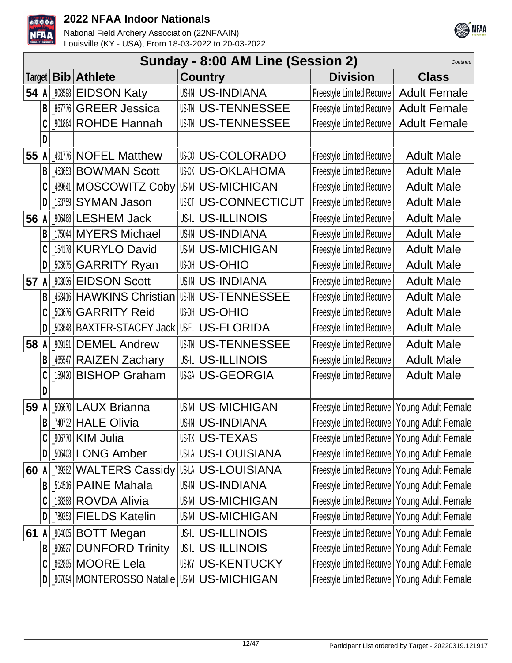



|      | Sunday - 8:00 AM Line (Session 2)<br>Continue |        |                                            |  |                           |                                                |                     |  |  |
|------|-----------------------------------------------|--------|--------------------------------------------|--|---------------------------|------------------------------------------------|---------------------|--|--|
|      |                                               |        | Target   Bib   Athlete                     |  | <b>Country</b>            | <b>Division</b>                                | <b>Class</b>        |  |  |
| 54 A |                                               |        | 908598 EIDSON Katy                         |  | <b>US-IN US-INDIANA</b>   | Freestyle Limited Recurve                      | <b>Adult Female</b> |  |  |
|      | B                                             |        | <b>_867776 GREER Jessica</b>               |  | <b>US-TENNESSEE</b>       | <b>Freestyle Limited Recurve</b>               | <b>Adult Female</b> |  |  |
|      |                                               |        | 901864 ROHDE Hannah                        |  | <b>US-TW US-TENNESSEE</b> | <b>Freestyle Limited Recurve</b>               | <b>Adult Female</b> |  |  |
|      | D                                             |        |                                            |  |                           |                                                |                     |  |  |
| 55   | A                                             |        | 491776 NOFEL Matthew                       |  | <b>US-COLORADO</b>        | <b>Freestyle Limited Recurve</b>               | <b>Adult Male</b>   |  |  |
|      | B                                             | 453653 | <b>BOWMAN Scott</b>                        |  | <b>US-OKLAHOMA</b>        | <b>Freestyle Limited Recurve</b>               | <b>Adult Male</b>   |  |  |
|      |                                               |        | 489641 MOSCOWITZ Coby                      |  | US-MI US-MICHIGAN         | <b>Freestyle Limited Recurve</b>               | <b>Adult Male</b>   |  |  |
|      | D                                             | 153759 | <b>SYMAN Jason</b>                         |  | <b>US-CONNECTICUT</b>     | <b>Freestyle Limited Recurve</b>               | <b>Adult Male</b>   |  |  |
|      |                                               |        | 56 A MG468 LESHEM Jack                     |  | <b>US-IL US-ILLINOIS</b>  | <b>Freestyle Limited Recurve</b>               | <b>Adult Male</b>   |  |  |
|      | B                                             |        | 175044 MYERS Michael                       |  | <b>US-IN US-INDIANA</b>   | <b>Freestyle Limited Recurve</b>               | <b>Adult Male</b>   |  |  |
|      | C                                             |        | 154178 KURYLO David                        |  | <b>US-MICHIGAN</b>        | <b>Freestyle Limited Recurve</b>               | <b>Adult Male</b>   |  |  |
|      | D                                             |        | <b>503675 GARRITY Ryan</b>                 |  | <b>US-OHIO</b>            | <b>Freestyle Limited Recurve</b>               | <b>Adult Male</b>   |  |  |
| 57   | A                                             | 903036 | <b>EIDSON Scott</b>                        |  | <b>US-IN US-INDIANA</b>   | <b>Freestyle Limited Recurve</b>               | <b>Adult Male</b>   |  |  |
|      | B                                             | 453416 | <b>HAWKINS Christian</b>                   |  | <b>US-TENNESSEE</b>       | <b>Freestyle Limited Recurve</b>               | <b>Adult Male</b>   |  |  |
|      |                                               | 503676 | <b>GARRITY Reid</b>                        |  | <b>US-OHIO</b>            | <b>Freestyle Limited Recurve</b>               | <b>Adult Male</b>   |  |  |
|      | D                                             |        | 503648   BAXTER-STACEY Jack                |  | USFL US-FLORIDA           | <b>Freestyle Limited Recurve</b>               | <b>Adult Male</b>   |  |  |
| 58   | A                                             |        | 909191 DEMEL Andrew                        |  | <b>US-TENNESSEE</b>       | <b>Freestyle Limited Recurve</b>               | <b>Adult Male</b>   |  |  |
|      | B                                             |        | _46547 RAIZEN Zachary                      |  | US-IL US-ILLINOIS         | <b>Freestyle Limited Recurve</b>               | <b>Adult Male</b>   |  |  |
|      | C                                             | 159420 | <b>BISHOP Graham</b>                       |  | <b>USGA US-GEORGIA</b>    | <b>Freestyle Limited Recurve</b>               | <b>Adult Male</b>   |  |  |
|      | D                                             |        |                                            |  |                           |                                                |                     |  |  |
| 59   | A                                             |        | 506670 LAUX Brianna                        |  | <b>US-MICHIGAN</b>        | Freestyle Limited Recurve   Young Adult Female |                     |  |  |
|      | B                                             |        | 740732 HALE Olivia                         |  | <b>US-IN US-INDIANA</b>   | Freestyle Limited Recurve   Young Adult Female |                     |  |  |
|      |                                               |        | 906770 KIM Julia                           |  | <b>US-TEXAS</b>           | Freestyle Limited Recurve   Young Adult Female |                     |  |  |
|      | D                                             |        | 506403 LONG Amber                          |  | US-LA US-LOUISIANA        | Freestyle Limited Recurve   Young Adult Female |                     |  |  |
| 60   | A                                             |        | 739282 WALTERS Cassidy                     |  | US-LOUISIANA              | Freestyle Limited Recurve   Young Adult Female |                     |  |  |
|      | B                                             |        | 514516 <b>PAINE Mahala</b>                 |  | <b>US-INDIANA</b>         | Freestyle Limited Recurve   Young Adult Female |                     |  |  |
|      |                                               |        | 158288 ROVDA Alivia                        |  | <b>US-MICHIGAN</b>        | Freestyle Limited Recurve   Young Adult Female |                     |  |  |
|      | D                                             |        | 789253 FIELDS Katelin                      |  | <b>US-MICHIGAN</b>        | Freestyle Limited Recurve   Young Adult Female |                     |  |  |
| 61   | A                                             |        | 904005 BOTT Megan                          |  | <b>US-IL US-ILLINOIS</b>  | Freestyle Limited Recurve   Young Adult Female |                     |  |  |
|      | B                                             | 906927 | <b>DUNFORD Trinity</b>                     |  | <b>US-IL US-ILLINOIS</b>  | Freestyle Limited Recurve   Young Adult Female |                     |  |  |
|      |                                               |        | 862895 MOORE Lela                          |  | <b>US-KY US-KENTUCKY</b>  | Freestyle Limited Recurve   Young Adult Female |                     |  |  |
|      | D                                             |        | _907094   MONTEROSSO Natalie   US-MICHIGAN |  |                           | Freestyle Limited Recurve   Young Adult Female |                     |  |  |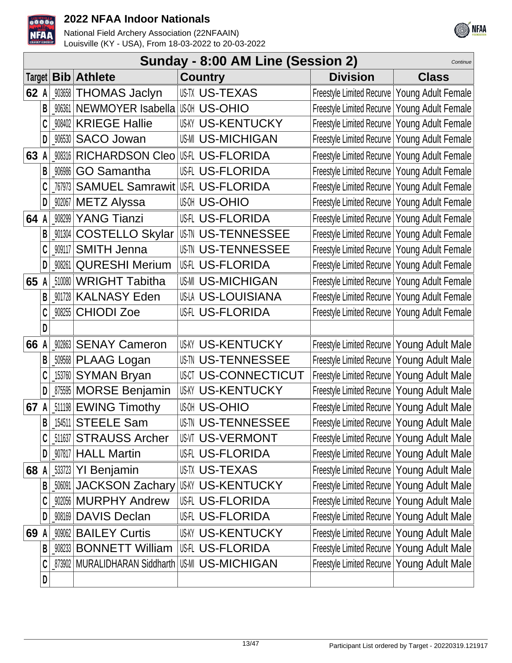



|        | Sunday - 8:00 AM Line (Session 2)<br>Continue |        |                                   |                           |                                                |                           |  |  |  |
|--------|-----------------------------------------------|--------|-----------------------------------|---------------------------|------------------------------------------------|---------------------------|--|--|--|
| Target |                                               |        | <b>Bib</b> Athlete                | <b>Country</b>            | <b>Division</b>                                | <b>Class</b>              |  |  |  |
| 62 A   |                                               |        | 903658 THOMAS Jaclyn              | <b>USTX US-TEXAS</b>      | Freestyle Limited Recurve   Young Adult Female |                           |  |  |  |
|        | B                                             | 906361 | NEWMOYER Isabella                 | <b>IUGOH US-OHIO</b>      | Freestyle Limited Recurve   Young Adult Female |                           |  |  |  |
|        |                                               | 908402 | <b>KRIEGE Hallie</b>              | <b>US-KENTUCKY</b>        | Freestyle Limited Recurve                      | <b>Young Adult Female</b> |  |  |  |
|        | D                                             | 906530 | <b>SACO Jowan</b>                 | <b>US-MICHIGAN</b>        | <b>Freestyle Limited Recurve</b>               | Young Adult Female        |  |  |  |
| 63     | A                                             | 908316 | <b>RICHARDSON Cleo</b>            | US-IL US-FLORIDA          | <b>Freestyle Limited Recurve</b>               | Young Adult Female        |  |  |  |
|        | B                                             | 906986 | <b>GO Samantha</b>                | <b>US-FLORIDA</b>         | <b>Freestyle Limited Recurve</b>               | Young Adult Female        |  |  |  |
|        | C                                             | 767973 | <b>SAMUEL Samrawit US-FLORIDA</b> |                           | Freestyle Limited Recurve   Young Adult Female |                           |  |  |  |
|        | D                                             | 902067 | <b>METZ Alyssa</b>                | <b>US-OHIO</b>            | Freestyle Limited Recurve   Young Adult Female |                           |  |  |  |
| 64 A   |                                               | 908299 | <b>YANG Tianzi</b>                | US-TLORIDA                | Freestyle Limited Recurve   Young Adult Female |                           |  |  |  |
|        |                                               | 901304 | <b>COSTELLO Skylar</b>            | <b>USIN US-TENNESSEE</b>  | Freestyle Limited Recurve   Young Adult Female |                           |  |  |  |
|        | C                                             | 909117 | <b>SMITH Jenna</b>                | <b>US-TENNESSEE</b>       | Freestyle Limited Recurve   Young Adult Female |                           |  |  |  |
|        | D                                             | 908261 | <b>QURESHI Merium</b>             | <b>US-FLORIDA</b>         | Freestyle Limited Recurve   Young Adult Female |                           |  |  |  |
| 65     |                                               | 510080 | <b>WRIGHT Tabitha</b>             | <b>US-MICHIGAN</b>        | Freestyle Limited Recurve   Young Adult Female |                           |  |  |  |
|        | B                                             | 901728 | <b>KALNASY Eden</b>               | US-LA US-LOUISIANA        | Freestyle Limited Recurve   Young Adult Female |                           |  |  |  |
|        | C                                             | 908255 | <b>CHIODI Zoe</b>                 | <b>US-FLORIDA</b>         | Freestyle Limited Recurve   Young Adult Female |                           |  |  |  |
|        | D                                             |        |                                   |                           |                                                |                           |  |  |  |
| 66     |                                               | 902863 | <b>SENAY Cameron</b>              | <b>US-KY US-KENTUCKY</b>  | Freestyle Limited Recurve   Young Adult Male   |                           |  |  |  |
|        | B                                             | 509568 | PLAAG Logan                       | <b>US-TENNESSEE</b>       | Freestyle Limited Recurve   Young Adult Male   |                           |  |  |  |
|        |                                               | 153760 | <b>SYMAN Bryan</b>                | <b>US-CONNECTICUT</b>     | Freestyle Limited Recurve   Young Adult Male   |                           |  |  |  |
|        | D                                             | 875595 | <b>MORSE Benjamin</b>             | <b>US-KY US-KENTUCKY</b>  | Freestyle Limited Recurve   Young Adult Male   |                           |  |  |  |
| 67     |                                               |        | 511198 EWING Timothy              | <b>US-OHIO</b>            | Freestyle Limited Recurve   Young Adult Male   |                           |  |  |  |
|        | B                                             |        | [154511 STEELE Sam                | <b>US-TN US-TENNESSEE</b> | Freestyle Limited Recurve   Young Adult Male   |                           |  |  |  |
|        | C                                             |        | 511637 STRAUSS Archer             | <b>US-VERMONT</b>         | Freestyle Limited Recurve   Young Adult Male   |                           |  |  |  |
|        | D                                             |        | 907817 HALL Martin                | US-FLORIDA                | Freestyle Limited Recurve   Young Adult Male   |                           |  |  |  |
| 68 A   |                                               |        | 533723 YI Benjamin                | US-TUS-TEXAS              | Freestyle Limited Recurve   Young Adult Male   |                           |  |  |  |
|        | B                                             | 506091 | <b>JACKSON Zachary</b>            | <b>IUSKY US-KENTUCKY</b>  | Freestyle Limited Recurve   Young Adult Male   |                           |  |  |  |
|        |                                               | 902056 | <b>MURPHY Andrew</b>              | <b>US-FLORIDA</b>         | Freestyle Limited Recurve   Young Adult Male   |                           |  |  |  |
|        | D                                             | 908169 | <b>DAVIS Declan</b>               | <b>US-FLORIDA</b>         | Freestyle Limited Recurve   Young Adult Male   |                           |  |  |  |
| 69     |                                               |        | 909062 BAILEY Curtis              | <b>US-KY US-KENTUCKY</b>  | Freestyle Limited Recurve   Young Adult Male   |                           |  |  |  |
|        | B                                             | 908233 | <b>BONNETT William</b>            | US-IL US-FLORIDA          | Freestyle Limited Recurve   Young Adult Male   |                           |  |  |  |
|        | C                                             | 873902 | MURALIDHARAN Siddharth            | <b>US-MI US-MICHIGAN</b>  | Freestyle Limited Recurve   Young Adult Male   |                           |  |  |  |
|        | D                                             |        |                                   |                           |                                                |                           |  |  |  |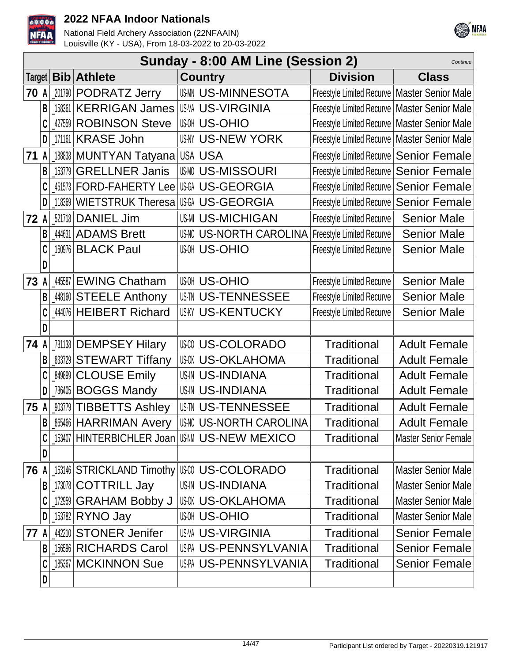



|      |   |        |                                    | Sunday - 8:00 AM Line (Session 2)             |                                                | Continue                    |
|------|---|--------|------------------------------------|-----------------------------------------------|------------------------------------------------|-----------------------------|
|      |   |        | Target   Bib   Athlete             | <b>Country</b>                                | <b>Division</b>                                | <b>Class</b>                |
| 70   | A |        | 201790 PODRATZ Jerry               | <b>USMN US-MINNESOTA</b>                      | Freestyle Limited Recurve   Master Senior Male |                             |
|      | B | 158361 | <b>KERRIGAN James</b>              | <b>IUS-VA US-VIRGINIA</b>                     | Freestyle Limited Recurve   Master Senior Male |                             |
|      |   | 427559 | <b>ROBINSON Steve</b>              | <b>US-OHIO</b>                                | Freestyle Limited Recurve   Master Senior Male |                             |
|      | D |        | 171161 KRASE John                  | <b>US-NEW YORK</b>                            | Freestyle Limited Recurve   Master Senior Male |                             |
| 71 A |   |        | 188838   MUNTYAN Tatyana   USA USA |                                               | Freestyle Limited Recurve   Senior Female      |                             |
|      | B | 153779 | <b>GRELLNER Janis</b>              | <b>US-MISSOURI</b>                            | Freestyle Limited Recurve   Senior Female      |                             |
|      |   | 451573 | <b>FORD-FAHERTY Lee</b>            | <b>US-GEORGIA</b>                             | Freestyle Limited Recurve   Senior Female      |                             |
|      | D | 118369 | <b>WIETSTRUK Theresa</b>           | US-GA US-GEORGIA                              | Freestyle Limited Recurve   Senior Female      |                             |
| 72 A |   | 521718 | <b>DANIEL Jim</b>                  | <b>US-MI US-MICHIGAN</b>                      | Freestyle Limited Recurve                      | <b>Senior Male</b>          |
|      |   | 444631 | <b>ADAMS Brett</b>                 | US-NORTH CAROLINA Freestyle Limited Recurve   |                                                | <b>Senior Male</b>          |
|      |   | 160976 | <b>BLACK Paul</b>                  | <b>US-OHIO</b>                                | <b>Freestyle Limited Recurve</b>               | <b>Senior Male</b>          |
|      | D |        |                                    |                                               |                                                |                             |
| 73   |   | 445587 | <b>EWING Chatham</b>               | <b>US-OHIO</b>                                | <b>Freestyle Limited Recurve</b>               | <b>Senior Male</b>          |
|      | B |        | 448160 STEELE Anthony              | <b>US-TI US-TENNESSEE</b>                     | <b>Freestyle Limited Recurve</b>               | <b>Senior Male</b>          |
|      |   |        | 444076 HEIBERT Richard             | <b>US-KY US-KENTUCKY</b>                      | <b>Freestyle Limited Recurve</b>               | <b>Senior Male</b>          |
|      | D |        |                                    |                                               |                                                |                             |
| 74 A |   |        | 731138 DEMPSEY Hilary              | <b>US-COLORADO</b>                            | Traditional                                    | <b>Adult Female</b>         |
|      |   |        | 833729 STEWART Tiffany             | US-OKLAHOMA                                   | <b>Traditional</b>                             | <b>Adult Female</b>         |
|      |   | 849899 | <b>CLOUSE Emily</b>                | <b>US-IN US-INDIANA</b>                       | <b>Traditional</b>                             | <b>Adult Female</b>         |
|      |   | 736405 | <b>BOGGS Mandy</b>                 | <b>US-IN US-INDIANA</b>                       | Traditional                                    | <b>Adult Female</b>         |
| 75   | A |        | <b>W3779 TIBBETTS Ashley</b>       | <b>US-TU US-TENNESSEE</b>                     | <b>Traditional</b>                             | <b>Adult Female</b>         |
|      | B |        | <b>865466 HARRIMAN Avery</b>       | <b>US-IN US-NORTH CAROLINA</b>                | Traditional                                    | <b>Adult Female</b>         |
|      | C |        |                                    | 153407 HINTERBICHLER Joan US-MI US-NEW MEXICO | Traditional                                    | <b>Master Senior Female</b> |
|      | D |        |                                    |                                               |                                                |                             |
| 76 A |   |        |                                    | 153146 STRICKLAND Timothy US US-COLORADO      | <b>Traditional</b>                             | <b>Master Senior Male</b>   |
|      | B |        | 173078 COTTRILL Jay                | <b>US-IN US-INDIANA</b>                       | <b>Traditional</b>                             | <b>Master Senior Male</b>   |
|      |   |        | 172959 GRAHAM Bobby J              | US-OKLAHOMA                                   | <b>Traditional</b>                             | <b>Master Senior Male</b>   |
|      | D |        | 153782 <b>RYNO Jay</b>             | <b>US-OHIO</b>                                | <b>Traditional</b>                             | <b>Master Senior Male</b>   |
| 77 A |   |        | 442210 STONER Jenifer              | <b>US-VA US-VIRGINIA</b>                      | Traditional                                    | <b>Senior Female</b>        |
|      | B | 156596 | <b>RICHARDS Carol</b>              | US-PA US-PENNSYLVANIA                         | Traditional                                    | <b>Senior Female</b>        |
|      |   |        | 185367   MCKINNON Sue              | US-PA US-PENNSYLVANIA                         | Traditional                                    | <b>Senior Female</b>        |
|      | D |        |                                    |                                               |                                                |                             |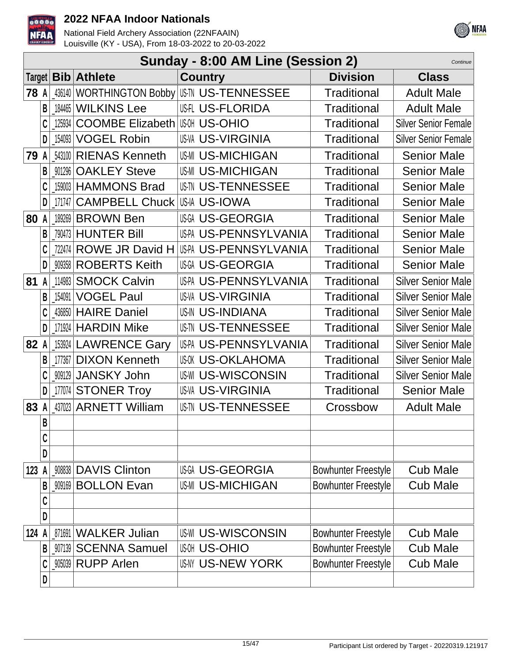



|             | Sunday - 8:00 AM Line (Session 2)<br>Continue |            |                                      |                                            |                            |                             |  |  |  |
|-------------|-----------------------------------------------|------------|--------------------------------------|--------------------------------------------|----------------------------|-----------------------------|--|--|--|
|             |                                               |            | Target   Bib   Athlete               | <b>Country</b>                             | <b>Division</b>            | <b>Class</b>                |  |  |  |
| <b>78 A</b> |                                               |            |                                      | _436140   WORTHINGTON Bobby   US-TENNESSEE | <b>Traditional</b>         | <b>Adult Male</b>           |  |  |  |
|             | B                                             |            | 184465 WILKINS Lee                   | <b>US-FLORIDA</b>                          | <b>Traditional</b>         | <b>Adult Male</b>           |  |  |  |
|             |                                               | 125934     | <b>COOMBE Elizabeth US-U US-OHIO</b> |                                            | <b>Traditional</b>         | <b>Silver Senior Female</b> |  |  |  |
|             | D                                             | 154093     | <b>VOGEL Robin</b>                   | <b>US-VA US-VIRGINIA</b>                   | <b>Traditional</b>         | <b>Silver Senior Female</b> |  |  |  |
|             |                                               |            | 79 A 543100 RIENAS Kenneth           | <b>US-MICHIGAN</b>                         | <b>Traditional</b>         | <b>Senior Male</b>          |  |  |  |
|             | B                                             |            | 901296 OAKLEY Steve                  | <b>US-MICHIGAN</b>                         | Traditional                | <b>Senior Male</b>          |  |  |  |
|             |                                               |            | [159003   HAMMONS Brad               | <b>US-TENNESSEE</b>                        | <b>Traditional</b>         | <b>Senior Male</b>          |  |  |  |
|             |                                               | $D$ 171747 | <b>CAMPBELL Chuck</b>                | US-IA US-IOWA                              | <b>Traditional</b>         | <b>Senior Male</b>          |  |  |  |
| 80 A        |                                               |            | 189269 BROWN Ben                     | US-A US-GEORGIA                            | <b>Traditional</b>         | <b>Senior Male</b>          |  |  |  |
|             | B                                             |            | [790473   HUNTER Bill]               | US-PA US-PENNSYLVANIA                      | <b>Traditional</b>         | <b>Senior Male</b>          |  |  |  |
|             |                                               |            | [722474 ROWE JR David H              | US-PENNSYLVANIA                            | <b>Traditional</b>         | <b>Senior Male</b>          |  |  |  |
|             | D                                             |            | 909358 ROBERTS Keith                 | US-GEORGIA                                 | <b>Traditional</b>         | <b>Senior Male</b>          |  |  |  |
| 81 A        |                                               | 114983     | <b>SMOCK Calvin</b>                  | US-PA US-PENNSYLVANIA                      | <b>Traditional</b>         | <b>Silver Senior Male</b>   |  |  |  |
|             | B <sub>1</sub>                                | 154091     | <b>VOGEL Paul</b>                    | <b>US-VA US-VIRGINIA</b>                   | <b>Traditional</b>         | <b>Silver Senior Male</b>   |  |  |  |
|             | C                                             |            | 436850 HAIRE Daniel                  | USIN US-INDIANA                            | <b>Traditional</b>         | <b>Silver Senior Male</b>   |  |  |  |
|             |                                               |            | $D$   171924 HARDIN Mike             | <b>US-TENNESSEE</b>                        | <b>Traditional</b>         | <b>Silver Senior Male</b>   |  |  |  |
| 82 A        |                                               |            | 153924 LAWRENCE Gary                 | US-PA US-PENNSYLVANIA                      | <b>Traditional</b>         | <b>Silver Senior Male</b>   |  |  |  |
|             | B                                             | $-177367$  | <b>DIXON Kenneth</b>                 | <b>US-OKLAHOMA</b>                         | <b>Traditional</b>         | <b>Silver Senior Male</b>   |  |  |  |
|             |                                               |            | _909129   JANSKY John                | US-WISCONSIN                               | <b>Traditional</b>         | <b>Silver Senior Male</b>   |  |  |  |
|             | D                                             |            | 177074 STONER Troy                   | <b>US-VA US-VIRGINIA</b>                   | <b>Traditional</b>         | <b>Senior Male</b>          |  |  |  |
|             |                                               |            | 83 A 437023 ARNETT William           | <b>US-TN US-TENNESSEE</b>                  | Crossbow                   | <b>Adult Male</b>           |  |  |  |
|             | B                                             |            |                                      |                                            |                            |                             |  |  |  |
|             | C                                             |            |                                      |                                            |                            |                             |  |  |  |
|             | D                                             |            |                                      |                                            |                            |                             |  |  |  |
| 123         | A                                             |            | 908838   DAVIS Clinton               | <b>US-GEORGIA</b>                          | <b>Bowhunter Freestyle</b> | <b>Cub Male</b>             |  |  |  |
|             | B                                             | 909169     | <b>BOLLON Evan</b>                   | <b>US-MI US-MICHIGAN</b>                   | <b>Bowhunter Freestyle</b> | <b>Cub Male</b>             |  |  |  |
|             | C                                             |            |                                      |                                            |                            |                             |  |  |  |
|             | D                                             |            |                                      |                                            |                            |                             |  |  |  |
| 124         | A                                             |            | 871691 WALKER Julian                 | <b>US-WISCONSIN</b>                        | <b>Bowhunter Freestyle</b> | <b>Cub Male</b>             |  |  |  |
|             | B                                             |            | 907139 SCENNA Samuel                 | <b>US-OHIO</b>                             | <b>Bowhunter Freestyle</b> | <b>Cub Male</b>             |  |  |  |
|             | C                                             |            | _905039 RUPP Arlen                   | <b>US-NY US-NEW YORK</b>                   | <b>Bowhunter Freestyle</b> | <b>Cub Male</b>             |  |  |  |
|             | D                                             |            |                                      |                                            |                            |                             |  |  |  |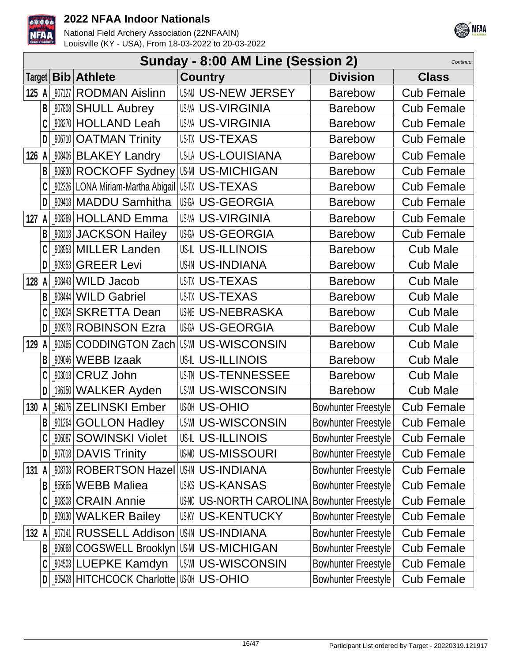



|       |   |        |                                                       | Sunday - 8:00 AM Line (Session 2)     |                            | Continue          |
|-------|---|--------|-------------------------------------------------------|---------------------------------------|----------------------------|-------------------|
|       |   |        | Target <b>Bib</b> Athlete                             | <b>Country</b>                        | <b>Division</b>            | <b>Class</b>      |
| 125 A |   |        | 907127 RODMAN Aislinn                                 | US-N US-NEW JERSEY                    | <b>Barebow</b>             | <b>Cub Female</b> |
|       | B |        | _907808 SHULL Aubrey                                  | <b>US-VA US-VIRGINIA</b>              | <b>Barebow</b>             | <b>Cub Female</b> |
|       |   |        | <b>908270 HOLLAND Leah</b>                            | <b>US-VA US-VIRGINIA</b>              | <b>Barebow</b>             | <b>Cub Female</b> |
|       | D |        | 906710   OATMAN Trinity                               | <b>USTX US-TEXAS</b>                  | <b>Barebow</b>             | <b>Cub Female</b> |
| 126 A |   |        | _908406 BLAKEY Landry                                 | US-LA US-LOUISIANA                    | <b>Barebow</b>             | <b>Cub Female</b> |
|       | B |        | _‱30 ROCKOFF Sydney US⋅M US-MICHIGAN                  |                                       | <b>Barebow</b>             | <b>Cub Female</b> |
|       |   |        | _902326   LONA Miriam-Martha Abigail   US-TX US-TEXAS |                                       | <b>Barebow</b>             | <b>Cub Female</b> |
|       | D |        | 009418 MADDU Samhitha                                 | <b>USGA US-GEORGIA</b>                | <b>Barebow</b>             | <b>Cub Female</b> |
| 127A  |   |        | 908269 HOLLAND Emma                                   | <b>US-VIRGINIA</b>                    | <b>Barebow</b>             | <b>Cub Female</b> |
|       |   |        | <b>W8118 JACKSON Hailey</b>                           | US-GEORGIA                            | <b>Barebow</b>             | <b>Cub Female</b> |
|       |   |        | 908953 MILLER Landen                                  | US-IL US-ILLINOIS                     | <b>Barebow</b>             | <b>Cub Male</b>   |
|       | D |        | 909353 GREER Levi                                     | <b>US-IN US-INDIANA</b>               | <b>Barebow</b>             | <b>Cub Male</b>   |
| 128   | A |        | $908443$ WILD Jacob                                   | <b>US-TX US-TEXAS</b>                 | <b>Barebow</b>             | <b>Cub Male</b>   |
|       | B |        | 908444 WILD Gabriel                                   | <b>USTX US-TEXAS</b>                  | <b>Barebow</b>             | <b>Cub Male</b>   |
|       |   |        | 909204 SKRETTA Dean                                   | <b>USME US-NEBRASKA</b>               | <b>Barebow</b>             | <b>Cub Male</b>   |
|       | D |        | <b>909373 ROBINSON Ezra</b>                           | <b>US-GEORGIA</b>                     | <b>Barebow</b>             | <b>Cub Male</b>   |
| 129   | A |        | 902465 CODDINGTON Zach                                | US-WI US-WISCONSIN                    | <b>Barebow</b>             | <b>Cub Male</b>   |
|       |   |        | 909046 WEBB Izaak                                     | US-IL US-ILLINOIS                     | <b>Barebow</b>             | <b>Cub Male</b>   |
|       |   |        | 903013 CRUZ John                                      | <b>US-TENNESSEE</b>                   | <b>Barebow</b>             | <b>Cub Male</b>   |
|       | D |        | 196150 WALKER Ayden                                   | <b>US-WI US-WISCONSIN</b>             | <b>Barebow</b>             | <b>Cub Male</b>   |
| 130   | A |        | 546176 ZELINSKI Ember                                 | <b>US-OHIO</b>                        | <b>Bowhunter Freestyle</b> | <b>Cub Female</b> |
|       | B |        | _901264 GOLLON Hadley                                 | <b>US-WISCONSIN</b>                   | <b>Bowhunter Freestyle</b> | <b>Cub Female</b> |
|       | C |        | 906087 SOWINSKI Violet                                | US-IL US-ILLINOIS                     | Bowhunter Freestyle        | <b>Cub Female</b> |
|       | D |        | _907018   DAVIS Trinity                               | <b>US-MISSOURI</b>                    | Bowhunter Freestyle        | <b>Cub Female</b> |
| 131   | A |        | <b>908738 ROBERTSON Hazel US-IN US-INDIANA</b>        |                                       | Bowhunter Freestyle        | <b>Cub Female</b> |
|       | B | 855665 | <b>WEBB Maliea</b>                                    | <b>US-KANSAS</b>                      | <b>Bowhunter Freestyle</b> | <b>Cub Female</b> |
|       |   |        | 908308 CRAIN Annie                                    | US-NORTH CAROLINA Bowhunter Freestyle |                            | <b>Cub Female</b> |
|       | D |        | _909130   WALKER Bailey                               | <b>US-KY US-KENTUCKY</b>              | <b>Bowhunter Freestyle</b> | <b>Cub Female</b> |
| 132 A |   |        | 907141 RUSSELL Addison                                | USIN US-INDIANA                       | Bowhunter Freestyle        | <b>Cub Female</b> |
|       | B |        | <b>WWW8 COGSWELL Brooklyn USMI US-MICHIGAN</b>        |                                       | <b>Bowhunter Freestyle</b> | <b>Cub Female</b> |
|       | C |        | _904503 LUEPKE Kamdyn                                 | <b>US-WISCONSIN</b>                   | Bowhunter Freestyle        | <b>Cub Female</b> |
|       | D |        | _905428   HITCHCOCK Charlotte   US-MI US-OHIO         |                                       | Bowhunter Freestyle        | <b>Cub Female</b> |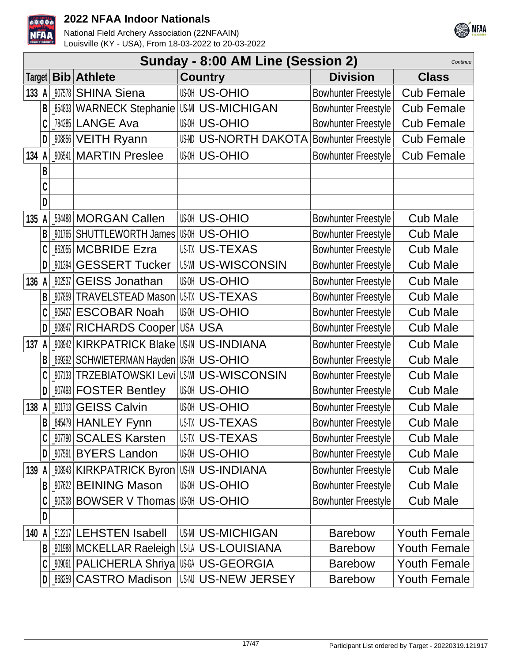



|         | Sunday - 8:00 AM Line (Session 2)<br>Continue |                |                                      |                           |                            |                     |  |  |  |
|---------|-----------------------------------------------|----------------|--------------------------------------|---------------------------|----------------------------|---------------------|--|--|--|
| Target  |                                               | Bib            | <b>Athlete</b>                       | <b>Country</b>            | <b>Division</b>            | <b>Class</b>        |  |  |  |
| 133 $A$ |                                               | 907578         | <b>SHINA Siena</b>                   | <b>US-OHIO</b>            | Bowhunter Freestyle        | <b>Cub Female</b>   |  |  |  |
|         | B                                             | 854833         | <b>WARNECK Stephanie US-MICHIGAN</b> |                           | Bowhunter Freestyle        | <b>Cub Female</b>   |  |  |  |
|         | C                                             |                | 784285 LANGE Ava                     | <b>US-OHIO</b>            | Bowhunter Freestyle        | <b>Cub Female</b>   |  |  |  |
|         | $\mathsf{D}$                                  |                | _908856   VEITH Ryann                | <b>US-NORTH DAKOTA</b>    | <b>Bowhunter Freestyle</b> | <b>Cub Female</b>   |  |  |  |
| 134 A   |                                               | 906541         | <b>MARTIN Preslee</b>                | <b>US-OHIO</b>            | <b>Bowhunter Freestyle</b> | <b>Cub Female</b>   |  |  |  |
|         | B                                             |                |                                      |                           |                            |                     |  |  |  |
|         | C                                             |                |                                      |                           |                            |                     |  |  |  |
|         | D                                             |                |                                      |                           |                            |                     |  |  |  |
| 135     | A                                             |                | 534488 MORGAN Callen                 | <b>US-OHIO</b>            | <b>Bowhunter Freestyle</b> | <b>Cub Male</b>     |  |  |  |
|         | B                                             | 901765         | <b>SHUTTLEWORTH James</b>            | <b>US-OHIO</b>            | <b>Bowhunter Freestyle</b> | <b>Cub Male</b>     |  |  |  |
|         | C                                             | 862055         | <b>MCBRIDE Ezra</b>                  | <b>US-TEXAS</b>           | <b>Bowhunter Freestyle</b> | <b>Cub Male</b>     |  |  |  |
|         | D                                             | 901394         | <b>GESSERT Tucker</b>                | <b>US-WI US-WISCONSIN</b> | <b>Bowhunter Freestyle</b> | <b>Cub Male</b>     |  |  |  |
| 136 A   |                                               | 902537         | <b>GEISS Jonathan</b>                | <b>US-OHIO</b>            | <b>Bowhunter Freestyle</b> | <b>Cub Male</b>     |  |  |  |
|         | B                                             |                | 907859 TRAVELSTEAD Mason             | <b>US-TX US-TEXAS</b>     | <b>Bowhunter Freestyle</b> | <b>Cub Male</b>     |  |  |  |
|         |                                               | 905427         | <b>ESCOBAR Noah</b>                  | <b>US-OHIO</b>            | <b>Bowhunter Freestyle</b> | <b>Cub Male</b>     |  |  |  |
|         | D                                             | 908947         | <b>RICHARDS Cooper</b>               | <b>USA USA</b>            | <b>Bowhunter Freestyle</b> | <b>Cub Male</b>     |  |  |  |
| 137     | A                                             | 908942         | <b>KIRKPATRICK Blake</b>             | <b>US-IN US-INDIANA</b>   | <b>Bowhunter Freestyle</b> | <b>Cub Male</b>     |  |  |  |
|         | B <sub>1</sub>                                | 869292         | SCHWIETERMAN Hayden                  | <b>US-OHIO</b>            | <b>Bowhunter Freestyle</b> | <b>Cub Male</b>     |  |  |  |
|         | C                                             | 907133         | <b>TRZEBIATOWSKI Levi</b>            | <b>US-WISCONSIN</b>       | <b>Bowhunter Freestyle</b> | <b>Cub Male</b>     |  |  |  |
|         | $\mathsf{D}$                                  |                | 907493 FOSTER Bentley                | <b>US-OHIO</b>            | <b>Bowhunter Freestyle</b> | <b>Cub Male</b>     |  |  |  |
| 138 A   |                                               |                | 901713 GEISS Calvin                  | <b>US-OHIO</b>            | <b>Bowhunter Freestyle</b> | <b>Cub Male</b>     |  |  |  |
|         | B                                             |                | 845479 HANLEY Fynn                   | <b>US-TEXAS</b>           | <b>Bowhunter Freestyle</b> | <b>Cub Male</b>     |  |  |  |
|         |                                               |                | 907790 SCALES Karsten                | <b>US-TX US-TEXAS</b>     | <b>Bowhunter Freestyle</b> | <b>Cub Male</b>     |  |  |  |
|         | $\mathsf{D}$                                  | 907591         | <b>BYERS Landon</b>                  | <b>US-OHIO</b>            | <b>Bowhunter Freestyle</b> | <b>Cub Male</b>     |  |  |  |
| 139     |                                               |                | 908943 KIRKPATRICK Byron             | <b>US-IN US-INDIANA</b>   | <b>Bowhunter Freestyle</b> | <b>Cub Male</b>     |  |  |  |
|         | B                                             |                | 907622 BEINING Mason                 | <b>US-OHIO</b>            | <b>Bowhunter Freestyle</b> | <b>Cub Male</b>     |  |  |  |
|         |                                               |                |                                      |                           | <b>Bowhunter Freestyle</b> | <b>Cub Male</b>     |  |  |  |
|         | D                                             |                |                                      |                           |                            |                     |  |  |  |
| 140     | A                                             |                | 512217 LEHSTEN Isabell               | <b>US-MICHIGAN</b>        | <b>Barebow</b>             | <b>Youth Female</b> |  |  |  |
|         | B <sub>1</sub>                                |                | 901988 MCKELLAR Raeleigh             | US-LOUISIANA              | <b>Barebow</b>             | <b>Youth Female</b> |  |  |  |
|         | C                                             | $\_909061$ $ $ | PALICHERLA Shriya US-GEORGIA         |                           | <b>Barebow</b>             | Youth Female        |  |  |  |
|         | D I                                           |                | <b>868259 CASTRO Madison</b>         | US-NEW JERSEY             | <b>Barebow</b>             | Youth Female        |  |  |  |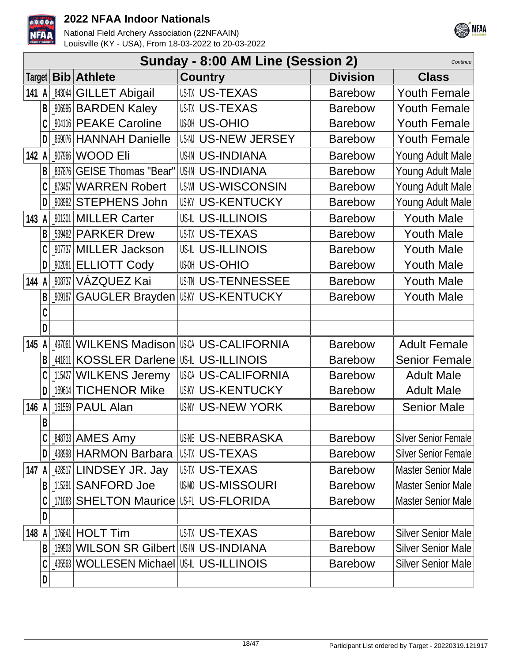



|        |   |        |                                    | Sunday - 8:00 AM Line (Session 2)   |                 | Continue                    |
|--------|---|--------|------------------------------------|-------------------------------------|-----------------|-----------------------------|
| Target |   |        | <b>Bib</b> Athlete                 | <b>Country</b>                      | <b>Division</b> | <b>Class</b>                |
| 141 A  |   | 843044 | <b>GILLET Abigail</b>              | <b>USTX US-TEXAS</b>                | <b>Barebow</b>  | <b>Youth Female</b>         |
|        | B | 906995 | <b>BARDEN Kaley</b>                | <b>USTX US-TEXAS</b>                | <b>Barebow</b>  | <b>Youth Female</b>         |
|        |   | 904116 | <b>PEAKE Caroline</b>              | <b>US-OHIO</b>                      | <b>Barebow</b>  | <b>Youth Female</b>         |
|        | D | 869076 | <b>HANNAH Danielle</b>             | US-N US-NEW JERSEY                  | <b>Barebow</b>  | <b>Youth Female</b>         |
| 142 A  |   | 907966 | <b>WOOD Eli</b>                    | <b>US-IN US-INDIANA</b>             | <b>Barebow</b>  | Young Adult Male            |
|        | B | 837876 | <b>GEISE Thomas "Bear"</b>         | <b>US-IN US-INDIANA</b>             | <b>Barebow</b>  | Young Adult Male            |
|        | C | 873457 | <b>WARREN Robert</b>               | <b>US-WI US-WISCONSIN</b>           | <b>Barebow</b>  | Young Adult Male            |
|        | D | 908982 | <b>STEPHENS John</b>               | <b>US-KY US-KENTUCKY</b>            | <b>Barebow</b>  | Young Adult Male            |
| 143    |   | 901301 | <b>MILLER Carter</b>               | <b>US-IL US-ILLINOIS</b>            | <b>Barebow</b>  | <b>Youth Male</b>           |
|        | B | 539482 | <b>PARKER Drew</b>                 | <b>US-TEXAS</b>                     | <b>Barebow</b>  | <b>Youth Male</b>           |
|        |   | 907737 | <b>MILLER Jackson</b>              | <b>US-IL US-ILLINOIS</b>            | <b>Barebow</b>  | <b>Youth Male</b>           |
|        | D | 902081 | <b>ELLIOTT Cody</b>                | <b>US-OHIO</b>                      | <b>Barebow</b>  | <b>Youth Male</b>           |
| 144    |   | 908737 | VÁZQUEZ Kai                        | <b>US-TENNESSEE</b>                 | <b>Barebow</b>  | <b>Youth Male</b>           |
|        | B | 909187 | GAUGLER Brayden                    | <b>IUSKY US-KENTUCKY</b>            | <b>Barebow</b>  | <b>Youth Male</b>           |
|        | C |        |                                    |                                     |                 |                             |
|        | D |        |                                    |                                     |                 |                             |
| 145    |   | 497061 |                                    | <b>WILKENS Madison US-ALIFORNIA</b> | <b>Barebow</b>  | <b>Adult Female</b>         |
|        | B | 441811 | KOSSLER Darlene US-IL US-ILLINOIS  |                                     | <b>Barebow</b>  | <b>Senior Female</b>        |
|        |   | 115427 | <b>WILKENS Jeremy</b>              | <b>USCA US-CALIFORNIA</b>           | <b>Barebow</b>  | <b>Adult Male</b>           |
|        | D | 169614 | <b>TICHENOR Mike</b>               | <b>US-KY US-KENTUCKY</b>            | <b>Barebow</b>  | <b>Adult Male</b>           |
| 146 A  |   | 161559 | <b>PAUL Alan</b>                   | <b>US-NY US-NEW YORK</b>            | <b>Barebow</b>  | <b>Senior Male</b>          |
|        | B |        |                                    |                                     |                 |                             |
|        |   |        | 848733   AMES Amy                  | USNE US-NEBRASKA                    | <b>Barebow</b>  | <b>Silver Senior Female</b> |
|        | D |        | 438998 HARMON Barbara              | <b>IUS-TX US-TEXAS</b>              | <b>Barebow</b>  | <b>Silver Senior Female</b> |
| 147    |   |        | 428517 LINDSEY JR. Jay             | USTX US-TEXAS                       | <b>Barebow</b>  | <b>Master Senior Male</b>   |
|        | B | 115291 | <b>SANFORD Joe</b>                 | <b>US-MISSOURI</b>                  | <b>Barebow</b>  | <b>Master Senior Male</b>   |
|        |   |        | 171083 SHELTON Maurice US-FLORIDA  |                                     | <b>Barebow</b>  | <b>Master Senior Male</b>   |
|        | D |        |                                    |                                     |                 |                             |
| 148    |   |        | 176841   <b>HOLT Tim</b>           | USTX US-TEXAS                       | <b>Barebow</b>  | <b>Silver Senior Male</b>   |
|        | B | 169903 | WILSON SR Gilbert US-IN US-INDIANA |                                     | <b>Barebow</b>  | <b>Silver Senior Male</b>   |
|        | C | 435563 | WOLLESEN Michael US-ILLINOIS       |                                     | <b>Barebow</b>  | <b>Silver Senior Male</b>   |
|        | D |        |                                    |                                     |                 |                             |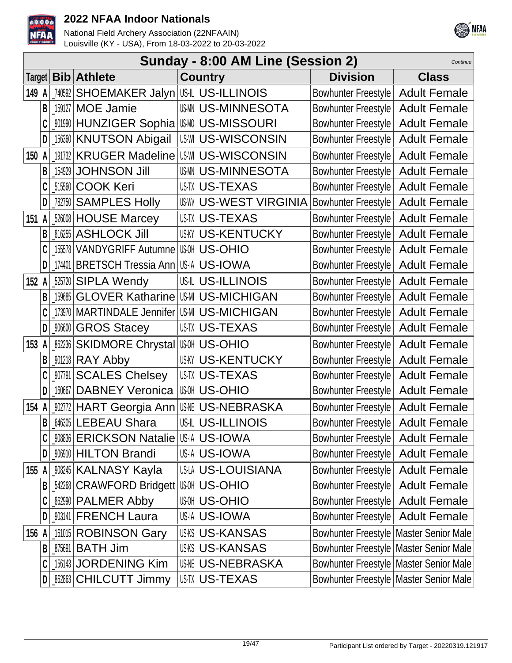



|          | Sunday - 8:00 AM Line (Session 2)<br>Continue |                                                |                                     |                                          |                     |  |  |  |  |
|----------|-----------------------------------------------|------------------------------------------------|-------------------------------------|------------------------------------------|---------------------|--|--|--|--|
|          | Target $ $ <b>Bib</b>                         | <b>Athlete</b>                                 | <b>Country</b>                      | <b>Division</b>                          | <b>Class</b>        |  |  |  |  |
| 149 A    | 740592                                        | SHOEMAKER Jalyn US-IL US-ILLINOIS              |                                     | Bowhunter Freestyle                      | <b>Adult Female</b> |  |  |  |  |
| B        | 159127                                        | <b>MOE Jamie</b>                               | <b>USMN US-MINNESOTA</b>            | <b>Bowhunter Freestyle</b>               | <b>Adult Female</b> |  |  |  |  |
|          | _901990                                       | HUNZIGER Sophia   US-MISSOURI                  |                                     | <b>Bowhunter Freestyle</b>               | <b>Adult Female</b> |  |  |  |  |
| D        |                                               | 156360 KNUTSON Abigail                         | US-WISCONSIN                        | <b>Bowhunter Freestyle</b>               | <b>Adult Female</b> |  |  |  |  |
| 150<br>A | 191732                                        |                                                | <b>KRUGER Madeline US-WISCONSIN</b> | <b>Bowhunter Freestyle</b>               | <b>Adult Female</b> |  |  |  |  |
| B        | 154929                                        | <b>JOHNSON Jill</b>                            | <b>US-MINNESOTA</b>                 | <b>Bowhunter Freestyle</b>               | <b>Adult Female</b> |  |  |  |  |
|          | 515560                                        | <b>COOK Keri</b>                               | <b>USTX US-TEXAS</b>                | <b>Bowhunter Freestyle</b>               | <b>Adult Female</b> |  |  |  |  |
| D        | 782750                                        | <b>SAMPLES Holly</b>                           | <b>US-WEST VIRGINIA</b>             | <b>Bowhunter Freestyle</b>               | <b>Adult Female</b> |  |  |  |  |
| 151 A    |                                               | 526008 HOUSE Marcey                            | <b>USTX US-TEXAS</b>                | <b>Bowhunter Freestyle</b>               | <b>Adult Female</b> |  |  |  |  |
| B        | 816255                                        | <b>ASHLOCK Jill</b>                            | <b>US-KY US-KENTUCKY</b>            | <b>Bowhunter Freestyle</b>               | <b>Adult Female</b> |  |  |  |  |
|          | 155578                                        | VANDYGRIFF Autumne US-M US-OHIO                |                                     | <b>Bowhunter Freestyle</b>               | <b>Adult Female</b> |  |  |  |  |
| D        | 174401                                        | <b>BRETSCH Tressia Ann US-IA US-IOWA</b>       |                                     | <b>Bowhunter Freestyle</b>               | <b>Adult Female</b> |  |  |  |  |
| 152 A    |                                               | 525720 SIPLA Wendy                             | <b>US-IL US-ILLINOIS</b>            | <b>Bowhunter Freestyle</b>               | <b>Adult Female</b> |  |  |  |  |
| B        | 159685                                        | <b>GLOVER Katharine</b>                        | US-MI US-MICHIGAN                   | <b>Bowhunter Freestyle</b>               | <b>Adult Female</b> |  |  |  |  |
|          | 173970                                        | MARTINDALE Jennifer US-MICHIGAN                |                                     | <b>Bowhunter Freestyle</b>               | <b>Adult Female</b> |  |  |  |  |
| D        | $\_906600$                                    | <b>GROS Stacey</b>                             | <b>US-TEXAS</b>                     | <b>Bowhunter Freestyle</b>               | <b>Adult Female</b> |  |  |  |  |
| 153<br>A |                                               | <b>862236 SKIDMORE Chrystal US-MILD S-OHIO</b> |                                     | <b>Bowhunter Freestyle</b>               | <b>Adult Female</b> |  |  |  |  |
| B        |                                               | $901218$ RAY Abby                              | <b>US-KY US-KENTUCKY</b>            | <b>Bowhunter Freestyle</b>               | <b>Adult Female</b> |  |  |  |  |
|          | _907791                                       | <b>SCALES Chelsey</b>                          | <b>USTX US-TEXAS</b>                | <b>Bowhunter Freestyle</b>               | <b>Adult Female</b> |  |  |  |  |
| D        | 160667                                        | <b>DABNEY Veronica</b>                         | <b>US-OHIO</b>                      | <b>Bowhunter Freestyle</b>               | <b>Adult Female</b> |  |  |  |  |
| 154 A    | 902772                                        |                                                | HART Georgia Ann USME US-NEBRASKA   | <b>Bowhunter Freestyle</b>               | <b>Adult Female</b> |  |  |  |  |
| B        |                                               | 646305 LEBEAU Shara                            | US-IL US-ILLINOIS                   | Bowhunter Freestyle   Adult Female       |                     |  |  |  |  |
|          | 908836                                        | ERICKSON Natalie US-IN US-IOWA                 |                                     | Bowhunter Freestyle                      | <b>Adult Female</b> |  |  |  |  |
| D        |                                               | <b>906910 HILTON Brandi</b>                    | US-IA US-IOWA                       | <b>Bowhunter Freestyle</b>               | <b>Adult Female</b> |  |  |  |  |
| 155 A    |                                               | <b>908245   KALNASY Kayla</b>                  | US-LA US-LOUISIANA                  | Bowhunter Freestyle                      | <b>Adult Female</b> |  |  |  |  |
| B        |                                               | 542268 CRAWFORD Bridgett US OH US-OHIO         |                                     | Bowhunter Freestyle                      | <b>Adult Female</b> |  |  |  |  |
|          |                                               | 862990 PALMER Abby                             | แฒ US-OHIO                          | Bowhunter Freestyle                      | <b>Adult Female</b> |  |  |  |  |
| D        |                                               | _903141   FRENCH Laura                         | US-IA US-IOWA                       | Bowhunter Freestyle                      | <b>Adult Female</b> |  |  |  |  |
| 156 A    |                                               | 161015 ROBINSON Gary                           | <b>US-KS US-KANSAS</b>              | Bowhunter Freestyle   Master Senior Male |                     |  |  |  |  |
| B        | 875691                                        | <b>BATH Jim</b>                                | <b>US-KANSAS</b>                    | Bowhunter Freestyle   Master Senior Male |                     |  |  |  |  |
|          |                                               | 156143 JORDENING Kim                           | <b>US-NEBRASKA</b>                  | Bowhunter Freestyle   Master Senior Male |                     |  |  |  |  |
|          | D                                             | <b>_862863 CHILCUTT Jimmy</b>                  | USTX US-TEXAS                       | Bowhunter Freestyle   Master Senior Male |                     |  |  |  |  |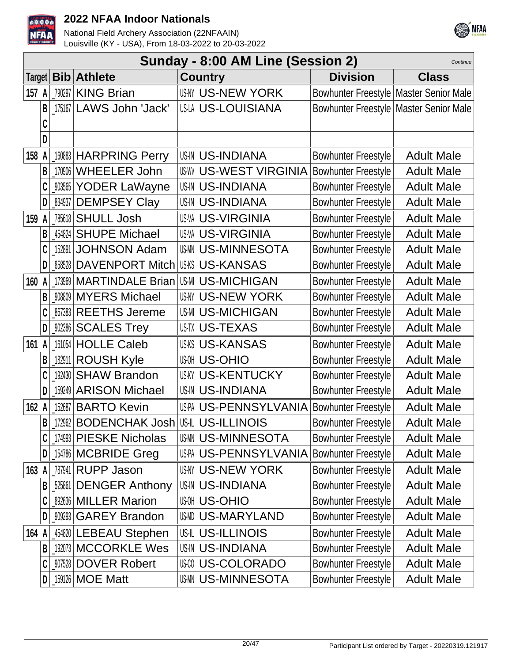



|       | Sunday - 8:00 AM Line (Session 2)<br>Continue |        |                                             |  |                          |                                          |                   |  |  |
|-------|-----------------------------------------------|--------|---------------------------------------------|--|--------------------------|------------------------------------------|-------------------|--|--|
|       |                                               |        | Target   Bib   Athlete                      |  | <b>Country</b>           | <b>Division</b>                          | <b>Class</b>      |  |  |
| 157 A |                                               |        | 790297 KING Brian                           |  | <b>US-IN US-NEW YORK</b> | Bowhunter Freestyle   Master Senior Male |                   |  |  |
|       | B                                             |        | 175167 LAWS John 'Jack'                     |  | US-LA US-LOUISIANA       | Bowhunter Freestyle   Master Senior Male |                   |  |  |
|       | C                                             |        |                                             |  |                          |                                          |                   |  |  |
|       | D                                             |        |                                             |  |                          |                                          |                   |  |  |
| 158 A |                                               |        | 160883 HARPRING Perry                       |  | <b>US-IN US-INDIANA</b>  | <b>Bowhunter Freestyle</b>               | <b>Adult Male</b> |  |  |
|       | B                                             |        | 170906 WHEELER John                         |  | <b>US-WEST VIRGINIA</b>  | <b>Bowhunter Freestyle</b>               | <b>Adult Male</b> |  |  |
|       |                                               |        | _903565 YODER LaWayne                       |  | <b>US-IN US-INDIANA</b>  | <b>Bowhunter Freestyle</b>               | <b>Adult Male</b> |  |  |
|       | D                                             | 834937 | <b>DEMPSEY Clay</b>                         |  | <b>US-IN US-INDIANA</b>  | <b>Bowhunter Freestyle</b>               | <b>Adult Male</b> |  |  |
| 159 A |                                               |        | 785618 SHULL Josh                           |  | <b>US-VA US-VIRGINIA</b> | Bowhunter Freestyle                      | <b>Adult Male</b> |  |  |
|       | B                                             |        | 454824 SHUPE Michael                        |  | <b>US-VA US-VIRGINIA</b> | Bowhunter Freestyle                      | <b>Adult Male</b> |  |  |
|       | C                                             | 152891 | <b>JOHNSON Adam</b>                         |  | <b>US-MINNESOTA</b>      | <b>Bowhunter Freestyle</b>               | <b>Adult Male</b> |  |  |
|       | D                                             |        | 858528 DAVENPORT Mitch                      |  | <b>US-KANSAS</b>         | <b>Bowhunter Freestyle</b>               | <b>Adult Male</b> |  |  |
| 160   | A                                             |        | 173969 MARTINDALE Brian                     |  | <b>US-MICHIGAN</b>       | <b>Bowhunter Freestyle</b>               | <b>Adult Male</b> |  |  |
|       | B                                             |        | 908809 MYERS Michael                        |  | <b>US-NY US-NEW YORK</b> | <b>Bowhunter Freestyle</b>               | <b>Adult Male</b> |  |  |
|       |                                               |        | 867383 REETHS Jereme                        |  | <b>US-MI US-MICHIGAN</b> | <b>Bowhunter Freestyle</b>               | <b>Adult Male</b> |  |  |
|       | D                                             |        | 902386 SCALES Trey                          |  | <b>US-TEXAS</b>          | <b>Bowhunter Freestyle</b>               | <b>Adult Male</b> |  |  |
| 161 A |                                               |        | 161054 HOLLE Caleb                          |  | <b>USKS US-KANSAS</b>    | <b>Bowhunter Freestyle</b>               | <b>Adult Male</b> |  |  |
|       | В                                             |        | 182911 ROUSH Kyle                           |  | <b>US-OHIO</b>           | <b>Bowhunter Freestyle</b>               | <b>Adult Male</b> |  |  |
|       |                                               | 192430 | <b>SHAW Brandon</b>                         |  | <b>US-KY US-KENTUCKY</b> | <b>Bowhunter Freestyle</b>               | <b>Adult Male</b> |  |  |
|       | D                                             |        | 159249 ARISON Michael                       |  | <b>US-IN US-INDIANA</b>  | <b>Bowhunter Freestyle</b>               | <b>Adult Male</b> |  |  |
| 162 A |                                               |        | 152687 BARTO Kevin                          |  | US-PA US-PENNSYLVANIA    | <b>Bowhunter Freestyle</b>               | <b>Adult Male</b> |  |  |
|       | B                                             |        | 172962   BODENCHAK Josh   US-IL US-ILLINOIS |  |                          | <b>Bowhunter Freestyle</b>               | <b>Adult Male</b> |  |  |
|       | C                                             |        | 174993 PIESKE Nicholas                      |  | <b>US-MINNESOTA</b>      | <b>Bowhunter Freestyle</b>               | <b>Adult Male</b> |  |  |
|       | D                                             |        | 154786 MCBRIDE Greg                         |  | US-PA US-PENNSYLVANIA    | Bowhunter Freestyle                      | <b>Adult Male</b> |  |  |
| 163 A |                                               |        | 787941 RUPP Jason                           |  | <b>US-NY US-NEW YORK</b> | Bowhunter Freestyle                      | <b>Adult Male</b> |  |  |
|       | B                                             |        | 525861 DENGER Anthony                       |  | <b>US-IN US-INDIANA</b>  | <b>Bowhunter Freestyle</b>               | <b>Adult Male</b> |  |  |
|       |                                               |        | 892636 MILLER Marion                        |  | แฒ US-OHIO               | <b>Bowhunter Freestyle</b>               | <b>Adult Male</b> |  |  |
|       | D                                             |        | 909293 GAREY Brandon                        |  | US-MARYLAND              | <b>Bowhunter Freestyle</b>               | <b>Adult Male</b> |  |  |
| 164 A |                                               |        | 454820 LEBEAU Stephen                       |  | <b>US-IL US-ILLINOIS</b> | <b>Bowhunter Freestyle</b>               | <b>Adult Male</b> |  |  |
|       | B                                             |        | 192073 MCCORKLE Wes                         |  | <b>US-INDIANA</b>        | <b>Bowhunter Freestyle</b>               | <b>Adult Male</b> |  |  |
|       | C                                             |        | 907528 DOVER Robert                         |  | <b>US-COLORADO</b>       | <b>Bowhunter Freestyle</b>               | <b>Adult Male</b> |  |  |
|       | D                                             |        | 159126   MOE Matt                           |  | US-MINNESOTA             | Bowhunter Freestyle                      | <b>Adult Male</b> |  |  |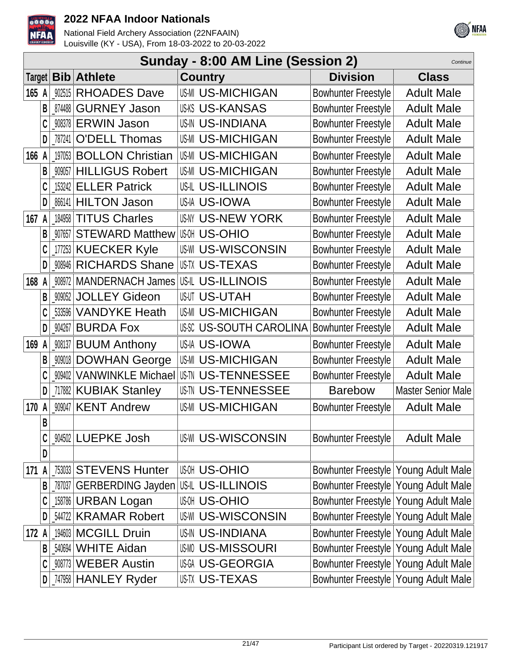



|         | Sunday - 8:00 AM Line (Session 2)<br>Continue |        |                                     |  |                           |                                        |                           |  |
|---------|-----------------------------------------------|--------|-------------------------------------|--|---------------------------|----------------------------------------|---------------------------|--|
| Target  |                                               | Bib    | <b>Athlete</b>                      |  | <b>Country</b>            | <b>Division</b>                        | <b>Class</b>              |  |
| $165$ A |                                               | 902515 | <b>RHOADES Dave</b>                 |  | <b>US-MICHIGAN</b>        | Bowhunter Freestyle                    | <b>Adult Male</b>         |  |
|         | B                                             | 874488 | <b>GURNEY Jason</b>                 |  | <b>US-KS US-KANSAS</b>    | <b>Bowhunter Freestyle</b>             | <b>Adult Male</b>         |  |
|         | C                                             | 908378 | <b>ERWIN Jason</b>                  |  | <b>US-IN US-INDIANA</b>   | Bowhunter Freestyle                    | <b>Adult Male</b>         |  |
|         | D                                             | 787241 | <b>O'DELL Thomas</b>                |  | <b>US-MICHIGAN</b>        | Bowhunter Freestyle                    | <b>Adult Male</b>         |  |
| 166 A   |                                               | 197053 | <b>BOLLON Christian</b>             |  | <b>US-MI US-MICHIGAN</b>  | <b>Bowhunter Freestyle</b>             | <b>Adult Male</b>         |  |
|         | B                                             | 909057 | <b>HILLIGUS Robert</b>              |  | <b>US-MI US-MICHIGAN</b>  | <b>Bowhunter Freestyle</b>             | <b>Adult Male</b>         |  |
|         |                                               | 153242 | <b>ELLER Patrick</b>                |  | <b>US-IL US-ILLINOIS</b>  | <b>Bowhunter Freestyle</b>             | <b>Adult Male</b>         |  |
|         | D                                             | 866141 | <b>HILTON Jason</b>                 |  | US-IA US-IOWA             | <b>Bowhunter Freestyle</b>             | <b>Adult Male</b>         |  |
| 167 $A$ |                                               | 184958 | <b>TITUS Charles</b>                |  | <b>US-NY US-NEW YORK</b>  | Bowhunter Freestyle                    | <b>Adult Male</b>         |  |
|         | B                                             | 907657 | <b>STEWARD Matthew</b>              |  | <b>US-OHIO</b>            | <b>Bowhunter Freestyle</b>             | <b>Adult Male</b>         |  |
|         | C                                             | 177253 | <b>KUECKER Kyle</b>                 |  | <b>US-WI US-WISCONSIN</b> | Bowhunter Freestyle                    | <b>Adult Male</b>         |  |
|         | D                                             | 908946 | <b>RICHARDS Shane</b>               |  | <b>USTX US-TEXAS</b>      | <b>Bowhunter Freestyle</b>             | <b>Adult Male</b>         |  |
| 168 A   |                                               | 908972 | <b>MANDERNACH James</b>             |  | <b>US-ILLINOIS</b>        | <b>Bowhunter Freestyle</b>             | <b>Adult Male</b>         |  |
|         | B                                             | 909052 | <b>JOLLEY Gideon</b>                |  | US-UTAH                   | <b>Bowhunter Freestyle</b>             | <b>Adult Male</b>         |  |
|         |                                               | 533596 | <b>VANDYKE Heath</b>                |  | <b>US-MICHIGAN</b>        | <b>Bowhunter Freestyle</b>             | <b>Adult Male</b>         |  |
|         | $\mathbf{D}$                                  | 904267 | <b>BURDA Fox</b>                    |  | <b>US-SOUTH CAROLINA</b>  | <b>Bowhunter Freestyle</b>             | <b>Adult Male</b>         |  |
| 169 A   |                                               | 908137 | <b>BUUM Anthony</b>                 |  | US-IA US-IOWA             | <b>Bowhunter Freestyle</b>             | <b>Adult Male</b>         |  |
|         | B                                             | 909018 | <b>DOWHAN George</b>                |  | <b>US-MI US-MICHIGAN</b>  | Bowhunter Freestyle                    | <b>Adult Male</b>         |  |
|         | C                                             | 909402 | <b>VANWINKLE Michael</b>            |  | <b>US-TENNESSEE</b>       | <b>Bowhunter Freestyle</b>             | <b>Adult Male</b>         |  |
|         | $\mathsf{D}$                                  |        | [117882 KUBIAK Stanley              |  | <b>US-TW US-TENNESSEE</b> | <b>Barebow</b>                         | <b>Master Senior Male</b> |  |
| 170 A   |                                               | 909047 | <b>KENT Andrew</b>                  |  | <b>US-MI US-MICHIGAN</b>  | <b>Bowhunter Freestyle</b>             | <b>Adult Male</b>         |  |
|         | B                                             |        |                                     |  |                           |                                        |                           |  |
|         | C                                             |        | 904502 LUEPKE Josh                  |  | <b>US-WISCONSIN</b>       | <b>Bowhunter Freestyle</b>             | <b>Adult Male</b>         |  |
|         | D                                             |        |                                     |  |                           |                                        |                           |  |
| 171     |                                               |        | 753033 STEVENS Hunter               |  | <b>US-OHIO</b>            | Bowhunter Freestyle Young Adult Male   |                           |  |
|         | $\mathsf{B}$                                  | 787037 | GERBERDING Jayden US-IL US-ILLINOIS |  |                           | Bowhunter Freestyle Young Adult Male   |                           |  |
|         | C                                             |        | 158786 URBAN Logan                  |  | <b>US-OHIO</b>            | Bowhunter Freestyle   Young Adult Male |                           |  |
|         | D                                             | 544722 | <b>KRAMAR Robert</b>                |  | <b>US-WISCONSIN</b>       | Bowhunter Freestyle   Young Adult Male |                           |  |
| 172 A   |                                               | 194603 | <b>MCGILL Druin</b>                 |  | <b>US-IN US-INDIANA</b>   | Bowhunter Freestyle   Young Adult Male |                           |  |
|         | B                                             | 540694 | <b>WHITE Aidan</b>                  |  | <b>US-MISSOURI</b>        | Bowhunter Freestyle   Young Adult Male |                           |  |
|         | C                                             |        | 908773 WEBER Austin                 |  | US-GEORGIA                | Bowhunter Freestyle   Young Adult Male |                           |  |
|         | D                                             |        | _747958 HANLEY Ryder                |  | <b>US-TX US-TEXAS</b>     | Bowhunter Freestyle   Young Adult Male |                           |  |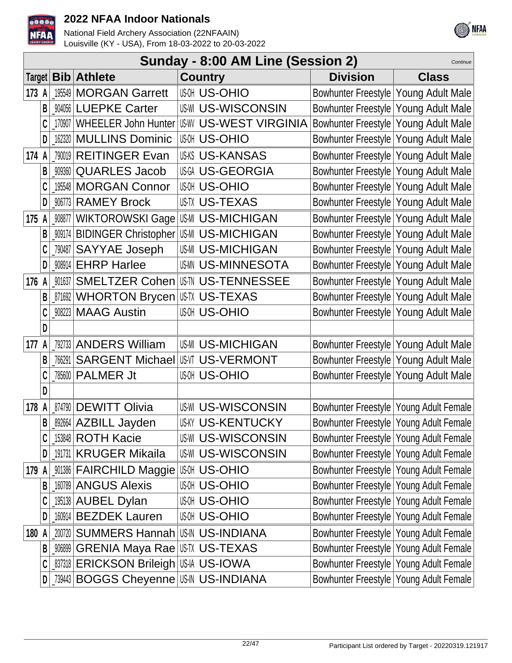



|        | Sunday - 8:00 AM Line (Session 2)<br>Continue |        |                                                    |                             |                                          |                                          |  |  |  |
|--------|-----------------------------------------------|--------|----------------------------------------------------|-----------------------------|------------------------------------------|------------------------------------------|--|--|--|
| Target |                                               |        | <b>Bib</b> Athlete                                 | <b>Country</b>              | <b>Division</b>                          | <b>Class</b>                             |  |  |  |
| 173 A  |                                               | 195549 | <b>MORGAN Garrett</b>                              | <b>US-OHIO</b>              | Bowhunter Freestyle Young Adult Male     |                                          |  |  |  |
|        | B                                             | 904056 | <b>LUEPKE Carter</b>                               | <b>US-WI US-WISCONSIN</b>   | Bowhunter Freestyle Young Adult Male     |                                          |  |  |  |
|        |                                               | 170907 | <b>WHEELER John Hunter</b>                         | <b>ISW US-WEST VIRGINIA</b> | Bowhunter Freestyle Young Adult Male     |                                          |  |  |  |
|        | D                                             | 162320 | <b>MULLINS Dominic</b>                             | <b>US-OHIO</b>              | Bowhunter Freestyle Young Adult Male     |                                          |  |  |  |
| 174 A  |                                               |        | 790019 REITINGER Evan                              | <b>US-KS US-KANSAS</b>      | Bowhunter Freestyle   Young Adult Male   |                                          |  |  |  |
|        | B                                             | 909360 | <b>QUARLES Jacob</b>                               | US-GEORGIA                  | Bowhunter Freestyle Young Adult Male     |                                          |  |  |  |
|        | C                                             | 195548 | <b>MORGAN Connor</b>                               | <b>US-OHIO</b>              | Bowhunter Freestyle Young Adult Male     |                                          |  |  |  |
|        | D                                             | 906773 | <b>RAMEY Brock</b>                                 | <b>USTX US-TEXAS</b>        | Bowhunter Freestyle Young Adult Male     |                                          |  |  |  |
| 175 A  |                                               | 908877 | WIKTOROWSKI Gage US-MICHIGAN                       |                             | Bowhunter Freestyle Young Adult Male     |                                          |  |  |  |
|        | B                                             | 909174 | BIDINGER Christopher US-MICHIGAN                   |                             | Bowhunter Freestyle Young Adult Male     |                                          |  |  |  |
|        |                                               | 790487 | <b>SAYYAE Joseph</b>                               | <b>US-MICHIGAN</b>          | Bowhunter Freestyle Young Adult Male     |                                          |  |  |  |
|        | D                                             |        | 908914 EHRP Harlee                                 | <b>USMN US-MINNESOTA</b>    | Bowhunter Freestyle   Young Adult Male   |                                          |  |  |  |
| 176    |                                               | 901637 | <b>SMELTZER Cohen</b>                              | <b>US-TH US-TENNESSEE</b>   | Bowhunter Freestyle Young Adult Male     |                                          |  |  |  |
|        | B                                             |        | <b>871692 WHORTON Brycen US-TEXAS</b>              |                             | Bowhunter Freestyle Young Adult Male     |                                          |  |  |  |
|        | C                                             |        | 908223 MAAG Austin                                 | <b>US-OHIO</b>              | Bowhunter Freestyle Young Adult Male     |                                          |  |  |  |
|        | D                                             |        |                                                    |                             |                                          |                                          |  |  |  |
| 177    |                                               | 792733 | <b>ANDERS William</b>                              | <b>US-MICHIGAN</b>          | Bowhunter Freestyle Young Adult Male     |                                          |  |  |  |
|        | B                                             | 766291 | <b>SARGENT Michael USVI US-VERMONT</b>             |                             | Bowhunter Freestyle Young Adult Male     |                                          |  |  |  |
|        |                                               | 785600 | <b>PALMER Jt</b>                                   | <b>US-OHIO</b>              | Bowhunter Freestyle Young Adult Male     |                                          |  |  |  |
|        | D                                             |        |                                                    |                             |                                          |                                          |  |  |  |
| 178    |                                               |        | 874790 DEWITT Olivia                               | <b>US-WISCONSIN</b>         | Bowhunter Freestyle Young Adult Female   |                                          |  |  |  |
|        | B                                             |        | 892664 AZBILL Jayden                               | <b>US-KY US-KENTUCKY</b>    |                                          | Bowhunter Freestyle   Young Adult Female |  |  |  |
|        | C                                             |        | 153848 ROTH Kacie                                  | <b>US-WI US-WISCONSIN</b>   | Bowhunter Freestyle Young Adult Female   |                                          |  |  |  |
|        | D                                             |        | 191731 KRUGER Mikaila                              | <b>US-WISCONSIN</b>         | Bowhunter Freestyle   Young Adult Female |                                          |  |  |  |
| 179    | A                                             |        | _001386 FAIRCHILD Maggie IU\$ 0H US-OHIO           |                             | Bowhunter Freestyle Young Adult Female   |                                          |  |  |  |
|        | B                                             |        | 160789 ANGUS Alexis                                | <b>US-OHIO</b>              | Bowhunter Freestyle Young Adult Female   |                                          |  |  |  |
|        |                                               |        | 195138 AUBEL Dylan                                 | <b>US-OHIO</b>              | Bowhunter Freestyle   Young Adult Female |                                          |  |  |  |
|        | D                                             |        | 160914 BEZDEK Lauren                               | <b>US-OHIO</b>              | Bowhunter Freestyle   Young Adult Female |                                          |  |  |  |
| 180    |                                               | 200720 | SUMMERS Hannah US-IN US-INDIANA                    |                             | Bowhunter Freestyle Young Adult Female   |                                          |  |  |  |
|        | B                                             | 906899 | <b>GRENIA Maya Rae US-TU US-TEXAS</b>              |                             | Bowhunter Freestyle Young Adult Female   |                                          |  |  |  |
|        | C                                             |        | <b>_837318   ERICKSON Brileigh   US-II US-IOWA</b> |                             | Bowhunter Freestyle Young Adult Female   |                                          |  |  |  |
|        | D                                             |        | 739443   BOGGS Cheyenne   US-IN US-INDIANA         |                             |                                          | Bowhunter Freestyle   Young Adult Female |  |  |  |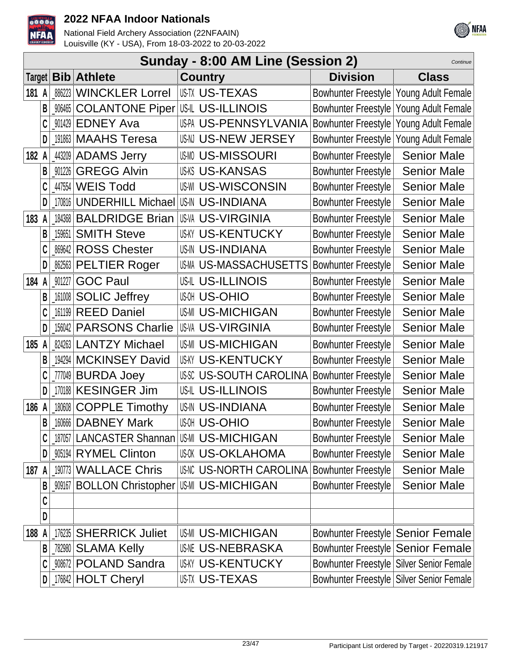



|       |   |                     |                                           | Sunday - 8:00 AM Line (Session 2)            |                                          | Continue           |
|-------|---|---------------------|-------------------------------------------|----------------------------------------------|------------------------------------------|--------------------|
|       |   | Target   <b>Bib</b> | <b>Athlete</b>                            | <b>Country</b>                               | <b>Division</b>                          | <b>Class</b>       |
| 181 A |   | 886223              | <b>WINCKLER Lorrel</b>                    | <b>USTX US-TEXAS</b>                         | Bowhunter Freestyle Young Adult Female   |                    |
|       | B | 906465              | <b>COLANTONE Piper US-IL US-ILLINOIS</b>  |                                              | <b>Bowhunter Freestyle</b>               | Young Adult Female |
|       |   | 901429              | <b>EDNEY Ava</b>                          | US-PA US-PENNSYLVANIA                        | <b>Bowhunter Freestyle</b>               | Young Adult Female |
|       | D | 191863              | <b>MAAHS Teresa</b>                       | USNI US-NEW JERSEY                           | <b>Bowhunter Freestyle</b>               | Young Adult Female |
| 182 A |   |                     | 443209 ADAMS Jerry                        | <b>US-MISSOURI</b>                           | <b>Bowhunter Freestyle</b>               | <b>Senior Male</b> |
|       | B | 901226              | <b>GREGG Alvin</b>                        | <b>US-KS US-KANSAS</b>                       | <b>Bowhunter Freestyle</b>               | <b>Senior Male</b> |
|       |   | 447554              | <b>WEIS Todd</b>                          | <b>US-WISCONSIN</b>                          | <b>Bowhunter Freestyle</b>               | <b>Senior Male</b> |
|       | D | 170816              | UNDERHILL Michael US-IN US-INDIANA        |                                              | <b>Bowhunter Freestyle</b>               | <b>Senior Male</b> |
| 183   |   | 184368              | <b>BALDRIDGE Brian</b>                    | <b>US-VA US-VIRGINIA</b>                     | <b>Bowhunter Freestyle</b>               | <b>Senior Male</b> |
|       | B | 159651              | <b>SMITH Steve</b>                        | <b>US-KENTUCKY</b>                           | <b>Bowhunter Freestyle</b>               | <b>Senior Male</b> |
|       |   | 869642              | <b>ROSS Chester</b>                       | <b>US-IN US-INDIANA</b>                      | <b>Bowhunter Freestyle</b>               | <b>Senior Male</b> |
|       | D | 862563              | <b>PELTIER Roger</b>                      | US-M US-MASSACHUSETTS                        | <b>Bowhunter Freestyle</b>               | <b>Senior Male</b> |
| 184   |   | 901227              | <b>GOC Paul</b>                           | USIL US-ILLINOIS                             | <b>Bowhunter Freestyle</b>               | <b>Senior Male</b> |
|       | B | 161008              | <b>SOLIC Jeffrey</b>                      | <b>US-OHIO</b>                               | <b>Bowhunter Freestyle</b>               | <b>Senior Male</b> |
|       |   | 161199              | <b>REED Daniel</b>                        | <b>US-MICHIGAN</b>                           | <b>Bowhunter Freestyle</b>               | <b>Senior Male</b> |
|       | D | 156042              | <b>PARSONS Charlie</b>                    | US-VIRGINIA                                  | <b>Bowhunter Freestyle</b>               | <b>Senior Male</b> |
| 185   | A | 824263              | <b>LANTZY Michael</b>                     | <b>US-MICHIGAN</b>                           | <b>Bowhunter Freestyle</b>               | <b>Senior Male</b> |
|       | B | 194294              | <b>MCKINSEY David</b>                     | <b>US-KY US-KENTUCKY</b>                     | <b>Bowhunter Freestyle</b>               | <b>Senior Male</b> |
|       |   | _777049             | <b>BURDA Joey</b>                         | <b>US-SOUTH CAROLINA</b>                     | <b>Bowhunter Freestyle</b>               | <b>Senior Male</b> |
|       | D |                     | 170188 KESINGER Jim                       | <b>US-IL US-ILLINOIS</b>                     | <b>Bowhunter Freestyle</b>               | <b>Senior Male</b> |
| 186 A |   |                     | 180608 COPPLE Timothy                     | <b>US-IN US-INDIANA</b>                      | <b>Bowhunter Freestyle</b>               | <b>Senior Male</b> |
|       | R |                     | 160666   DABNEY Mark                      | <b>US-OHIO</b>                               | <b>Bowhunter Freestyle</b>               | <b>Senior Male</b> |
|       | C |                     | 187057 LANCASTER Shannan US-MICHIGAN      |                                              | <b>Bowhunter Freestyle</b>               | <b>Senior Male</b> |
|       | D |                     | 905194 RYMEL Clinton                      | <b>US-OKLAHOMA</b>                           | <b>Bowhunter Freestyle</b>               | <b>Senior Male</b> |
| 187 A |   | 190773              | <b>WALLACE Chris</b>                      | US-INC US-NORTH CAROLINA Bowhunter Freestyle |                                          | <b>Senior Male</b> |
|       | B |                     | 009167   BOLLON Christopher   US-MICHIGAN |                                              | <b>Bowhunter Freestyle</b>               | <b>Senior Male</b> |
|       | C |                     |                                           |                                              |                                          |                    |
|       | D |                     |                                           |                                              |                                          |                    |
| 188 A |   | 176235              | <b>SHERRICK Juliet</b>                    | <b>US-MICHIGAN</b>                           | Bowhunter Freestyle Senior Female        |                    |
|       | B | 782980              | <b>SLAMA Kelly</b>                        | <b>US-NEBRASKA</b>                           | Bowhunter Freestyle Senior Female        |                    |
|       | C |                     | 908672 POLAND Sandra                      | <b>US-KENTUCKY</b>                           | Bowhunter Freestyle Silver Senior Female |                    |
|       |   |                     | 176842 HOLT Cheryl                        | <b>US-TEXAS</b>                              | Bowhunter Freestyle Silver Senior Female |                    |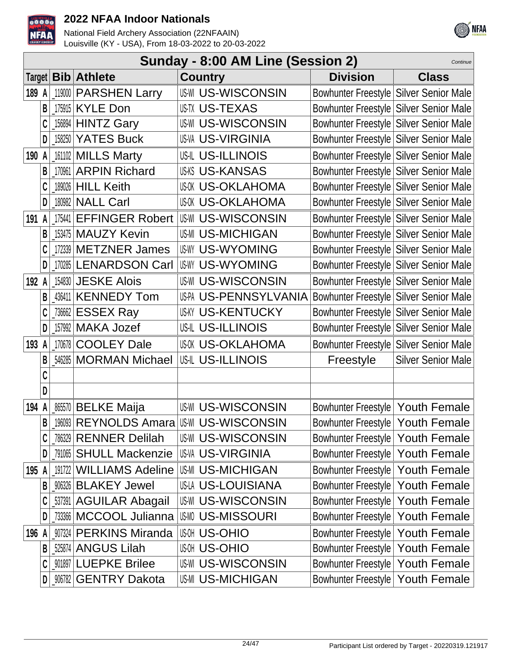



|       | Sunday - 8:00 AM Line (Session 2)<br>Continue |        |                           |                           |                                        |                           |  |  |  |
|-------|-----------------------------------------------|--------|---------------------------|---------------------------|----------------------------------------|---------------------------|--|--|--|
|       |                                               |        | Target <b>Bib Athlete</b> | <b>Country</b>            | <b>Division</b>                        | <b>Class</b>              |  |  |  |
| 189   | A                                             | 119000 | <b>PARSHEN Larry</b>      | <b>US-WI US-WISCONSIN</b> | Bowhunter Freestyle Silver Senior Male |                           |  |  |  |
|       |                                               | 175915 | <b>KYLE Don</b>           | <b>US-TX US-TEXAS</b>     | Bowhunter Freestyle Silver Senior Male |                           |  |  |  |
|       |                                               |        | 156894 HINTZ Gary         | <b>US-WISCONSIN</b>       | Bowhunter Freestyle Silver Senior Male |                           |  |  |  |
|       | D                                             | 158250 | <b>YATES Buck</b>         | <b>US-VA US-VIRGINIA</b>  | Bowhunter Freestyle Silver Senior Male |                           |  |  |  |
| 190 A |                                               |        | 161102 MILLS Marty        | US-IL US-ILLINOIS         | Bowhunter Freestyle Silver Senior Male |                           |  |  |  |
|       | B                                             | 170961 | <b>ARPIN Richard</b>      | <b>US-KANSAS</b>          | Bowhunter Freestyle Silver Senior Male |                           |  |  |  |
|       | C                                             |        | 189026 HILL Keith         | <b>US-OKLAHOMA</b>        | Bowhunter Freestyle Silver Senior Male |                           |  |  |  |
|       | D                                             |        | 180982 NALL Carl          | <b>US-OKLAHOMA</b>        | Bowhunter Freestyle Silver Senior Male |                           |  |  |  |
| 191   | A                                             | 175441 | <b>EFFINGER Robert</b>    | <b>US-WI US-WISCONSIN</b> | Bowhunter Freestyle Silver Senior Male |                           |  |  |  |
|       | B                                             |        | 153475   MAUZY Kevin      | <b>US-MI US-MICHIGAN</b>  | Bowhunter Freestyle Silver Senior Male |                           |  |  |  |
|       |                                               | 172339 | <b>METZNER James</b>      | <b>US-WYOMING</b>         | Bowhunter Freestyle Silver Senior Male |                           |  |  |  |
|       | D                                             | 170285 | <b>LENARDSON Carl</b>     | US-WYOMING                | Bowhunter Freestyle Silver Senior Male |                           |  |  |  |
| 192   |                                               |        | 154830 JESKE Alois        | <b>US-WI US-WISCONSIN</b> | Bowhunter Freestyle Silver Senior Male |                           |  |  |  |
|       | B                                             |        | 436411 KENNEDY Tom        | US-PA US-PENNSYLVANIA     | Bowhunter Freestyle Silver Senior Male |                           |  |  |  |
|       | C                                             | 736662 | <b>ESSEX Ray</b>          | <b>US-KENTUCKY</b>        | Bowhunter Freestyle Silver Senior Male |                           |  |  |  |
|       | D                                             | 157992 | <b>MAKA Jozef</b>         | US-IL US-ILLINOIS         | Bowhunter Freestyle Silver Senior Male |                           |  |  |  |
| 193   | A                                             | 170678 | <b>COOLEY Dale</b>        | <b>US-OKLAHOMA</b>        | Bowhunter Freestyle Silver Senior Male |                           |  |  |  |
|       |                                               | 546285 | <b>MORMAN Michael</b>     | <b>US-ILLINOIS</b>        | Freestyle                              | <b>Silver Senior Male</b> |  |  |  |
|       |                                               |        |                           |                           |                                        |                           |  |  |  |
|       | D                                             |        |                           |                           |                                        |                           |  |  |  |
| 194   |                                               |        | 865570 BELKE Maija        | <b>US-WISCONSIN</b>       | Bowhunter Freestyle   Youth Female     |                           |  |  |  |
|       | B                                             |        |                           |                           | Bowhunter Freestyle   Youth Female     |                           |  |  |  |
|       | C                                             |        | 786329 RENNER Delilah     | <b>US-WI US-WISCONSIN</b> | Bowhunter Freestyle   Youth Female     |                           |  |  |  |
|       | D                                             |        | 791065 SHULL Mackenzie    | IUS-VA US-VIRGINIA        | Bowhunter Freestyle   Youth Female     |                           |  |  |  |
| 195   |                                               |        | 191722 WILLIAMS Adeline   | <b>US-MI US-MICHIGAN</b>  | Bowhunter Freestyle   Youth Female     |                           |  |  |  |
|       | B                                             |        | 906326 BLAKEY Jewel       | <b>US-LA US-LOUISIANA</b> | Bowhunter Freestyle   Youth Female     |                           |  |  |  |
|       |                                               |        | 537391 AGUILAR Abagail    | <b>US-WISCONSIN</b>       | Bowhunter Freestyle   Youth Female     |                           |  |  |  |
|       | D                                             |        | .733366   MCCOOL Julianna | <b>US-MISSOURI</b>        | Bowhunter Freestyle   Youth Female     |                           |  |  |  |
| 196 A |                                               |        | 907324 PERKINS Miranda    | ାଞ୍ଜ US-OHIO              | Bowhunter Freestyle   Youth Female     |                           |  |  |  |
|       | B                                             |        | 525874 ANGUS Lilah        | <b>US-OHIO</b>            | Bowhunter Freestyle   Youth Female     |                           |  |  |  |
|       |                                               |        | 901897 LUEPKE Brilee      | <b>US-WISCONSIN</b>       | Bowhunter Freestyle   Youth Female     |                           |  |  |  |
|       |                                               |        | _906782 GENTRY Dakota     | <b>US-MICHIGAN</b>        | Bowhunter Freestyle   Youth Female     |                           |  |  |  |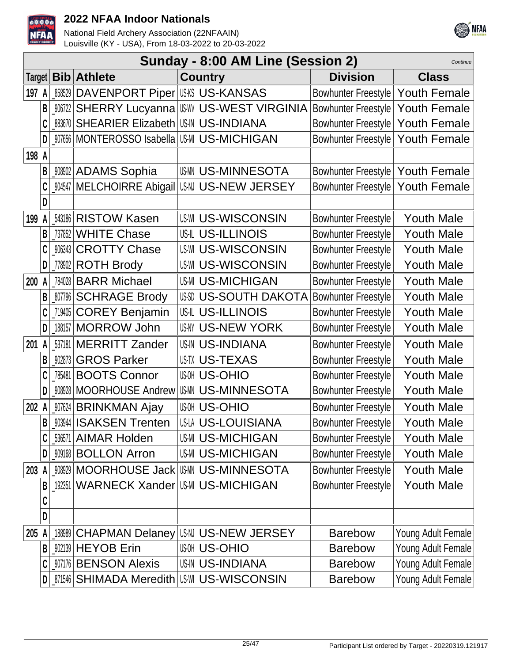



|        |   |        |                                                   | Sunday - 8:00 AM Line (Session 2) |                                    | Continue            |
|--------|---|--------|---------------------------------------------------|-----------------------------------|------------------------------------|---------------------|
| Target |   |        | <b>Bib</b> Athlete                                | <b>Country</b>                    | <b>Division</b>                    | <b>Class</b>        |
| 197 A  |   | 858529 | DAVENPORT Piper US-KANSAS                         |                                   | Bowhunter Freestyle   Youth Female |                     |
|        | B |        | <b>W6722 SHERRY Lucyanna WW US-WEST VIRGINIA</b>  |                                   | Bowhunter Freestyle                | <b>Youth Female</b> |
|        |   | 883670 | SHEARIER Elizabeth US-INDIANA                     |                                   | <b>Bowhunter Freestyle</b>         | <b>Youth Female</b> |
|        | D |        | _907656   MONTEROSSO Isabella   US-MI US-MICHIGAN |                                   | Bowhunter Freestyle                | <b>Youth Female</b> |
| 198 A  |   |        |                                                   |                                   |                                    |                     |
|        | B |        | <b>MANDAMS Sophia</b>                             | <b>USMN US-MINNESOTA</b>          | Bowhunter Freestyle   Youth Female |                     |
|        |   |        | 004547 MELCHOIRRE Abigail                         | USN US-NEW JERSEY                 | Bowhunter Freestyle   Youth Female |                     |
|        | D |        |                                                   |                                   |                                    |                     |
| 199    | A |        | <b>543186 RISTOW Kasen</b>                        | <b>US-WI US-WISCONSIN</b>         | <b>Bowhunter Freestyle</b>         | <b>Youth Male</b>   |
|        | B |        | 737852 WHITE Chase                                | <b>US-IL US-ILLINOIS</b>          | <b>Bowhunter Freestyle</b>         | <b>Youth Male</b>   |
|        |   |        | <b>W6343 CROTTY Chase</b>                         | <b>US-WI US-WISCONSIN</b>         | Bowhunter Freestyle                | <b>Youth Male</b>   |
|        | D |        | [778902 ROTH Brody                                | <b>US-WISCONSIN</b>               | <b>Bowhunter Freestyle</b>         | <b>Youth Male</b>   |
| 200    | A |        | 784028 BARR Michael                               | <b>US-MI US-MICHIGAN</b>          | <b>Bowhunter Freestyle</b>         | <b>Youth Male</b>   |
|        |   |        | <b>W7796 SCHRAGE Brody</b>                        | USSI US-SOUTH DAKOTA              | <b>Bowhunter Freestyle</b>         | <b>Youth Male</b>   |
|        |   |        | 719405 COREY Benjamin                             | US-IL US-ILLINOIS                 | <b>Bowhunter Freestyle</b>         | <b>Youth Male</b>   |
|        | D |        | 188157 MORROW John                                | <b>US-NY US-NEW YORK</b>          | <b>Bowhunter Freestyle</b>         | <b>Youth Male</b>   |
| 201    | A |        | 537181 MERRITT Zander                             | <b>US-IN US-INDIANA</b>           | <b>Bowhunter Freestyle</b>         | <b>Youth Male</b>   |
|        | B |        | 902873 GROS Parker                                | <b>USTX US-TEXAS</b>              | <b>Bowhunter Freestyle</b>         | <b>Youth Male</b>   |
|        |   | 785481 | <b>BOOTS Connor</b>                               | <b>US-OHIO</b>                    | <b>Bowhunter Freestyle</b>         | <b>Youth Male</b>   |
|        | D |        | 908928 MOORHOUSE Andrew                           | <b>US-MINNESOTA</b>               | <b>Bowhunter Freestyle</b>         | <b>Youth Male</b>   |
| 202    | A |        | 007624 BRINKMAN Ajay                              | <b>US-OHIO</b>                    | <b>Bowhunter Freestyle</b>         | <b>Youth Male</b>   |
|        | B |        | _903944   ISAKSEN Trenten                         | US-LA US-LOUISIANA                | <b>Bowhunter Freestyle</b>         | Youth Male          |
|        |   | 536571 | <b>AIMAR Holden</b>                               | <b>US-MI US-MICHIGAN</b>          | <b>Bowhunter Freestyle</b>         | <b>Youth Male</b>   |
|        | D |        | <b>909168 BOLLON Arron</b>                        | <b>US-MICHIGAN</b>                | <b>Bowhunter Freestyle</b>         | <b>Youth Male</b>   |
| 203    | A |        | 000929 MOORHOUSE Jack US-MINNESOTA                |                                   | <b>Bowhunter Freestyle</b>         | <b>Youth Male</b>   |
|        | B | 192351 | <b>WARNECK Xander</b>                             | <b>US-MI US-MICHIGAN</b>          | <b>Bowhunter Freestyle</b>         | <b>Youth Male</b>   |
|        | C |        |                                                   |                                   |                                    |                     |
|        | D |        |                                                   |                                   |                                    |                     |
| 205    | A |        | 188989 CHAPMAN Delaney                            | USN US-NEW JERSEY                 | <b>Barebow</b>                     | Young Adult Female  |
|        | В |        | 902139 HEYOB Erin                                 | <b>US-OHIO</b>                    | <b>Barebow</b>                     | Young Adult Female  |
|        |   |        | 907176 BENSON Alexis                              | <b>US-IN US-INDIANA</b>           | <b>Barebow</b>                     | Young Adult Female  |
|        | D | 871546 | <b>SHIMADA Meredith</b>                           | US-WISCONSIN                      | <b>Barebow</b>                     | Young Adult Female  |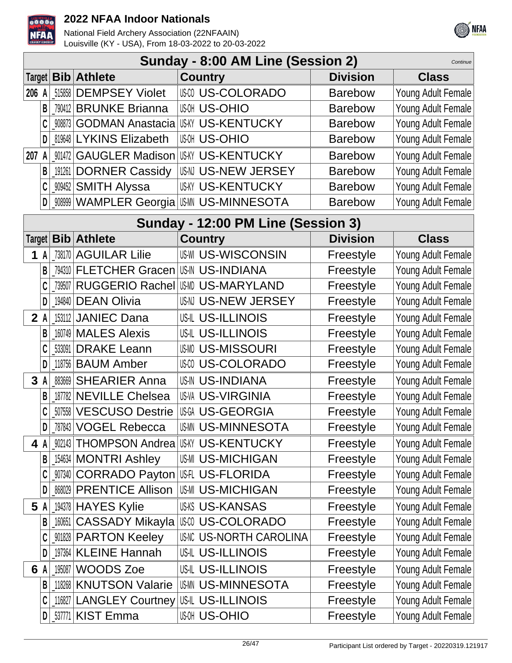



|        | Sunday - 8:00 AM Line (Session 2)<br>Continue |        |                             |                                          |                 |                    |  |  |  |
|--------|-----------------------------------------------|--------|-----------------------------|------------------------------------------|-----------------|--------------------|--|--|--|
| Target |                                               |        | <b>Bib</b> Athlete          | <b>Country</b>                           | <b>Division</b> | <b>Class</b>       |  |  |  |
| 206 A  |                                               | 515858 | <b>DEMPSEY Violet</b>       | <b>USO US-COLORADO</b>                   | <b>Barebow</b>  | Young Adult Female |  |  |  |
|        | B                                             | 790412 | <b>BRUNKE Brianna</b>       | <b>US-OHIO</b>                           | <b>Barebow</b>  | Young Adult Female |  |  |  |
|        |                                               | 908873 | <b>GODMAN Anastacia</b>     | <b>US-KY US-KENTUCKY</b>                 | <b>Barebow</b>  | Young Adult Female |  |  |  |
|        | D                                             | 819648 | <b>LYKINS Elizabeth</b>     | <b>US-OHIO</b>                           | <b>Barebow</b>  | Young Adult Female |  |  |  |
| 207    | A                                             | 901472 | <b>GAUGLER Madison</b>      | <b>US-KENTUCKY</b>                       | <b>Barebow</b>  | Young Adult Female |  |  |  |
|        | B                                             | 191261 | <b>DORNER Cassidy</b>       | US-N US-NEW JERSEY                       | <b>Barebow</b>  | Young Adult Female |  |  |  |
|        | C                                             |        | .‱452 SMITH Alyssa          | <b>US-KENTUCKY</b>                       | <b>Barebow</b>  | Young Adult Female |  |  |  |
|        | D                                             |        |                             |                                          | <b>Barebow</b>  | Young Adult Female |  |  |  |
|        |                                               |        |                             | Sunday - 12:00 PM Line (Session 3)       |                 |                    |  |  |  |
| Target |                                               |        | <b>Bib</b> Athlete          | <b>Country</b>                           | <b>Division</b> | <b>Class</b>       |  |  |  |
| 1 A    |                                               | 738170 | <b>AGUILAR Lilie</b>        | <b>US-WISCONSIN</b>                      | Freestyle       | Young Adult Female |  |  |  |
|        | B                                             | 794310 | <b>FLETCHER Gracen</b>      | US-IN US-INDIANA                         | Freestyle       | Young Adult Female |  |  |  |
|        |                                               | 739507 |                             | RUGGERIO Rachel US-MARYLAND              | Freestyle       | Young Adult Female |  |  |  |
|        | D                                             | 194840 | <b>DEAN Olivia</b>          | US-NEW JERSEY                            | Freestyle       | Young Adult Female |  |  |  |
| 2A     |                                               |        | 153112 JANIEC Dana          | <b>US-IL US-ILLINOIS</b>                 | Freestyle       | Young Adult Female |  |  |  |
|        | B                                             |        | 160749 MALES Alexis         | <b>US-IL US-ILLINOIS</b>                 | Freestyle       | Young Adult Female |  |  |  |
|        |                                               | 533091 | <b>DRAKE Leann</b>          | <b>US-MISSOURI</b>                       | Freestyle       | Young Adult Female |  |  |  |
|        | D                                             | 118756 | <b>BAUM Amber</b>           | <b>US-COLORADO</b>                       | Freestyle       | Young Adult Female |  |  |  |
| 3      |                                               | 883669 | <b>SHEARIER Anna</b>        | <b>US-IN US-INDIANA</b>                  | Freestyle       | Young Adult Female |  |  |  |
|        | B                                             | 187782 | <b>NEVILLE Chelsea</b>      | <b>US-VA US-VIRGINIA</b>                 | Freestyle       | Young Adult Female |  |  |  |
|        |                                               | 507558 | <b>VESCUSO Destrie</b>      | US-GEORGIA                               | Freestyle       | Young Adult Female |  |  |  |
|        |                                               |        | D 787843 VOGEL Rebecca      | <b>US-MINNESOTA</b>                      | Freestyle       | Young Adult Female |  |  |  |
| 4 A    |                                               |        |                             | 002143 THOMPSON Andrea US-KY US-KENTUCKY | Freestyle       | Young Adult Female |  |  |  |
|        | B                                             |        | 154634   MONTRI Ashley      | <b>US-MI US-MICHIGAN</b>                 | Freestyle       | Young Adult Female |  |  |  |
|        | C                                             |        | 007340 CORRADO Payton       | US-FLORIDA                               | Freestyle       | Young Adult Female |  |  |  |
|        | D                                             |        | 868029 PRENTICE Allison     | <b>US-MICHIGAN</b>                       | Freestyle       | Young Adult Female |  |  |  |
| 5      | A                                             |        | 194378 HAYES Kylie          | <b>US-KANSAS</b>                         | Freestyle       | Young Adult Female |  |  |  |
|        | B                                             | 160651 | <b>CASSADY Mikayla</b>      | US-COLORADO                              | Freestyle       | Young Adult Female |  |  |  |
|        | C                                             |        | <b>901828 PARTON Keeley</b> | <b>US-NORTH CAROLINA</b>                 | Freestyle       | Young Adult Female |  |  |  |
|        | D                                             |        | 197364   KLEINE Hannah      | <b>US-IL US-ILLINOIS</b>                 | Freestyle       | Young Adult Female |  |  |  |
| 6 A    |                                               | 195087 | <b>WOODS Zoe</b>            | <b>US-L US-ILLINOIS</b>                  | Freestyle       | Young Adult Female |  |  |  |
|        | B                                             | 118268 | <b>KNUTSON Valarie</b>      | <b>US-MINNESOTA</b>                      | Freestyle       | Young Adult Female |  |  |  |
|        | C                                             |        | 116827 LANGLEY Courtney     | US-ILLINOIS                              | Freestyle       | Young Adult Female |  |  |  |
|        | D                                             |        | _53771 KIST Emma            | แฒ US-OHIO                               | Freestyle       | Young Adult Female |  |  |  |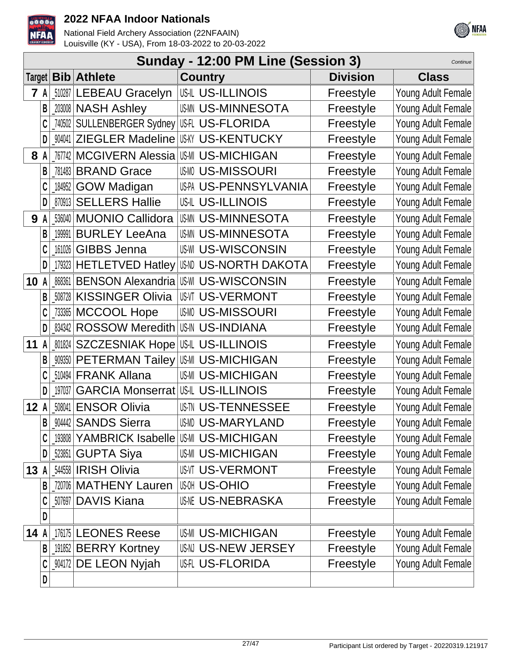



|        |   |         |                                           | Sunday - 12:00 PM Line (Session 3)          |                 | Continue           |
|--------|---|---------|-------------------------------------------|---------------------------------------------|-----------------|--------------------|
| Target |   |         | <b>Bib</b> Athlete                        | <b>Country</b>                              | <b>Division</b> | <b>Class</b>       |
| 7      | A | 510287  | <b>LEBEAU Gracelyn</b>                    | US-IL US-ILLINOIS                           | Freestyle       | Young Adult Female |
|        | B |         | 203008 NASH Ashley                        | <b>US-MINNESOTA</b>                         | Freestyle       | Young Adult Female |
|        |   | 740502  | SULLENBERGER Sydney US-FLORIDA            |                                             | Freestyle       | Young Adult Female |
|        | D | _904041 | ZIEGLER Madeline US-W US-KENTUCKY         |                                             | Freestyle       | Young Adult Female |
| 8      | A | 767742  | <b>MCGIVERN Alessia</b>                   | <b>US-MI US-MICHIGAN</b>                    | Freestyle       | Young Adult Female |
|        | В |         | 781483 BRAND Grace                        | <b>USMO US-MISSOURI</b>                     | Freestyle       | Young Adult Female |
|        |   | 184952  | <b>GOW Madigan</b>                        | US-PA US-PENNSYLVANIA                       | Freestyle       | Young Adult Female |
|        | D | 870913  | <b>SELLERS Hallie</b>                     | US-IL US-ILLINOIS                           | Freestyle       | Young Adult Female |
| 9      | A | 536040  | <b>MUONIO Callidora</b>                   | <b>USMN US-MINNESOTA</b>                    | Freestyle       | Young Adult Female |
|        | B | 199991  | <b>BURLEY LeeAna</b>                      | <b>US-MINNESOTA</b>                         | Freestyle       | Young Adult Female |
|        | C | 161026  | <b>GIBBS Jenna</b>                        | <b>US-WISCONSIN</b>                         | Freestyle       | Young Adult Female |
|        | D |         |                                           | 179323 HETLETVED Hatley USM US-NORTH DAKOTA | Freestyle       | Young Adult Female |
| 10     | A | 868361  | <b>BENSON Alexandria</b>                  | US-WISCONSIN                                | Freestyle       | Young Adult Female |
|        | В | 508728  | <b>KISSINGER Olivia</b>                   | <b>US-VERMONT</b>                           | Freestyle       | Young Adult Female |
|        |   | _733365 | <b>MCCOOL Hope</b>                        | <b>USMO US-MISSOURI</b>                     | Freestyle       | Young Adult Female |
|        | D | 834342  | <b>ROSSOW Meredith</b>                    | <b>US-IN US-INDIANA</b>                     | Freestyle       | Young Adult Female |
| 11     | A | 801824  | SZCZESNIAK Hope US-IL US-ILLINOIS         |                                             | Freestyle       | Young Adult Female |
|        |   | _909350 | PETERMAN Tailey US-MICHIGAN               |                                             | Freestyle       | Young Adult Female |
|        |   | 510494  | <b>FRANK Allana</b>                       | <b>US-MICHIGAN</b>                          | Freestyle       | Young Adult Female |
|        |   | 197037  | <b>GARCIA Monserrat US-IL US-ILLINOIS</b> |                                             | Freestyle       | Young Adult Female |
| 12A    |   | 508041  | <b>ENSOR Olivia</b>                       | <b>US TN US-TENNESSEE</b>                   | Freestyle       | Young Adult Female |
|        | B |         | _904442   SANDS Sierra                    | <b>US-MD US-MARYLAND</b>                    | Freestyle       | Young Adult Female |
|        | C |         | 193808 YAMBRICK Isabelle US-MICHIGAN      |                                             | Freestyle       | Young Adult Female |
|        | D |         | <sub>-</sub> 523851 GUPTA Siya            | <b>US-MICHIGAN</b>                          | Freestyle       | Young Adult Female |
| 13 A   |   |         | 544558 <b>IRISH Olivia</b>                | <b>US-VI US-VERMONT</b>                     | Freestyle       | Young Adult Female |
|        |   |         | 720706 MATHENY Lauren                     | <b>US-OHIO</b>                              | Freestyle       | Young Adult Female |
|        |   |         | 507697 DAVIS Kiana                        | <b>USME US-NEBRASKA</b>                     | Freestyle       | Young Adult Female |
|        | D |         |                                           |                                             |                 |                    |
| 14 $A$ |   |         | 176175 LEONES Reese                       | <b>US-MI US-MICHIGAN</b>                    | Freestyle       | Young Adult Female |
|        | B |         | 191852 BERRY Kortney                      | US-NEW JERSEY                               | Freestyle       | Young Adult Female |
|        |   |         | _904172 DE LEON Nyjah                     | <b>US-FLORIDA</b>                           | Freestyle       | Young Adult Female |
|        | D |         |                                           |                                             |                 |                    |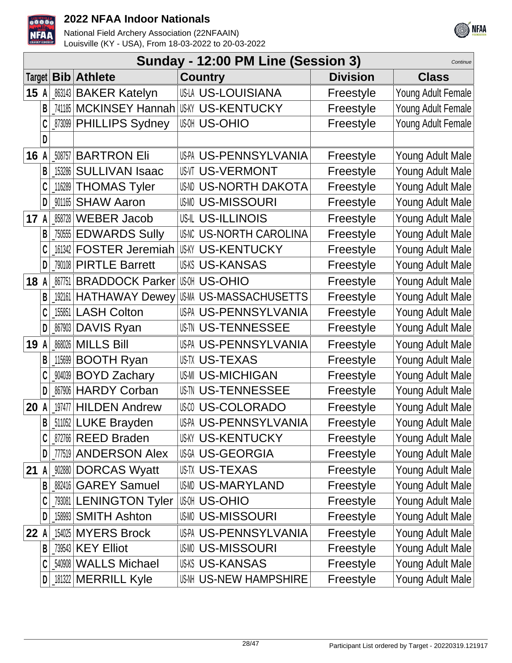



|        |   |           |                               | Sunday - 12:00 PM Line (Session 3) |                 | Continue           |
|--------|---|-----------|-------------------------------|------------------------------------|-----------------|--------------------|
| Target |   |           | <b>Bib Athlete</b>            | <b>Country</b>                     | <b>Division</b> | <b>Class</b>       |
| 15A    |   |           | 863143 BAKER Katelyn          | <b>US-LA US-LOUISIANA</b>          | Freestyle       | Young Adult Female |
|        | B |           | _741185   MCKINSEY Hannah     | <b>US-KY US-KENTUCKY</b>           | Freestyle       | Young Adult Female |
|        |   |           | _873099   PHILLIPS Sydney     | <b>US-OHIO</b>                     | Freestyle       | Young Adult Female |
|        |   |           |                               |                                    |                 |                    |
| 16     |   | 508757    | <b>BARTRON Eli</b>            | US-PA US-PENNSYLVANIA              | Freestyle       | Young Adult Male   |
|        | B | 153286    | <b>SULLIVAN Isaac</b>         | <b>US-VI US-VERMONT</b>            | Freestyle       | Young Adult Male   |
|        |   | 116289    | <b>THOMAS Tyler</b>           | <b>US-NORTH DAKOTA</b>             | Freestyle       | Young Adult Male   |
|        |   | 901165    | <b>SHAW Aaron</b>             | <b>USMO US-MISSOURI</b>            | Freestyle       | Young Adult Male   |
| 17A    |   | 858728    | <b>WEBER Jacob</b>            | <b>US-IL US-ILLINOIS</b>           | Freestyle       | Young Adult Male   |
|        | B | $_750555$ | <b>EDWARDS Sully</b>          | <b>US-NORTH CAROLINA</b>           | Freestyle       | Young Adult Male   |
|        |   |           | 161342 <b>FOSTER Jeremiah</b> | <b>US-KY US-KENTUCKY</b>           | Freestyle       | Young Adult Male   |
|        | D |           | 790108 PIRTLE Barrett         | <b>US-KS US-KANSAS</b>             | Freestyle       | Young Adult Male   |
| 18     | A | 867751    | <b>BRADDOCK Parker</b>        | <b>US-OHIO</b>                     | Freestyle       | Young Adult Male   |
|        |   |           | 192161 HATHAWAY Dewey         | US-MASSACHUSETTS                   | Freestyle       | Young Adult Male   |
|        |   | 155851    | <b>LASH Colton</b>            | US-PA US-PENNSYLVANIA              | Freestyle       | Young Adult Male   |
|        |   | $_867903$ | DAVIS Ryan                    | US-TENNESSEE                       | Freestyle       | Young Adult Male   |
| 19     | A | 868026    | <b>MILLS Bill</b>             | US-PA US-PENNSYLVANIA              | Freestyle       | Young Adult Male   |
|        | B | 115699    | <b>BOOTH Ryan</b>             | <b>USTX US-TEXAS</b>               | Freestyle       | Young Adult Male   |
|        |   | 904039    | <b>BOYD Zachary</b>           | <b>US-MI US-MICHIGAN</b>           | Freestyle       | Young Adult Male   |
|        | D | 867906    | <b>HARDY Corban</b>           | US-TENNESSEE                       | Freestyle       | Young Adult Male   |
| 20     | A | 197477    | <b>HILDEN Andrew</b>          | <b>US:00 US-COLORADO</b>           | Freestyle       | Young Adult Male   |
|        | B |           | 511052 LUKE Brayden           | US-PA US-PENNSYLVANIA              | Freestyle       | Young Adult Male   |
|        |   |           | 872766 REED Braden            | <b>US-KENTUCKY</b>                 | Freestyle       | Young Adult Male   |
|        | D |           | _777519 ANDERSON Alex         | US-GEORGIA                         | Freestyle       | Young Adult Male   |
| 21     | A |           | 902880 DORCAS Wyatt           | <b>USTX US-TEXAS</b>               | Freestyle       | Young Adult Male   |
|        | B |           | 882416 GAREY Samuel           | USMD US-MARYLAND                   | Freestyle       | Young Adult Male   |
|        |   |           | 793081 LENINGTON Tyler        | <b>US-OHIO</b>                     | Freestyle       | Young Adult Male   |
|        | D |           | 158993 SMITH Ashton           | <b>USMO US-MISSOURI</b>            | Freestyle       | Young Adult Male   |
| 22A    |   |           | 154025 MYERS Brock            | US-PA US-PENNSYLVANIA              | Freestyle       | Young Adult Male   |
|        | В |           | 739543 KEY Elliot             | <b>USMO US-MISSOURI</b>            | Freestyle       | Young Adult Male   |
|        |   |           | 540908 WALLS Michael          | <b>US-KANSAS</b>                   | Freestyle       | Young Adult Male   |
|        |   |           | $D$ 181322 MERRILL Kyle       | US-NEW HAMPSHIRE                   | Freestyle       | Young Adult Male   |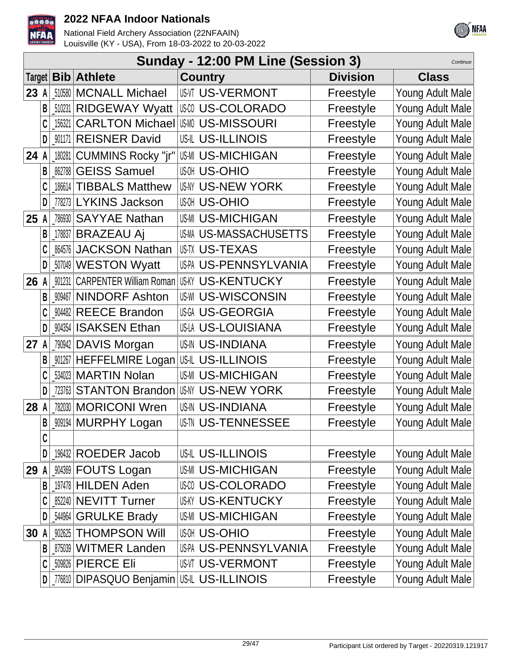



|      |   |         |                                | Sunday - 12:00 PM Line (Session 3) |                 | Continue         |
|------|---|---------|--------------------------------|------------------------------------|-----------------|------------------|
|      |   |         | Target   Bib   Athlete         | <b>Country</b>                     | <b>Division</b> | <b>Class</b>     |
| 23   | A |         | 510580   MCNALL Michael        | <b>US-VI US-VERMONT</b>            | Freestyle       | Young Adult Male |
|      | B | _510231 | <b>RIDGEWAY Wyatt</b>          | <b>US-COLORADO</b>                 | Freestyle       | Young Adult Male |
|      |   | 156321  | <b>CARLTON Michael</b>         | <b>US-MISSOURI</b>                 | Freestyle       | Young Adult Male |
|      | D | _901171 | <b>REISNER David</b>           | <b>US-IL US-ILLINOIS</b>           | Freestyle       | Young Adult Male |
| 24   |   | 180281  | <b>CUMMINS Rocky "jr"</b>      | <b>US-MI US-MICHIGAN</b>           | Freestyle       | Young Adult Male |
|      | B |         | 862788 GEISS Samuel            | <b>US-OHIO</b>                     | Freestyle       | Young Adult Male |
|      |   | 186614  | <b>TIBBALS Matthew</b>         | <b>US-NY US-NEW YORK</b>           | Freestyle       | Young Adult Male |
|      | D |         | 778273 LYKINS Jackson          | <b>US-OHIO</b>                     | Freestyle       | Young Adult Male |
| 25 A |   |         | 786930 SAYYAE Nathan           | <b>US-MI US-MICHIGAN</b>           | Freestyle       | Young Adult Male |
|      | B | 178837  | <b>BRAZEAU Aj</b>              | US-M US-MASSACHUSETTS              | Freestyle       | Young Adult Male |
|      |   | 864576  | <b>JACKSON Nathan</b>          | <b>USTX US-TEXAS</b>               | Freestyle       | Young Adult Male |
|      | D |         | 507049 WESTON Wyatt            | US-PA US-PENNSYLVANIA              | Freestyle       | Young Adult Male |
| 26   | A | 901231  | <b>CARPENTER William Roman</b> | <b>US-KY US-KENTUCKY</b>           | Freestyle       | Young Adult Male |
|      | B | 909467  | <b>NINDORF Ashton</b>          | <b>US-WISCONSIN</b>                | Freestyle       | Young Adult Male |
|      |   | 904482  | <b>REECE Brandon</b>           | <b>USGA US-GEORGIA</b>             | Freestyle       | Young Adult Male |
|      | D | 904354  | <b>ISAKSEN Ethan</b>           | US-LA US-LOUISIANA                 | Freestyle       | Young Adult Male |
| 27   | A |         | 790942 DAVIS Morgan            | <b>US-IN US-INDIANA</b>            | Freestyle       | Young Adult Male |
|      |   |         | 001267 HEFFELMIRE Logan        | US-ILLINOIS                        | Freestyle       | Young Adult Male |
|      |   |         | 534023 MARTIN Nolan            | <b>US-MI US-MICHIGAN</b>           | Freestyle       | Young Adult Male |
|      | D | 723763  | <b>STANTON Brandon</b>         | <b>US-IV US-NEW YORK</b>           | Freestyle       | Young Adult Male |
| 28   |   |         | 782030   MORICONI Wren         | <b>US-IN US-INDIANA</b>            | Freestyle       | Young Adult Male |
|      | B |         | <b>909194 MURPHY Logan</b>     | USIN US-TENNESSEE                  | Freestyle       | Young Adult Male |
|      | C |         |                                |                                    |                 |                  |
|      | D |         | 196432 ROEDER Jacob            | US-IL US-ILLINOIS                  | Freestyle       | Young Adult Male |
| 29   |   |         | 904369 FOUTS Logan             | <b>US-MI US-MICHIGAN</b>           | Freestyle       | Young Adult Male |
|      | B |         | 197478 HILDEN Aden             | <b>USO US-COLORADO</b>             | Freestyle       | Young Adult Male |
|      | C |         | 852240 NEVITT Turner           | <b>US-KY US-KENTUCKY</b>           | Freestyle       | Young Adult Male |
|      | D | _544964 | <b>GRULKE Brady</b>            | <b>US-MI US-MICHIGAN</b>           | Freestyle       | Young Adult Male |
| 30   |   | 902625  | <b>THOMPSON Will</b>           | <b>US-OHIO</b>                     | Freestyle       | Young Adult Male |
|      | B | 875039  | <b>WITMER Landen</b>           | US-PA US-PENNSYLVANIA              | Freestyle       | Young Adult Male |
|      |   |         | 509826 PIERCE Eli              | <b>US-IT US-VERMONT</b>            | Freestyle       | Young Adult Male |
|      | D |         | _776810   DIPASQUO Benjamin    | USIL US-ILLINOIS                   | Freestyle       | Young Adult Male |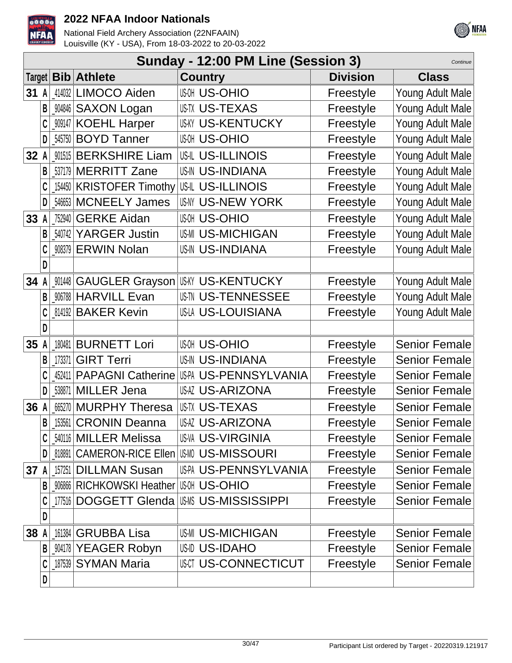



|      |     |           |                                                 | Sunday - 12:00 PM Line (Session 3)  |                 | Continue             |
|------|-----|-----------|-------------------------------------------------|-------------------------------------|-----------------|----------------------|
|      |     |           | Target <b>Bib Athlete</b>                       | <b>Country</b>                      | <b>Division</b> | <b>Class</b>         |
| 31   | A   |           | 414032 LIMOCO Aiden                             | <b>US-OHIO</b>                      | Freestyle       | Young Adult Male     |
|      | B   | $_904846$ | <b>SAXON Logan</b>                              | USTX US-TEXAS                       | Freestyle       | Young Adult Male     |
|      |     |           | 909147 KOEHL Harper                             | <b>US-KENTUCKY</b>                  | Freestyle       | Young Adult Male     |
|      | D   |           | 545750 BOYD Tanner                              | <b>US-OHIO</b>                      | Freestyle       | Young Adult Male     |
| 32   | A   |           | 901515 BERKSHIRE Liam                           | US-IL US-ILLINOIS                   | Freestyle       | Young Adult Male     |
|      | B   |           | 537179 MERRITT Zane                             | <b>US-IN US-INDIANA</b>             | Freestyle       | Young Adult Male     |
|      |     |           | 154450 KRISTOFER Timothy                        | USIL US-ILLINOIS                    | Freestyle       | Young Adult Male     |
|      | D   |           | 546653 MCNEELY James                            | US-NY US-NEW YORK                   | Freestyle       | Young Adult Male     |
| 33 A |     |           | 752940 GERKE Aidan                              | <b>US-OHIO</b>                      | Freestyle       | Young Adult Male     |
|      | B   |           | 540742 YARGER Justin                            | <b>US-MICHIGAN</b>                  | Freestyle       | Young Adult Male     |
|      |     |           | 908379 ERWIN Nolan                              | <b>US-IN US-INDIANA</b>             | Freestyle       | Young Adult Male     |
|      | D   |           |                                                 |                                     |                 |                      |
| 34 A |     |           | <b>MI448 GAUGLER Grayson</b>                    | US-KY US-KENTUCKY                   | Freestyle       | Young Adult Male     |
|      | B   |           | _906788 HARVILL Evan                            | <b>US-TENNESSEE</b>                 | Freestyle       | Young Adult Male     |
|      |     |           | 814192 BAKER Kevin                              | US-LA US-LOUISIANA                  | Freestyle       | Young Adult Male     |
|      | D   |           |                                                 |                                     |                 |                      |
| 35   | A   | 180481    | <b>BURNETT Lori</b>                             | <b>US-OHIO</b>                      | Freestyle       | <b>Senior Female</b> |
|      | B   | 173371    | <b>GIRT Terri</b>                               | <b>US-IN US-INDIANA</b>             | Freestyle       | <b>Senior Female</b> |
|      |     |           | 452411 PAPAGNI Catherine                        | US-PA US-PENNSYLVANIA               | Freestyle       | <b>Senior Female</b> |
|      | D   |           | 538871 MILLER Jena                              | <b>US-ARIZONA</b>                   | Freestyle       | <b>Senior Female</b> |
| 36 A |     |           | 665270 MURPHY Theresa                           | USTX US-TEXAS                       | Freestyle       | <b>Senior Female</b> |
|      | B   |           | [153561   CRONIN Deanna                         | <b>US-ARIZONA</b>                   | Freestyle       | Senior Female        |
|      |     |           | 540116 MILLER Melissa                           | USVA US-VIRGINIA                    | Freestyle       | <b>Senior Female</b> |
|      | D I |           | <b>[818891 CAMERON-RICE Ellen   US-MISSOURI</b> |                                     | Freestyle       | <b>Senior Female</b> |
| 37   | A   |           | 157251 DILLMAN Susan                            | US-PENNSYLVANIA                     | Freestyle       | <b>Senior Female</b> |
|      | B   |           | <b>906866 RICHKOWSKI Heather US-MI US-OHIO</b>  |                                     | Freestyle       | <b>Senior Female</b> |
|      |     |           |                                                 | 177516 DOGGETT Glenda US-MSSISSIPPI | Freestyle       | <b>Senior Female</b> |
|      | D   |           |                                                 |                                     |                 |                      |
| 38 A |     |           | 161384 GRUBBA Lisa                              | <b>US-MICHIGAN</b>                  | Freestyle       | <b>Senior Female</b> |
|      |     |           | B   904178 YEAGER Robyn                         | US-IDAHO                            | Freestyle       | <b>Senior Female</b> |
|      |     |           | $187539$ SYMAN Maria                            | <b>US-CONNECTICUT</b>               | Freestyle       | <b>Senior Female</b> |
|      | D   |           |                                                 |                                     |                 |                      |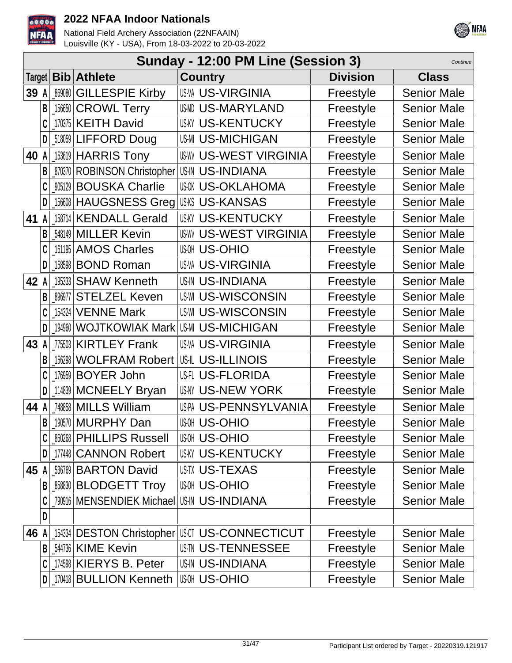



|      |   |        |                                | Sunday - 12:00 PM Line (Session 3) |                 | Continue           |
|------|---|--------|--------------------------------|------------------------------------|-----------------|--------------------|
|      |   |        | Target   Bib   Athlete         | <b>Country</b>                     | <b>Division</b> | <b>Class</b>       |
| 39   | A | 869080 | <b>GILLESPIE Kirby</b>         | <b>US-VA US-VIRGINIA</b>           | Freestyle       | <b>Senior Male</b> |
|      | B |        | 156650 CROWL Terry             | <b>US-MARYLAND</b>                 | Freestyle       | <b>Senior Male</b> |
|      |   |        | 170375 KEITH David             | <b>US-KENTUCKY</b>                 | Freestyle       | <b>Senior Male</b> |
|      | D |        | 518059 LIFFORD Doug            | <b>US-MI US-MICHIGAN</b>           | Freestyle       | <b>Senior Male</b> |
| 40   | A |        | 153619 HARRIS Tony             | <b>US-WEST VIRGINIA</b>            | Freestyle       | <b>Senior Male</b> |
|      | B |        | 870370 ROBINSON Christopher    | <b>US-IN US-INDIANA</b>            | Freestyle       | <b>Senior Male</b> |
|      |   |        | 905129 BOUSKA Charlie          | <b>US-OKLAHOMA</b>                 | Freestyle       | <b>Senior Male</b> |
|      | D |        | 156608 HAUGSNESS Greg          | <b>US-KANSAS</b>                   | Freestyle       | <b>Senior Male</b> |
| 41   | A |        | 158714 KENDALL Gerald          | <b>US-KY US-KENTUCKY</b>           | Freestyle       | <b>Senior Male</b> |
|      | B |        | 548149 MILLER Kevin            | <b>US-WEST VIRGINIA</b>            | Freestyle       | <b>Senior Male</b> |
|      |   |        | 161195 AMOS Charles            | <b>US-OHIO</b>                     | Freestyle       | <b>Senior Male</b> |
|      | D |        | 158598 BOND Roman              | <b>US-VA US-VIRGINIA</b>           | Freestyle       | <b>Senior Male</b> |
| 42   | A |        | 195333 SHAW Kenneth            | <b>US-IN US-INDIANA</b>            | Freestyle       | <b>Senior Male</b> |
|      | B | 896977 | <b>STELZEL Keven</b>           | <b>US-WISCONSIN</b>                | Freestyle       | <b>Senior Male</b> |
|      |   |        | 154324   <b>VENNE Mark</b>     | <b>US-WISCONSIN</b>                | Freestyle       | <b>Senior Male</b> |
|      | D |        | 194960 WOJTKOWIAK Mark         | <b>US-MICHIGAN</b>                 | Freestyle       | <b>Senior Male</b> |
| 43   | A |        | 775503 KIRTLEY Frank           | <b>US-VIRGINIA</b>                 | Freestyle       | <b>Senior Male</b> |
|      | В | 156298 | <b>WOLFRAM Robert</b>          | <b>US-IL US-ILLINOIS</b>           | Freestyle       | <b>Senior Male</b> |
|      |   |        | 176959 BOYER John              | <b>US-FLORIDA</b>                  | Freestyle       | <b>Senior Male</b> |
|      | D |        | 114839 MCNEELY Bryan           | US-IY US-NEW YORK                  | Freestyle       | <b>Senior Male</b> |
| 44 A |   |        | 748858 MILLS William           | US-PA US-PENNSYLVANIA              | Freestyle       | <b>Senior Male</b> |
|      | В |        | [190570   MURPHY Dan           | <b>US-OHIO</b>                     | Freestyle       | Senior Male        |
|      |   |        | <b>860268 PHILLIPS Russell</b> | <b>US-OHIO</b>                     | Freestyle       | <b>Senior Male</b> |
|      | D |        | 177448 CANNON Robert           | <b>US-KY US-KENTUCKY</b>           | Freestyle       | <b>Senior Male</b> |
| 45 A |   |        | 536769 BARTON David            | <b>US-TX US-TEXAS</b>              | Freestyle       | <b>Senior Male</b> |
|      |   |        | 858830 BLODGETT Troy           | <b>US-OHIO</b>                     | Freestyle       | <b>Senior Male</b> |
|      |   |        | 790916 MENSENDIEK Michael      | US-IN US-INDIANA                   | Freestyle       | <b>Senior Male</b> |
|      | D |        |                                |                                    |                 |                    |
| 46 A |   |        | [154334 DESTON Christopher     | <b>USCT US-CONNECTICUT</b>         | Freestyle       | <b>Senior Male</b> |
|      | B |        | 544736 KIME Kevin              | <b>US-TENNESSEE</b>                | Freestyle       | <b>Senior Male</b> |
|      |   |        | 174598 KIERYS B. Peter         | <b>US-IN US-INDIANA</b>            | Freestyle       | <b>Senior Male</b> |
|      |   |        | 170418 BULLION Kenneth         | <b>US-OHIO</b>                     | Freestyle       | <b>Senior Male</b> |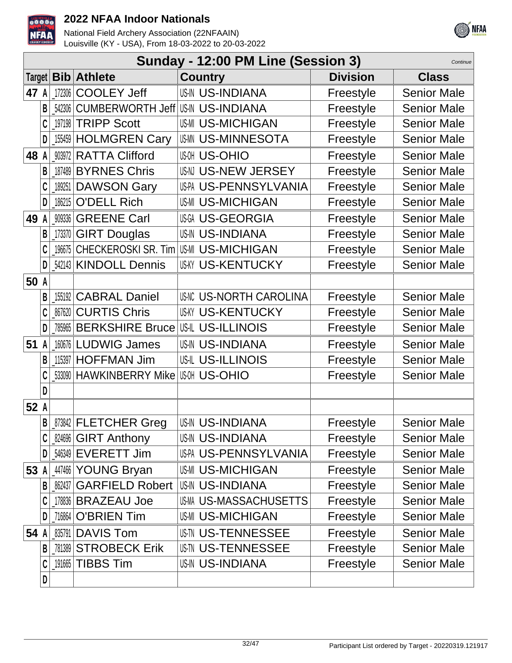



|      |   |        |                             | Sunday - 12:00 PM Line (Session 3) |                 | Continue           |
|------|---|--------|-----------------------------|------------------------------------|-----------------|--------------------|
|      |   |        | Target   Bib   Athlete      | <b>Country</b>                     | <b>Division</b> | <b>Class</b>       |
| 47   | A |        | 172306 COOLEY Jeff          | <b>US-IN US-INDIANA</b>            | Freestyle       | <b>Senior Male</b> |
|      | B | 542306 | <b>CUMBERWORTH Jeff</b>     | <b>US-IN US-INDIANA</b>            | Freestyle       | <b>Senior Male</b> |
|      |   |        | 197198 TRIPP Scott          | <b>US-MI US-MICHIGAN</b>           | Freestyle       | <b>Senior Male</b> |
|      | D |        | 155459 HOLMGREN Cary        | <b>USMN US-MINNESOTA</b>           | Freestyle       | <b>Senior Male</b> |
| 48   | А |        | 903972 RATTA Clifford       | <b>US-OHIO</b>                     | Freestyle       | <b>Senior Male</b> |
|      | B |        | 187489 BYRNES Chris         | US-N US-NEW JERSEY                 | Freestyle       | <b>Senior Male</b> |
|      |   | 189251 | <b>DAWSON Gary</b>          | US-PA US-PENNSYLVANIA              | Freestyle       | <b>Senior Male</b> |
|      | D | 186215 | <b>O'DELL Rich</b>          | <b>US-MI US-MICHIGAN</b>           | Freestyle       | <b>Senior Male</b> |
| 49   | A |        | 909336 GREENE Carl          | <b>US-GEORGIA</b>                  | Freestyle       | <b>Senior Male</b> |
|      | B |        | 173370 GIRT Douglas         | <b>US-IN US-INDIANA</b>            | Freestyle       | <b>Senior Male</b> |
|      |   | 196675 | CHECKEROSKI SR. Tim         | <b>US-MICHIGAN</b>                 | Freestyle       | <b>Senior Male</b> |
|      | D |        | 542143 KINDOLL Dennis       | <b>US-KY US-KENTUCKY</b>           | Freestyle       | <b>Senior Male</b> |
| 50   | A |        |                             |                                    |                 |                    |
|      | B |        | 155192 CABRAL Daniel        | US-NORTH CAROLINA                  | Freestyle       | <b>Senior Male</b> |
|      | C | 867620 | <b>CURTIS Chris</b>         | <b>US-KENTUCKY</b>                 | Freestyle       | <b>Senior Male</b> |
|      | D |        | 785965 BERKSHIRE Bruce      | US-ILLINOIS                        | Freestyle       | <b>Senior Male</b> |
| 51   | A |        | 160676 LUDWIG James         | <b>US-IN US-INDIANA</b>            | Freestyle       | <b>Senior Male</b> |
|      | В | 115397 | <b>HOFFMAN Jim</b>          | <b>US-IL US-ILLINOIS</b>           | Freestyle       | <b>Senior Male</b> |
|      |   |        | 533090 HAWKINBERRY Mike     | <b>US-OHIO</b>                     | Freestyle       | <b>Senior Male</b> |
|      | D |        |                             |                                    |                 |                    |
| 52 A |   |        |                             |                                    |                 |                    |
|      | B |        | _873842   FLETCHER Greg     | <b>US-IN US-INDIANA</b>            | Freestyle       | <b>Senior Male</b> |
|      |   |        | _824696 GIRT Anthony        | <b>US-IN US-INDIANA</b>            | Freestyle       | <b>Senior Male</b> |
|      | D |        | 546349 EVERETT Jim          | US-PA US-PENNSYLVANIA              | Freestyle       | <b>Senior Male</b> |
| 53 A |   |        | 447466 YOUNG Bryan          | <b>US-MI US-MICHIGAN</b>           | Freestyle       | <b>Senior Male</b> |
|      |   | 862437 | <b>GARFIELD Robert</b>      | <b>US-IN US-INDIANA</b>            | Freestyle       | <b>Senior Male</b> |
|      |   |        | 178836 BRAZEAU Joe          | <b>US-M US-MASSACHUSETTS</b>       | Freestyle       | <b>Senior Male</b> |
|      |   |        | 716864   O'BRIEN Tim        | <b>US-MI US-MICHIGAN</b>           | Freestyle       | <b>Senior Male</b> |
| 54 A |   |        | 835791 DAVIS Tom            | <b>US-TENNESSEE</b>                | Freestyle       | <b>Senior Male</b> |
|      | B |        | <b>781389 STROBECK Erik</b> | <b>US-TENNESSEE</b>                | Freestyle       | <b>Senior Male</b> |
|      |   |        | 191665 TIBBS Tim            | <b>US-IN US-INDIANA</b>            | Freestyle       | <b>Senior Male</b> |
|      | D |        |                             |                                    |                 |                    |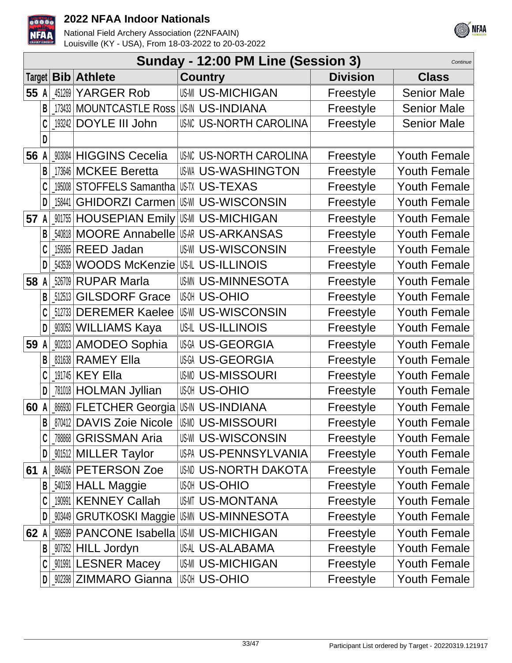



|        |   |        |                                                 | Sunday - 12:00 PM Line (Session 3) |                 | Continue            |
|--------|---|--------|-------------------------------------------------|------------------------------------|-----------------|---------------------|
| Target |   |        | <b>Bib</b> Athlete                              | <b>Country</b>                     | <b>Division</b> | <b>Class</b>        |
| 55     | A | 451269 | <b>YARGER Rob</b>                               | <b>US-MI US-MICHIGAN</b>           | Freestyle       | <b>Senior Male</b>  |
|        | B |        | 173433   MOUNTCASTLE Ross   US-IN US-INDIANA    |                                    | Freestyle       | <b>Senior Male</b>  |
|        |   |        | 193242 DOYLE III John                           | <b>US-NORTH CAROLINA</b>           | Freestyle       | <b>Senior Male</b>  |
|        | D |        |                                                 |                                    |                 |                     |
| 56     |   |        | 903084 HIGGINS Cecelia                          | <b>US-NORTH CAROLINA</b>           | Freestyle       | <b>Youth Female</b> |
|        |   |        | 173646 MCKEE Beretta                            | <b>US WA US-WASHINGTON</b>         | Freestyle       | <b>Youth Female</b> |
|        |   |        | 195008 STOFFELS Samantha                        | <b>IUSTX US-TEXAS</b>              | Freestyle       | <b>Youth Female</b> |
|        | D | 158441 | <b>GHIDORZI Carmen</b>                          | US-WISCONSIN                       | Freestyle       | <b>Youth Female</b> |
| 57     | A |        | 001755 HOUSEPIAN Emily US-MICHIGAN              |                                    | Freestyle       | <b>Youth Female</b> |
|        | B | 540818 | <b>MOORE Annabelle</b>                          | USAR US-ARKANSAS                   | Freestyle       | <b>Youth Female</b> |
|        |   | 159365 | <b>REED Jadan</b>                               | <b>US-WISCONSIN</b>                | Freestyle       | <b>Youth Female</b> |
|        | D | 543539 | <b>WOODS McKenzie</b>                           | US-ILLINOIS                        | Freestyle       | <b>Youth Female</b> |
| 58     | A | 526709 | <b>RUPAR Marla</b>                              | <b>US-MINNESOTA</b>                | Freestyle       | <b>Youth Female</b> |
|        |   | 512513 | <b>GILSDORF Grace</b>                           | <b>US-OHIO</b>                     | Freestyle       | <b>Youth Female</b> |
|        |   |        | 512733 DEREMER Kaelee                           | <b>US-WISCONSIN</b>                | Freestyle       | <b>Youth Female</b> |
|        | D |        | _903053   WILLIAMS Kaya                         | <b>US-IL US-ILLINOIS</b>           | Freestyle       | <b>Youth Female</b> |
| 59     |   |        | 902313 AMODEO Sophia                            | <b>USGI US-GEORGIA</b>             | Freestyle       | <b>Youth Female</b> |
|        | B |        | 831638 RAMEY Ella                               | <b>USGA US-GEORGIA</b>             | Freestyle       | <b>Youth Female</b> |
|        |   |        | 191745 KEY Ella                                 | <b>US-MISSOURI</b>                 | Freestyle       | <b>Youth Female</b> |
|        | D |        | 781018 HOLMAN Jyllian                           | <b>US-OHIO</b>                     | Freestyle       | <b>Youth Female</b> |
| 60     | A |        | <b>M6030 FLETCHER Georgia US-IN US-INDIANA</b>  |                                    | Freestyle       | <b>Youth Female</b> |
|        | B |        | 870412 DAVIS Zoie Nicole                        | <b>US-MISSOURI</b>                 | Freestyle       | Youth Female        |
|        |   | 788868 | <b>GRISSMAN Aria</b>                            | <b>US-WISCONSIN</b>                | Freestyle       | <b>Youth Female</b> |
|        | D |        | _901512 MILLER Taylor                           | US-PA US-PENNSYLVANIA              | Freestyle       | <b>Youth Female</b> |
| 61     |   |        | <b>884606 PETERSON Zoe</b>                      | <b>USAD US-NORTH DAKOTA</b>        | Freestyle       | <b>Youth Female</b> |
|        | В |        | 540158 HALL Maggie                              | <b>US-OHIO</b>                     | Freestyle       | <b>Youth Female</b> |
|        | C |        | 190991 KENNEY Callah                            | USMT US-MONTANA                    | Freestyle       | Youth Female        |
|        | D |        | <b>003449   GRUTKOSKI Maggie   US-MINNESOTA</b> |                                    | Freestyle       | <b>Youth Female</b> |
| 62 A   |   |        | 908599 PANCONE Isabella US-MICHIGAN             |                                    | Freestyle       | <b>Youth Female</b> |
|        | В |        | 907352 HILL Jordyn                              | US-AL US-ALABAMA                   | Freestyle       | <b>Youth Female</b> |
|        |   |        | <b>MI991 LESNER Macey</b>                       | <b>US-MICHIGAN</b>                 | Freestyle       | <b>Youth Female</b> |
|        | D |        | _902398 ZIMMARO Gianna                          | <b>US-OHIO</b>                     | Freestyle       | Youth Female        |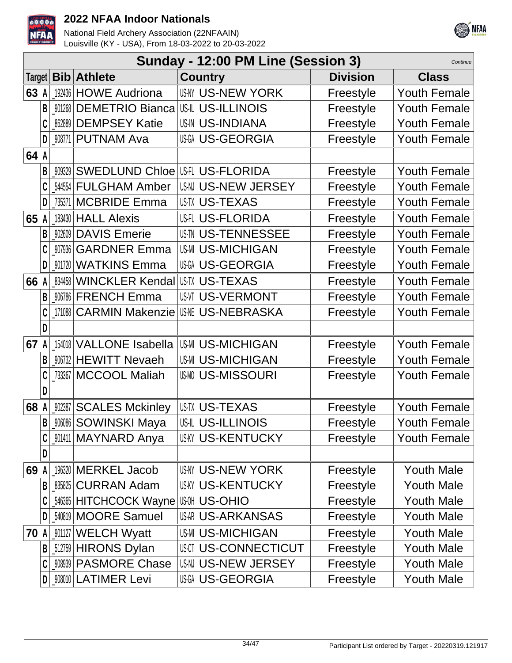



|        |   |        |                            | Sunday - 12:00 PM Line (Session 3) |                 | Continue            |
|--------|---|--------|----------------------------|------------------------------------|-----------------|---------------------|
| Target |   |        | <b>Bib</b> Athlete         | <b>Country</b>                     | <b>Division</b> | <b>Class</b>        |
| 63     | A |        | 192436 HOWE Audriona       | <b>US-NY US-NEW YORK</b>           | Freestyle       | <b>Youth Female</b> |
|        | B | 901268 | <b>DEMETRIO Bianca</b>     | US-ILLINOIS                        | Freestyle       | <b>Youth Female</b> |
|        |   | 862889 | <b>DEMPSEY Katie</b>       | <b>US-IN US-INDIANA</b>            | Freestyle       | <b>Youth Female</b> |
|        | D | 908771 | <b>PUTNAM Ava</b>          | <b>USGI US-GEORGIA</b>             | Freestyle       | <b>Youth Female</b> |
| 64 A   |   |        |                            |                                    |                 |                     |
|        | B | 909329 | <b>SWEDLUND Chloe</b>      | US-FLORIDA                         | Freestyle       | <b>Youth Female</b> |
|        |   |        | 544554 FULGHAM Amber       | US-N US-NEW JERSEY                 | Freestyle       | <b>Youth Female</b> |
|        | D | 735371 | <b>MCBRIDE Emma</b>        | <b>US-TEXAS</b>                    | Freestyle       | <b>Youth Female</b> |
| 65 A   |   |        | 183430 HALL Alexis         | <b>US-FLORIDA</b>                  | Freestyle       | <b>Youth Female</b> |
|        | B | 902609 | <b>DAVIS Emerie</b>        | <b>US TN US-TENNESSEE</b>          | Freestyle       | <b>Youth Female</b> |
|        |   | 907936 | <b>GARDNER Emma</b>        | <b>US-MICHIGAN</b>                 | Freestyle       | <b>Youth Female</b> |
|        | D | 901720 | <b>WATKINS Emma</b>        | <b>USGI US-GEORGIA</b>             | Freestyle       | <b>Youth Female</b> |
| 66     | A | 834458 | <b>WINCKLER Kendal</b>     | US-TUS-TEXAS                       | Freestyle       | <b>Youth Female</b> |
|        | B |        | 906786 FRENCH Emma         | <b>US-VI US-VERMONT</b>            | Freestyle       | <b>Youth Female</b> |
|        |   |        | 171088 CARMIN Makenzie     | <b>US-NEBRASKA</b>                 | Freestyle       | <b>Youth Female</b> |
|        | D |        |                            |                                    |                 |                     |
| 67     |   | 154018 | <b>VALLONE Isabella</b>    | US-MI US-MICHIGAN                  | Freestyle       | Youth Female        |
|        | B |        | 906732 HEWITT Nevaeh       | <b>US-MI US-MICHIGAN</b>           | Freestyle       | <b>Youth Female</b> |
|        |   |        | 733367   MCCOOL Maliah     | <b>USMO US-MISSOURI</b>            | Freestyle       | <b>Youth Female</b> |
|        | D |        |                            |                                    |                 |                     |
| 68     |   | 902387 | <b>SCALES Mckinley</b>     | USTX US-TEXAS                      | Freestyle       | <b>Youth Female</b> |
|        | B |        | _‱% SOWINSKI Maya          | <b>US-IL US-ILLINOIS</b>           | Freestyle       | Youth Female        |
|        | C |        | _901411   MAYNARD Anya     | <b>US-KENTUCKY</b>                 | Freestyle       | <b>Youth Female</b> |
|        | D |        |                            |                                    |                 |                     |
| 69     |   |        | 196320 MERKEL Jacob        | US-NY US-NEW YORK                  | Freestyle       | <b>Youth Male</b>   |
|        | B |        | 835825 CURRAN Adam         | <b>US-KENTUCKY</b>                 | Freestyle       | <b>Youth Male</b>   |
|        |   |        | 546365 HITCHCOCK Wayne     | <b>IUGOH US-OHIO</b>               | Freestyle       | <b>Youth Male</b>   |
|        | D |        | 540819 MOORE Samuel        | <b>US-ARKANSAS</b>                 | Freestyle       | <b>Youth Male</b>   |
| 70     | A |        | 001127 WELCH Wyatt         | <b>US-MI US-MICHIGAN</b>           | Freestyle       | <b>Youth Male</b>   |
|        | B |        | 512759 HIRONS Dylan        | <b>USCT US-CONNECTICUT</b>         | Freestyle       | <b>Youth Male</b>   |
|        |   |        | <b>WOODS PASMORE Chase</b> | US-N US-NEW JERSEY                 | Freestyle       | <b>Youth Male</b>   |
|        |   |        | _908010   LATIMER Levi     | <b>US-GEORGIA</b>                  | Freestyle       | <b>Youth Male</b>   |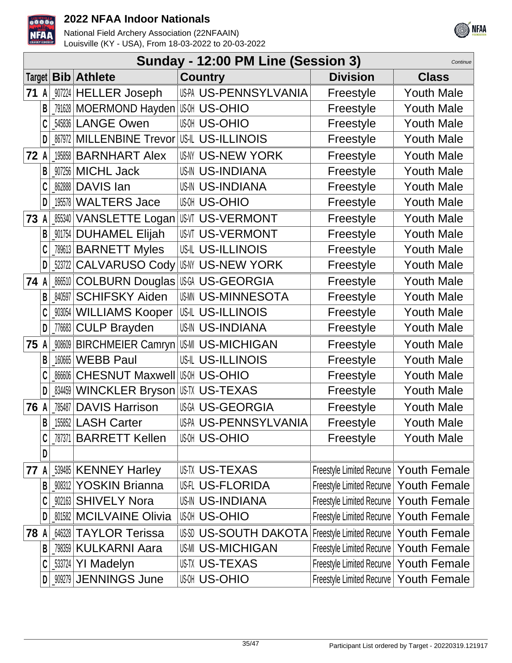



|        |   |         |                                         | Sunday - 12:00 PM Line (Session 3) |                                          | Continue            |
|--------|---|---------|-----------------------------------------|------------------------------------|------------------------------------------|---------------------|
| Target |   |         | <b>Bib Athlete</b>                      | <b>Country</b>                     | <b>Division</b>                          | <b>Class</b>        |
| 71     | A |         | 007224 HELLER Joseph                    | US-PA US-PENNSYLVANIA              | Freestyle                                | <b>Youth Male</b>   |
|        | B |         | 791628 MOERMOND Hayden                  | <b>US-OHIO</b>                     | Freestyle                                | <b>Youth Male</b>   |
|        |   |         | 545836 LANGE Owen                       | <b>US-OHIO</b>                     | Freestyle                                | <b>Youth Male</b>   |
|        |   | 867972  | <b>MILLENBINE Trevor</b>                | <b>USIL US-ILLINOIS</b>            | Freestyle                                | <b>Youth Male</b>   |
| 72     | A |         | 195858 BARNHART Alex                    | US-NY US-NEW YORK                  | Freestyle                                | <b>Youth Male</b>   |
|        | B |         | 907256 MICHL Jack                       | <b>US-IN US-INDIANA</b>            | Freestyle                                | <b>Youth Male</b>   |
|        |   |         | 862888 DAVIS lan                        | <b>US-IN US-INDIANA</b>            | Freestyle                                | <b>Youth Male</b>   |
|        | D | 195578  | <b>WALTERS Jace</b>                     | <b>US-OHIO</b>                     | Freestyle                                | <b>Youth Male</b>   |
| 73     | A |         | 855340 VANSLETTE Logan                  | US-VI US-VERMONT                   | Freestyle                                | <b>Youth Male</b>   |
|        |   | 901754  | <b>DUHAMEL Elijah</b>                   | <b>US-VI US-VERMONT</b>            | Freestyle                                | <b>Youth Male</b>   |
|        |   |         | 789613 BARNETT Myles                    | <b>US-IL US-ILLINOIS</b>           | Freestyle                                | <b>Youth Male</b>   |
|        | D | 523722  | CALVARUSO Cody                          | USNY US-NEW YORK                   | Freestyle                                | <b>Youth Male</b>   |
| 74     | A |         | _‱10 COLBURN Douglas Iાાઉન્સ US-GEORGIA |                                    | Freestyle                                | <b>Youth Male</b>   |
|        | B | 840597  | <b>SCHIFSKY Aiden</b>                   | <b>US-MINNESOTA</b>                | Freestyle                                | <b>Youth Male</b>   |
|        |   | _903054 | <b>WILLIAMS Kooper</b>                  | US-IL US-ILLINOIS                  | Freestyle                                | <b>Youth Male</b>   |
|        | D | 776683  | <b>CULP Brayden</b>                     | <b>US-IN US-INDIANA</b>            | Freestyle                                | <b>Youth Male</b>   |
| 75     | A | 908609  | <b>BIRCHMEIER Camryn</b>                | <b>US-MI US-MICHIGAN</b>           | Freestyle                                | <b>Youth Male</b>   |
|        | B | 160665  | <b>WEBB Paul</b>                        | <b>US-IL US-ILLINOIS</b>           | Freestyle                                | <b>Youth Male</b>   |
|        |   | 866606  | <b>CHESNUT Maxwell US-OHIO</b>          |                                    | Freestyle                                | <b>Youth Male</b>   |
|        | D | 834459  | WINCKLER Bryson                         | <b>USTX US-TEXAS</b>               | Freestyle                                | <b>Youth Male</b>   |
| 76 A   |   | 785487  | <b>DAVIS Harrison</b>                   | US-GEORGIA                         | Freestyle                                | <b>Youth Male</b>   |
|        | B |         | 155852 LASH Carter                      | US-PA US-PENNSYLVANIA              | Freestyle                                | <b>Youth Male</b>   |
|        | C |         | 787371 BARRETT Kellen                   | <b>US-OHIO</b>                     | Freestyle                                | <b>Youth Male</b>   |
|        | D |         |                                         |                                    |                                          |                     |
| 77     | A |         | 539485 KENNEY Harley                    | <b>USTX US-TEXAS</b>               | Freestyle Limited Recurve   Youth Female |                     |
|        | B | 908312  | <b>YOSKIN Brianna</b>                   | US-FLORIDA                         | Freestyle Limited Recurve                | <b>Youth Female</b> |
|        |   |         | 902163 SHIVELY Nora                     | <b>US-IN US-INDIANA</b>            | Freestyle Limited Recurve   Youth Female |                     |
|        | D |         | <b>201582 MCILVAINE Olivia</b>          | <b>US-OHIO</b>                     | Freestyle Limited Recurve                | <b>Youth Female</b> |
| 78     | A |         | 646328 TAYLOR Terissa                   | US: US-SOUTH DAKOTA                | Freestyle Limited Recurve                | <b>Youth Female</b> |
|        | B | 798359  | <b>KULKARNI Aara</b>                    | <b>US-MICHIGAN</b>                 | Freestyle Limited Recurve                | <b>Youth Female</b> |
|        | C |         | [533724 YI Madelyn]                     | <b>US-TX US-TEXAS</b>              | Freestyle Limited Recurve   Youth Female |                     |
|        | D |         | _909279   JENNINGS June                 | <b>US-OHIO</b>                     | Freestyle Limited Recurve   Youth Female |                     |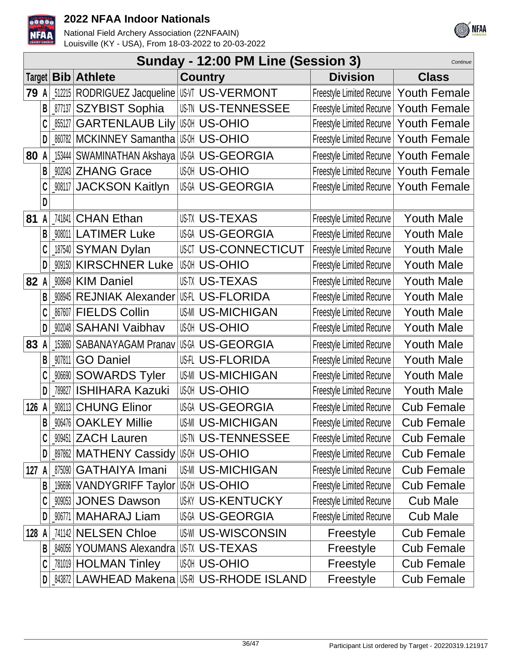



|      |              |        |                                                  | Sunday - 12:00 PM Line (Session 3)               |                                          | Continue            |
|------|--------------|--------|--------------------------------------------------|--------------------------------------------------|------------------------------------------|---------------------|
|      |              |        | Target   Bib   Athlete                           | <b>Country</b>                                   | <b>Division</b>                          | <b>Class</b>        |
| 79 A |              |        | 512215   RODRIGUEZ Jacqueline   US-VI US-VERMONT |                                                  | Freestyle Limited Recurve                | <b>Youth Female</b> |
|      | $\mathsf{B}$ |        | <b>_877137 SZYBIST Sophia</b>                    | <b>US-TU US-TENNESSEE</b>                        | <b>Freestyle Limited Recurve</b>         | <b>Youth Female</b> |
|      | C            |        | [855127 GARTENLAUB Lily                          | ାଞ୍ଜ US-OHIO                                     | Freestyle Limited Recurve                | <b>Youth Female</b> |
|      | D            |        | <b>_860782   MCKINNEY Samantha   US-OHIO</b>     |                                                  | <b>Freestyle Limited Recurve</b>         | <b>Youth Female</b> |
| 80   | A            |        | 153444 SWAMINATHAN Akshaya USGA US-GEORGIA       |                                                  | Freestyle Limited Recurve   Youth Female |                     |
|      | B            |        | 902043 ZHANG Grace                               | <b>US-OHIO</b>                                   | <b>Freestyle Limited Recurve</b>         | <b>Youth Female</b> |
|      |              |        | <b>W8117 JACKSON Kaitlyn</b>                     | US-GEORGIA                                       | Freestyle Limited Recurve   Youth Female |                     |
|      | D            |        |                                                  |                                                  |                                          |                     |
| 81   | A            |        | [741841 CHAN Ethan                               | <b>US-TEXAS</b>                                  | <b>Freestyle Limited Recurve</b>         | <b>Youth Male</b>   |
|      | B            |        | 908011 LATIMER Luke                              | US-A US-GEORGIA                                  | <b>Freestyle Limited Recurve</b>         | <b>Youth Male</b>   |
|      | C            |        | 187540 SYMAN Dylan                               | <b>USCT US-CONNECTICUT</b>                       | <b>Freestyle Limited Recurve</b>         | <b>Youth Male</b>   |
|      | D            |        | 909150   KIRSCHNER Luke                          | <b>US-OHIO</b>                                   | <b>Freestyle Limited Recurve</b>         | <b>Youth Male</b>   |
| 82   | A            |        | 908649 KIM Daniel                                | <b>US-TX US-TEXAS</b>                            | <b>Freestyle Limited Recurve</b>         | <b>Youth Male</b>   |
|      | B            |        | 908945 REJNIAK Alexander                         | IUS-IL US-FLORIDA                                | <b>Freestyle Limited Recurve</b>         | <b>Youth Male</b>   |
|      |              |        | 867607   FIELDS Collin                           | <b>US-MICHIGAN</b>                               | <b>Freestyle Limited Recurve</b>         | <b>Youth Male</b>   |
|      | D            |        | _902048 SAHANI Vaibhav                           | <b>US-OHIO</b>                                   | <b>Freestyle Limited Recurve</b>         | <b>Youth Male</b>   |
| 83   | A            |        | 153860 SABANAYAGAM Pranav                        | US-GEORGIA                                       | <b>Freestyle Limited Recurve</b>         | <b>Youth Male</b>   |
|      | B            | 907811 | <b>GO Daniel</b>                                 | <b>US-FLORIDA</b>                                | <b>Freestyle Limited Recurve</b>         | <b>Youth Male</b>   |
|      |              | 906690 | <b>SOWARDS Tyler</b>                             | <b>US-MI US-MICHIGAN</b>                         | <b>Freestyle Limited Recurve</b>         | <b>Youth Male</b>   |
|      | D            | 789827 | <b>ISHIHARA Kazuki</b>                           | <b>US-OHIO</b>                                   | <b>Freestyle Limited Recurve</b>         | <b>Youth Male</b>   |
| 126  | A            |        | 908113 CHUNG Elinor                              | US-GEORGIA                                       | <b>Freestyle Limited Recurve</b>         | <b>Cub Female</b>   |
|      | B            |        | 906476   OAKLEY Millie                           | <b>US-MI US-MICHIGAN</b>                         | <b>Freestyle Limited Recurve</b>         | Cub Female          |
|      |              |        | 909451 ZACH Lauren                               | <b>US-TENNESSEE</b>                              | <b>Freestyle Limited Recurve</b>         | <b>Cub Female</b>   |
|      | D            |        | <b>_897862   MATHENY Cassidy</b>                 | ∣แഷ US-OHIO                                      | <b>Freestyle Limited Recurve</b>         | <b>Cub Female</b>   |
| 127  | A            |        | 875090 GATHAIYA Imani                            | <b>US-MI US-MICHIGAN</b>                         | <b>Freestyle Limited Recurve</b>         | <b>Cub Female</b>   |
|      | B            |        | 196696 VANDYGRIFF Taylor                         | ∣ાୱ US-OHIO                                      | <b>Freestyle Limited Recurve</b>         | <b>Cub Female</b>   |
|      |              |        | 909053 JONES Dawson                              | <b>US-KENTUCKY</b>                               | <b>Freestyle Limited Recurve</b>         | <b>Cub Male</b>     |
|      | D            |        | _906771   MAHARAJ Liam                           | US-GEORGIA                                       | <b>Freestyle Limited Recurve</b>         | <b>Cub Male</b>     |
| 128  | A            |        | 741142 NELSEN Chloe                              | <b>US-WISCONSIN</b>                              | Freestyle                                | <b>Cub Female</b>   |
|      | В            | 846056 | <b>YOUMANS Alexandra</b>                         | <b>US-TX US-TEXAS</b>                            | Freestyle                                | <b>Cub Female</b>   |
|      |              |        | <b>781019 HOLMAN Tinley</b>                      | <b>US-OHIO</b>                                   | Freestyle                                | <b>Cub Female</b>   |
|      | D            |        |                                                  | <b>  843872 LAWHEAD Makena   US-RHODE ISLAND</b> | Freestyle                                | <b>Cub Female</b>   |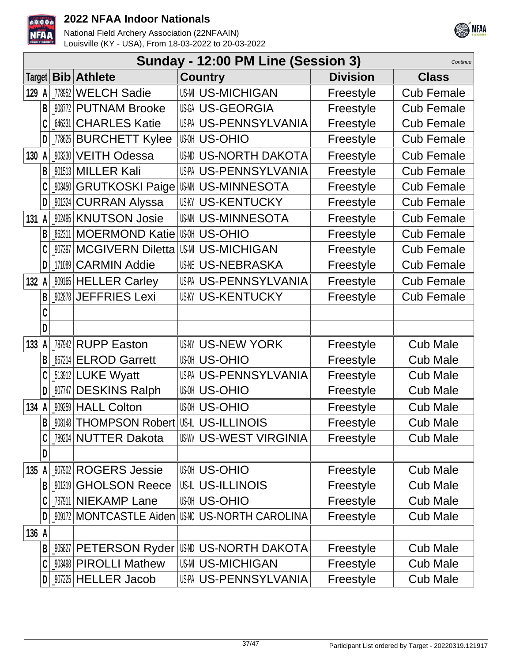



|       | Sunday - 12:00 PM Line (Session 3)<br>Continue |        |                                                     |                             |                 |                   |  |
|-------|------------------------------------------------|--------|-----------------------------------------------------|-----------------------------|-----------------|-------------------|--|
|       |                                                |        | Target   Bib   Athlete                              | <b>Country</b>              | <b>Division</b> | <b>Class</b>      |  |
| 129 A |                                                |        | 778952 WELCH Sadie                                  | <b>US-MICHIGAN</b>          | Freestyle       | <b>Cub Female</b> |  |
|       | B                                              |        | 908772 PUTNAM Brooke                                | US-GEORGIA                  | Freestyle       | <b>Cub Female</b> |  |
|       |                                                |        | 646331 CHARLES Katie                                | US-PA US-PENNSYLVANIA       | Freestyle       | <b>Cub Female</b> |  |
|       | D                                              |        | .778625   BURCHETT Kylee                            | <b>US-OHIO</b>              | Freestyle       | <b>Cub Female</b> |  |
|       |                                                |        | 130 A 903230 VEITH Odessa                           | US-NORTH DAKOTA             | Freestyle       | <b>Cub Female</b> |  |
|       | B                                              |        | 901513 MILLER Kali                                  | US-PA US-PENNSYLVANIA       | Freestyle       | <b>Cub Female</b> |  |
|       |                                                |        | <b>_903450 GRUTKOSKI Paige</b>                      | US-MINNESOTA                | Freestyle       | <b>Cub Female</b> |  |
|       | D                                              |        | _901324 CURRAN Alyssa                               | <b>US-KENTUCKY</b>          | Freestyle       | <b>Cub Female</b> |  |
| 131   | A                                              |        | 902495 KNUTSON Josie                                | <b>USMN US-MINNESOTA</b>    | Freestyle       | <b>Cub Female</b> |  |
|       |                                                |        | 862311 MOERMOND Katie                               | <b>US-OHIO</b>              | Freestyle       | <b>Cub Female</b> |  |
|       |                                                |        | 907397 MCGIVERN Diletta                             | <b>US-MI US-MICHIGAN</b>    | Freestyle       | <b>Cub Female</b> |  |
|       | D                                              |        | 171089 CARMIN Addie                                 | <b>US-NEBRASKA</b>          | Freestyle       | <b>Cub Female</b> |  |
| 132   | A                                              |        | 909165 HELLER Carley                                | US-PA US-PENNSYLVANIA       | Freestyle       | <b>Cub Female</b> |  |
|       | B                                              |        | _902878 JEFFRIES Lexi                               | <b>US-KENTUCKY</b>          | Freestyle       | <b>Cub Female</b> |  |
|       | C                                              |        |                                                     |                             |                 |                   |  |
|       | D                                              |        |                                                     |                             |                 |                   |  |
| 133   | A                                              |        | 787942 RUPP Easton                                  | <b>US-NY US-NEW YORK</b>    | Freestyle       | <b>Cub Male</b>   |  |
|       |                                                |        | 867214 ELROD Garrett                                | <b>US-OHIO</b>              | Freestyle       | <b>Cub Male</b>   |  |
|       |                                                |        | 513912 LUKE Wyatt                                   | US-PA US-PENNSYLVANIA       | Freestyle       | <b>Cub Male</b>   |  |
|       | D                                              |        | _907747 DESKINS Ralph                               | <b>US-OHIO</b>              | Freestyle       | <b>Cub Male</b>   |  |
| 134   | $\mathsf{A}$                                   |        | 909259 HALL Colton                                  | <b>US-OHIO</b>              | Freestyle       | <b>Cub Male</b>   |  |
|       | B                                              |        | <b>008148   THOMPSON Robert   US-IL US-ILLINOIS</b> |                             | Freestyle       | Cub Male          |  |
|       | C                                              |        | 789204 NUTTER Dakota                                | <b>USW US-WEST VIRGINIA</b> | Freestyle       | <b>Cub Male</b>   |  |
|       | D                                              |        |                                                     |                             |                 |                   |  |
| 135   | A                                              |        | 907902 ROGERS Jessie                                | <b>US-OHIO</b>              | Freestyle       | <b>Cub Male</b>   |  |
|       | B                                              |        | 901319 GHOLSON Reece                                | <b>US-ILLINOIS</b>          | Freestyle       | <b>Cub Male</b>   |  |
|       |                                                |        | 787911 NIEKAMP Lane                                 | <b>US-OHIO</b>              | Freestyle       | <b>Cub Male</b>   |  |
|       |                                                |        | 909172 MONTCASTLE Aiden                             | <b>US-NORTH CAROLINA</b>    | Freestyle       | <b>Cub Male</b>   |  |
| 136 A |                                                |        |                                                     |                             |                 |                   |  |
|       | B                                              | 905827 | <b>PETERSON Ryder</b>                               | US-NORTH DAKOTA             | Freestyle       | <b>Cub Male</b>   |  |
|       |                                                |        | <b>903498 PIROLLI Mathew</b>                        | <b>US-MI US-MICHIGAN</b>    | Freestyle       | <b>Cub Male</b>   |  |
|       | D                                              |        | _907225   HELLER Jacob                              | US-PA US-PENNSYLVANIA       | Freestyle       | <b>Cub Male</b>   |  |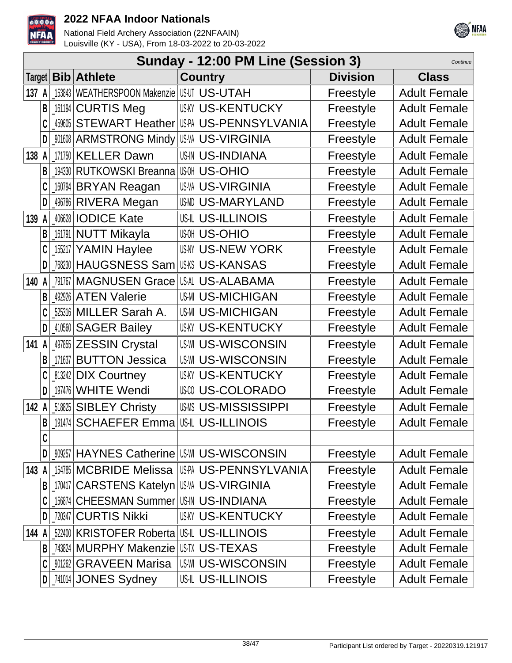



|          | Sunday - 12:00 PM Line (Session 3)<br>Continue |                                                |                                                 |                 |                     |  |  |
|----------|------------------------------------------------|------------------------------------------------|-------------------------------------------------|-----------------|---------------------|--|--|
| Target   |                                                | <b>Bib</b> Athlete                             | <b>Country</b>                                  | <b>Division</b> | <b>Class</b>        |  |  |
| 137 A    |                                                | 153843   WEATHERSPOON Makenzie   US-UT US-UTAH |                                                 | Freestyle       | <b>Adult Female</b> |  |  |
| B        | 161194                                         | <b>CURTIS Meg</b>                              | <b>US-KY US-KENTUCKY</b>                        | Freestyle       | <b>Adult Female</b> |  |  |
|          | 459605                                         | <b>STEWART Heather</b>                         | USPA US-PENNSYLVANIA                            | Freestyle       | <b>Adult Female</b> |  |  |
| D        |                                                | <b>901608 ARMSTRONG Mindy</b>                  | <b>USVA US-VIRGINIA</b>                         | Freestyle       | <b>Adult Female</b> |  |  |
| 138<br>A |                                                | 171750 KELLER Dawn                             | <b>US-INDIANA</b>                               | Freestyle       | <b>Adult Female</b> |  |  |
| B        |                                                | 194330 RUTKOWSKI Breanna                       | <b>US-OHIO</b>                                  | Freestyle       | <b>Adult Female</b> |  |  |
|          |                                                | 160794 BRYAN Reagan                            | <b>US-VA US-VIRGINIA</b>                        | Freestyle       | <b>Adult Female</b> |  |  |
| D        |                                                | 496786 RIVERA Megan                            | USMD US-MARYLAND                                | Freestyle       | <b>Adult Female</b> |  |  |
| 139 A    |                                                | 406628 <b>IODICE Kate</b>                      | <b>US-IL US-ILLINOIS</b>                        | Freestyle       | <b>Adult Female</b> |  |  |
|          |                                                | 161791 NUTT Mikayla                            | <b>US-OHIO</b>                                  | Freestyle       | <b>Adult Female</b> |  |  |
|          |                                                | 155217 YAMIN Haylee                            | <b>US-IV US-NEW YORK</b>                        | Freestyle       | <b>Adult Female</b> |  |  |
| D        |                                                | 768230 HAUGSNESS Sam                           | USKS US-KANSAS                                  | Freestyle       | <b>Adult Female</b> |  |  |
| 140      |                                                | 791767 MAGNUSEN Grace                          | US-ALABAMA                                      | Freestyle       | <b>Adult Female</b> |  |  |
| B        |                                                | 492926 ATEN Valerie                            | <b>US-MICHIGAN</b>                              | Freestyle       | <b>Adult Female</b> |  |  |
|          |                                                | 525316 MILLER Sarah A.                         | <b>US-MICHIGAN</b>                              | Freestyle       | <b>Adult Female</b> |  |  |
| D        |                                                | 410560 SAGER Bailey                            | <b>US-KENTUCKY</b>                              | Freestyle       | <b>Adult Female</b> |  |  |
| 141<br>A |                                                | 497855 ZESSIN Crystal                          | <b>US-WISCONSIN</b>                             | Freestyle       | <b>Adult Female</b> |  |  |
|          | 171637                                         | <b>BUTTON Jessica</b>                          | <b>US-WI US-WISCONSIN</b>                       | Freestyle       | <b>Adult Female</b> |  |  |
|          |                                                | 813242 DIX Courtney                            | <b>US-KY US-KENTUCKY</b>                        | Freestyle       | <b>Adult Female</b> |  |  |
| D        |                                                | 197476 WHITE Wendi                             | <b>USO US-COLORADO</b>                          | Freestyle       | <b>Adult Female</b> |  |  |
| 142 A    |                                                | 518825 SIBLEY Christy                          | <b>US-MISSISSIPPI</b>                           | Freestyle       | <b>Adult Female</b> |  |  |
| B        |                                                | 191474   <b>SCHAEFER Emma</b>                  | <b>USIL US-ILLINOIS</b>                         | Freestyle       | <b>Adult Female</b> |  |  |
| C        |                                                |                                                |                                                 |                 |                     |  |  |
| D        |                                                |                                                | <b>009257   HAYNES Catherine   US-WISCONSIN</b> | Freestyle       | <b>Adult Female</b> |  |  |
| 143<br>A |                                                | 154785 MCBRIDE Melissa                         | US-PA US-PENNSYLVANIA                           | Freestyle       | <b>Adult Female</b> |  |  |
| B        |                                                | 170417 CARSTENS Katelyn US-WIRGINIA            |                                                 | Freestyle       | <b>Adult Female</b> |  |  |
|          |                                                | 156874 CHEESMAN Summer US-IN US-INDIANA        |                                                 | Freestyle       | <b>Adult Female</b> |  |  |
| D        |                                                | 720347 CURTIS Nikki                            | <b>US-KY US-KENTUCKY</b>                        | Freestyle       | <b>Adult Female</b> |  |  |
| 144 A    |                                                | 522400 KRISTOFER Roberta US-IL US-ILLINOIS     |                                                 | Freestyle       | <b>Adult Female</b> |  |  |
| B        |                                                | 743824 MURPHY Makenzie US-T. US-TEXAS          |                                                 | Freestyle       | <b>Adult Female</b> |  |  |
| C        |                                                | <b>M1262 GRAVEEN Marisa</b>                    | <b>US-WISCONSIN</b>                             | Freestyle       | <b>Adult Female</b> |  |  |
| D        |                                                | [741014 JONES Sydney                           | <b>US-IL US-ILLINOIS</b>                        | Freestyle       | <b>Adult Female</b> |  |  |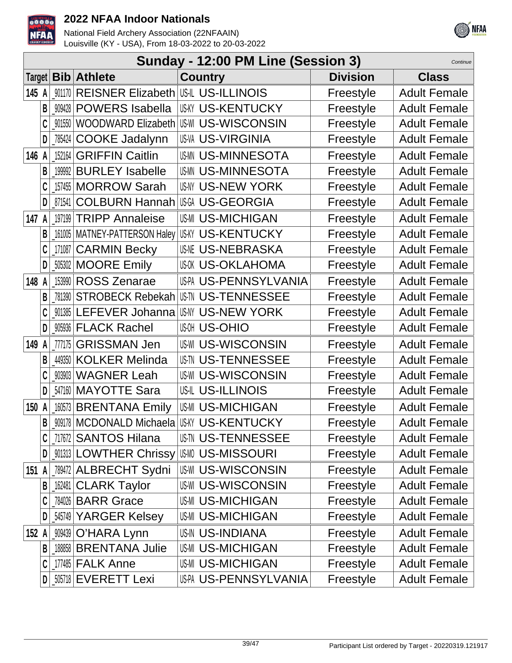



|        | Sunday - 12:00 PM Line (Session 3)<br>Continue |         |                                         |                                            |                 |                     |  |  |
|--------|------------------------------------------------|---------|-----------------------------------------|--------------------------------------------|-----------------|---------------------|--|--|
| Target |                                                |         | <b>Bib Athlete</b>                      | <b>Country</b>                             | <b>Division</b> | <b>Class</b>        |  |  |
| 145 A  |                                                | 901170  | REISNER Elizabeth US-ILLINOIS           |                                            | Freestyle       | <b>Adult Female</b> |  |  |
|        | B                                              | 909428  | <b>POWERS Isabella</b>                  | <b>US-KY US-KENTUCKY</b>                   | Freestyle       | <b>Adult Female</b> |  |  |
|        |                                                | 901550  | <b>WOODWARD Elizabeth</b>               | <b>US-WISCONSIN</b>                        | Freestyle       | <b>Adult Female</b> |  |  |
|        | D                                              | 785424  | <b>COOKE Jadalynn</b>                   | <b>US-VA US-VIRGINIA</b>                   | Freestyle       | <b>Adult Female</b> |  |  |
| 146 A  |                                                | 152164  | <b>GRIFFIN Caitlin</b>                  | <b>USMN US-MINNESOTA</b>                   | Freestyle       | <b>Adult Female</b> |  |  |
|        | B                                              | 199992  | <b>BURLEY Isabelle</b>                  | <b>USMN US-MINNESOTA</b>                   | Freestyle       | <b>Adult Female</b> |  |  |
|        |                                                | 157455  | <b>MORROW Sarah</b>                     | <b>US-NY US-NEW YORK</b>                   | Freestyle       | <b>Adult Female</b> |  |  |
|        | D                                              | 871541  | <b>COLBURN Hannah</b>                   | <b>US-GEORGIA</b>                          | Freestyle       | <b>Adult Female</b> |  |  |
| 147 A  |                                                | 197199  | <b>TRIPP Annaleise</b>                  | <b>US-MICHIGAN</b>                         | Freestyle       | <b>Adult Female</b> |  |  |
|        | B                                              | 161005  |                                         | MATNEY-PATTERSON Haley US-KENTUCKY         | Freestyle       | <b>Adult Female</b> |  |  |
|        | C                                              | 171087  | <b>CARMIN Becky</b>                     | <b>US-NEBRASKA</b>                         | Freestyle       | <b>Adult Female</b> |  |  |
|        | D                                              |         | 505302 MOORE Emily                      | <b>US-OKLAHOMA</b>                         | Freestyle       | <b>Adult Female</b> |  |  |
| 148    |                                                | 153990  | <b>ROSS Zenarae</b>                     | <b>US-PA US-PENNSYLVANIA</b>               | Freestyle       | <b>Adult Female</b> |  |  |
|        | B                                              | 781390  | <b>STROBECK Rebekah</b>                 | <b>US-TU US-TENNESSEE</b>                  | Freestyle       | <b>Adult Female</b> |  |  |
|        |                                                | 901385  | LEFEVER Johanna                         | US-NY US-NEW YORK                          | Freestyle       | <b>Adult Female</b> |  |  |
|        | D                                              |         | <b>WESOS FLACK Rachel</b>               | <b>US-OHIO</b>                             | Freestyle       | <b>Adult Female</b> |  |  |
| 149    | A                                              | 777175  | <b>GRISSMAN Jen</b>                     | <b>US-WI US-WISCONSIN</b>                  | Freestyle       | <b>Adult Female</b> |  |  |
|        | B                                              | 449350  | <b>KOLKER Melinda</b>                   | <b>US-TENNESSEE</b>                        | Freestyle       | <b>Adult Female</b> |  |  |
|        |                                                | 903903  | <b>WAGNER Leah</b>                      | <b>US-WI US-WISCONSIN</b>                  | Freestyle       | <b>Adult Female</b> |  |  |
|        | D                                              | _547160 | <b>MAYOTTE Sara</b>                     | <b>US-IL US-ILLINOIS</b>                   | Freestyle       | <b>Adult Female</b> |  |  |
| 150    | A                                              |         | 160573 BRENTANA Emily                   | US-MI US-MICHIGAN                          | Freestyle       | <b>Adult Female</b> |  |  |
|        | B                                              | 909178  |                                         | <b>MCDONALD Michaela US-KY US-KENTUCKY</b> | Freestyle       | <b>Adult Female</b> |  |  |
|        |                                                |         | 717672 SANTOS Hilana                    | US-TENNESSEE                               | Freestyle       | <b>Adult Female</b> |  |  |
|        | D                                              |         | _001313   LOWTHER Chrissy   US-MISSOURI |                                            | Freestyle       | <b>Adult Female</b> |  |  |
| 151 A  |                                                |         | 789472 ALBRECHT Sydni                   | <b>IUS-WISCONSIN</b>                       | Freestyle       | <b>Adult Female</b> |  |  |
|        | B                                              |         | 162481 CLARK Taylor                     | <b>US-WISCONSIN</b>                        | Freestyle       | <b>Adult Female</b> |  |  |
|        | C                                              |         | <b>784026 BARR Grace</b>                | US-MI US-MICHIGAN                          | Freestyle       | <b>Adult Female</b> |  |  |
|        | D                                              |         | 545749 YARGER Kelsey                    | <b>US-MICHIGAN</b>                         | Freestyle       | <b>Adult Female</b> |  |  |
| 152 A  |                                                |         | 909439 O'HARA Lynn                      | US-IN US-INDIANA                           | Freestyle       | <b>Adult Female</b> |  |  |
|        | B                                              |         | 188858 BRENTANA Julie                   | <b>US-MICHIGAN</b>                         | Freestyle       | <b>Adult Female</b> |  |  |
|        |                                                |         | 177485   FALK Anne                      | <b>US-MICHIGAN</b>                         | Freestyle       | <b>Adult Female</b> |  |  |
|        |                                                |         | 505718 EVERETT Lexi                     | US-PA US-PENNSYLVANIA                      | Freestyle       | <b>Adult Female</b> |  |  |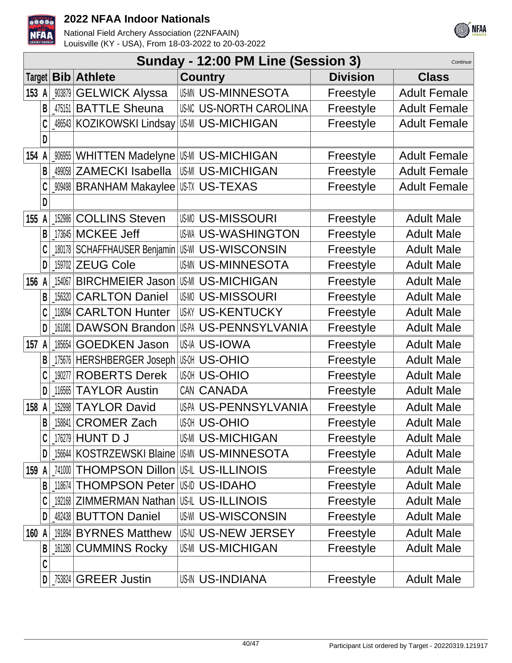



|       | Sunday - 12:00 PM Line (Session 3)<br>Continue |        |                                              |                          |  |                 |                     |  |
|-------|------------------------------------------------|--------|----------------------------------------------|--------------------------|--|-----------------|---------------------|--|
|       |                                                |        | Target <b>Bib Athlete</b>                    | <b>Country</b>           |  | <b>Division</b> | <b>Class</b>        |  |
| 153 A |                                                |        | <b>903879 GELWICK Alyssa</b>                 | <b>US-MINNESOTA</b>      |  | Freestyle       | <b>Adult Female</b> |  |
|       | B                                              |        | 475151 BATTLE Sheuna                         | <b>US-NORTH CAROLINA</b> |  | Freestyle       | <b>Adult Female</b> |  |
|       |                                                |        | 486543   KOZIKOWSKI Lindsay                  | US-MI US-MICHIGAN        |  | Freestyle       | <b>Adult Female</b> |  |
|       | D                                              |        |                                              |                          |  |                 |                     |  |
| 154   | A                                              | 906955 | WHITTEN Madelyne US-MICHIGAN                 |                          |  | Freestyle       | <b>Adult Female</b> |  |
|       | B                                              |        | 499058 ZAMECKI Isabella                      | <b>US-MI US-MICHIGAN</b> |  | Freestyle       | <b>Adult Female</b> |  |
|       |                                                |        | 009498 BRANHAM Makaylee                      | USTX US-TEXAS            |  | Freestyle       | <b>Adult Female</b> |  |
|       | D                                              |        |                                              |                          |  |                 |                     |  |
| 155 A |                                                |        | 152986 COLLINS Steven                        | <b>US-MISSOURI</b>       |  | Freestyle       | <b>Adult Male</b>   |  |
|       | B                                              |        | 173645   MCKEE Jeff                          | <b>US-WASHINGTON</b>     |  | Freestyle       | <b>Adult Male</b>   |  |
|       |                                                |        | 180178   SCHAFFHAUSER Benjamin               | US-WI US-WISCONSIN       |  | Freestyle       | <b>Adult Male</b>   |  |
|       | D                                              |        | 159702 ZEUG Cole                             | <b>USMN US-MINNESOTA</b> |  | Freestyle       | <b>Adult Male</b>   |  |
| 156 A |                                                |        | 154067 BIRCHMEIER Jason                      | <b>US-MI US-MICHIGAN</b> |  | Freestyle       | <b>Adult Male</b>   |  |
|       | B                                              |        | 156320 CARLTON Daniel                        | <b>US-MISSOURI</b>       |  | Freestyle       | <b>Adult Male</b>   |  |
|       |                                                |        | 118094 CARLTON Hunter                        | <b>US-KENTUCKY</b>       |  | Freestyle       | <b>Adult Male</b>   |  |
|       | D                                              |        | <b>_161081 DAWSON Brandon</b>                | US-PA US-PENNSYLVANIA    |  | Freestyle       | <b>Adult Male</b>   |  |
| 157   | A                                              |        | 185654 GOEDKEN Jason                         | <b>US-IA US-IOWA</b>     |  | Freestyle       | <b>Adult Male</b>   |  |
|       | B                                              |        | _175676   HERSHBERGER Joseph                 | <b>US-OHIO</b>           |  | Freestyle       | <b>Adult Male</b>   |  |
|       |                                                | 190277 | <b>ROBERTS Derek</b>                         | <b>US-OHIO</b>           |  | Freestyle       | <b>Adult Male</b>   |  |
|       | D                                              |        | 116565 TAYLOR Austin                         | CAN CANADA               |  | Freestyle       | <b>Adult Male</b>   |  |
| 158 A |                                                |        | 152998 TAYLOR David                          | US-PA US-PENNSYLVANIA    |  | Freestyle       | <b>Adult Male</b>   |  |
|       | B                                              |        | 158841 CROMER Zach                           | <b>US-OHIO</b>           |  | Freestyle       | <b>Adult Male</b>   |  |
|       |                                                |        | $176279$ HUNT D J                            | US-MICHIGAN              |  | Freestyle       | <b>Adult Male</b>   |  |
|       |                                                |        | 156644 KOSTRZEWSKI Blaine WM US-MINNESOTA    |                          |  | Freestyle       | <b>Adult Male</b>   |  |
| 159   | A                                              |        | 741000   THOMPSON Dillon   US-IL US-ILLINOIS |                          |  | Freestyle       | <b>Adult Male</b>   |  |
|       | B                                              |        | 118674   THOMPSON Peter   US-ID DAHO         |                          |  | Freestyle       | <b>Adult Male</b>   |  |
|       |                                                |        | 192168 ZIMMERMAN Nathan US-IL US-ILLINOIS    |                          |  | Freestyle       | <b>Adult Male</b>   |  |
|       |                                                |        | 482438 <b>BUTTON Daniel</b>                  | <b>US-WISCONSIN</b>      |  | Freestyle       | <b>Adult Male</b>   |  |
| 160   | A                                              |        | 191894 BYRNES Matthew                        | US-N US-NEW JERSEY       |  | Freestyle       | <b>Adult Male</b>   |  |
|       | B                                              |        | [161280 CUMMINS Rocky]                       | US-MICHIGAN              |  | Freestyle       | <b>Adult Male</b>   |  |
|       | C                                              |        |                                              |                          |  |                 |                     |  |
|       | D                                              | 753824 | <b>GREER Justin</b>                          | <b>US-IN US-INDIANA</b>  |  | Freestyle       | <b>Adult Male</b>   |  |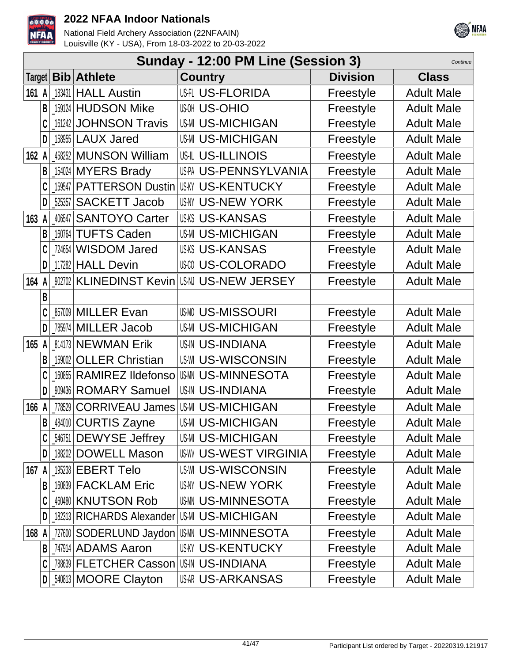



|          | Sunday - 12:00 PM Line (Session 3)<br>Continue |                           |                                      |                 |                   |  |  |  |
|----------|------------------------------------------------|---------------------------|--------------------------------------|-----------------|-------------------|--|--|--|
| Target   |                                                | <b>Bib</b> Athlete        | <b>Country</b>                       | <b>Division</b> | <b>Class</b>      |  |  |  |
| 161<br>A | 183431                                         | <b>HALL Austin</b>        | US-IL US-FLORIDA                     | Freestyle       | <b>Adult Male</b> |  |  |  |
| B        |                                                | 159124 HUDSON Mike        | <b>US-OHIO</b>                       | Freestyle       | <b>Adult Male</b> |  |  |  |
|          | 161242                                         | <b>JOHNSON Travis</b>     | <b>US-MICHIGAN</b>                   | Freestyle       | <b>Adult Male</b> |  |  |  |
| D        | 158955                                         | <b>LAUX Jared</b>         | <b>US-MI US-MICHIGAN</b>             | Freestyle       | <b>Adult Male</b> |  |  |  |
| 162 $A$  |                                                | 458252 MUNSON William     | <b>US-IL US-ILLINOIS</b>             | Freestyle       | <b>Adult Male</b> |  |  |  |
| B        |                                                | 154024 MYERS Brady        | US-PA US-PENNSYLVANIA                | Freestyle       | <b>Adult Male</b> |  |  |  |
|          |                                                | 159547 PATTERSON Dustin   | US-KY US-KENTUCKY                    | Freestyle       | <b>Adult Male</b> |  |  |  |
| D        | 525357                                         | <b>SACKETT Jacob</b>      | <b>US-NY US-NEW YORK</b>             | Freestyle       | <b>Adult Male</b> |  |  |  |
| 163<br>A | 406547                                         | <b>SANTOYO Carter</b>     | <b>US-KANSAS</b>                     | Freestyle       | <b>Adult Male</b> |  |  |  |
| B        |                                                | 160764 TUFTS Caden        | <b>US-MI US-MICHIGAN</b>             | Freestyle       | <b>Adult Male</b> |  |  |  |
|          |                                                | 724654 WISDOM Jared       | <b>USKS US-KANSAS</b>                | Freestyle       | <b>Adult Male</b> |  |  |  |
| D        |                                                | 117282 HALL Devin         | <b>US-COLORADO</b>                   | Freestyle       | <b>Adult Male</b> |  |  |  |
| 164      |                                                | 902702 KLINEDINST Kevin   | USN US-NEW JERSEY                    | Freestyle       | <b>Adult Male</b> |  |  |  |
| B        |                                                |                           |                                      |                 |                   |  |  |  |
|          |                                                | 857009 MILLER Evan        | <b>US-MISSOURI</b>                   | Freestyle       | <b>Adult Male</b> |  |  |  |
| D        |                                                | 785974 MILLER Jacob       | <b>US-MICHIGAN</b>                   | Freestyle       | <b>Adult Male</b> |  |  |  |
| 165<br>A |                                                | 814173 NEWMAN Erik        | <b>US-IN US-INDIANA</b>              | Freestyle       | <b>Adult Male</b> |  |  |  |
| B        | 159002                                         | <b>OLLER Christian</b>    | <b>US-WI US-WISCONSIN</b>            | Freestyle       | <b>Adult Male</b> |  |  |  |
|          | 160855                                         | <b>RAMIREZ Ildefonso</b>  | US-MINNESOTA                         | Freestyle       | <b>Adult Male</b> |  |  |  |
| D        | 909436                                         | <b>ROMARY Samuel</b>      | <b>US-IN US-INDIANA</b>              | Freestyle       | <b>Adult Male</b> |  |  |  |
| 166<br>A | 778529                                         | <b>CORRIVEAU James</b>    | US-MI US-MICHIGAN                    | Freestyle       | <b>Adult Male</b> |  |  |  |
| B        |                                                | _484010 CURTIS Zayne      | <b>US-MICHIGAN</b>                   | Freestyle       | <b>Adult Male</b> |  |  |  |
| C        |                                                | 546751 DEWYSE Jeffrey     | <b>US-MICHIGAN</b>                   | Freestyle       | <b>Adult Male</b> |  |  |  |
| D        |                                                | 188202 DOWELL Mason       | <b>US-WEST VIRGINIA</b>              | Freestyle       | <b>Adult Male</b> |  |  |  |
| 167<br>A |                                                | 195238 EBERT Telo         | <b>US-WISCONSIN</b>                  | Freestyle       | <b>Adult Male</b> |  |  |  |
| B        |                                                | 160839   FACKLAM Eric     | <b>US-NY US-NEW YORK</b>             | Freestyle       | <b>Adult Male</b> |  |  |  |
|          |                                                | 460480 KNUTSON Rob        | <b>US-MINNESOTA</b>                  | Freestyle       | <b>Adult Male</b> |  |  |  |
| D        |                                                | 182313 RICHARDS Alexander | <b>US-MI US-MICHIGAN</b>             | Freestyle       | <b>Adult Male</b> |  |  |  |
| 168<br>A |                                                |                           | 727600 SODERLUND Jaydon US-MINNESOTA | Freestyle       | <b>Adult Male</b> |  |  |  |
| B        |                                                | 747914 ADAMS Aaron        | <b>US-KY US-KENTUCKY</b>             | Freestyle       | <b>Adult Male</b> |  |  |  |
|          |                                                | 788639 FLETCHER Casson    | USIN US-INDIANA                      | Freestyle       | <b>Adult Male</b> |  |  |  |
| D        |                                                | 540813 MOORE Clayton      | US-ARKANSAS                          | Freestyle       | <b>Adult Male</b> |  |  |  |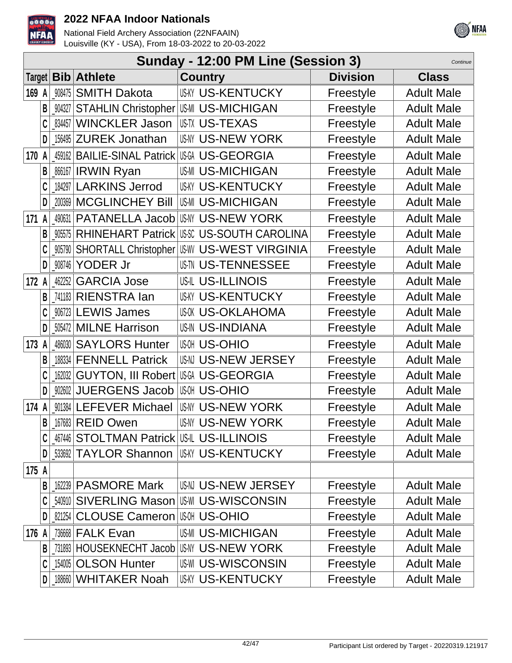



|                              | Sunday - 12:00 PM Line (Session 3)<br>Continue |        |                                           |                                                     |                 |                   |  |  |
|------------------------------|------------------------------------------------|--------|-------------------------------------------|-----------------------------------------------------|-----------------|-------------------|--|--|
| <b>Bib</b> Athlete<br>Target |                                                |        |                                           | <b>Country</b>                                      | <b>Division</b> | <b>Class</b>      |  |  |
| 169 A                        |                                                | 908475 | <b>SMITH Dakota</b>                       | <b>US-KY US-KENTUCKY</b>                            | Freestyle       | <b>Adult Male</b> |  |  |
|                              | B                                              | 904327 | <b>STAHLIN Christopher US-MICHIGAN</b>    |                                                     | Freestyle       | <b>Adult Male</b> |  |  |
|                              |                                                | 834457 | <b>WINCKLER Jason</b>                     | USTX US-TEXAS                                       | Freestyle       | <b>Adult Male</b> |  |  |
|                              | D                                              | 156495 | <b>ZUREK Jonathan</b>                     | <b>US-NY US-NEW YORK</b>                            | Freestyle       | <b>Adult Male</b> |  |  |
| 170 A                        |                                                | 459162 | <b>BAILIE-SINAL Patrick US-GEORGIA</b>    |                                                     | Freestyle       | <b>Adult Male</b> |  |  |
|                              | B                                              |        | 866167 <b>IRWIN Ryan</b>                  | <b>US-MI US-MICHIGAN</b>                            | Freestyle       | <b>Adult Male</b> |  |  |
|                              |                                                |        | 184297 LARKINS Jerrod                     | <b>US-KY US-KENTUCKY</b>                            | Freestyle       | <b>Adult Male</b> |  |  |
|                              | D                                              | 200369 | <b>MCGLINCHEY Bill</b>                    | <b>US-MICHIGAN</b>                                  | Freestyle       | <b>Adult Male</b> |  |  |
| 171 A                        |                                                | 490631 | PATANELLA Jacob                           | <b>US-NY US-NEW YORK</b>                            | Freestyle       | <b>Adult Male</b> |  |  |
|                              | B                                              | 905575 |                                           | <b>RHINEHART Patrick US-SOUTH CAROLINA</b>          | Freestyle       | <b>Adult Male</b> |  |  |
|                              |                                                | 905790 |                                           | SHORTALL Christopher   US-WEST VIRGINIA             | Freestyle       | <b>Adult Male</b> |  |  |
|                              | D                                              | 908746 | YODER Jr                                  | <b>US-TN US-TENNESSEE</b>                           | Freestyle       | <b>Adult Male</b> |  |  |
| 172 A                        |                                                | 462252 | <b>GARCIA Jose</b>                        | <b>US-IL US-ILLINOIS</b>                            | Freestyle       | <b>Adult Male</b> |  |  |
|                              | B                                              |        | 741183 RIENSTRA Ian                       | <b>US-KENTUCKY</b>                                  | Freestyle       | <b>Adult Male</b> |  |  |
|                              | C                                              |        | 906723 LEWIS James                        | <b>US-OKLAHOMA</b>                                  | Freestyle       | <b>Adult Male</b> |  |  |
|                              | D                                              |        | 505472 MILNE Harrison                     | <b>US-IN US-INDIANA</b>                             | Freestyle       | <b>Adult Male</b> |  |  |
| 173                          | A                                              | 486030 | <b>SAYLORS Hunter</b>                     | <b>US-OHIO</b>                                      | Freestyle       | <b>Adult Male</b> |  |  |
|                              | B                                              | 188334 | <b>FENNELL Patrick</b>                    | US-N US-NEW JERSEY                                  | Freestyle       | <b>Adult Male</b> |  |  |
|                              |                                                | 162032 | GUYTON, III Robert USG US-GEORGIA         |                                                     | Freestyle       | <b>Adult Male</b> |  |  |
|                              | D                                              | 902602 | <b>JUERGENS Jacob</b>                     | <b>US-OHIO</b>                                      | Freestyle       | <b>Adult Male</b> |  |  |
| 174 A                        |                                                | 901384 | <b>LEFEVER Michael</b>                    | <b>US-NY US-NEW YORK</b>                            | Freestyle       | <b>Adult Male</b> |  |  |
|                              | B                                              |        | _167683 REID Owen                         | <b>US-NY US-NEW YORK</b>                            | Freestyle       | <b>Adult Male</b> |  |  |
|                              | C                                              |        | 467446 STOLTMAN Patrick US-IL US-ILLINOIS |                                                     | Freestyle       | <b>Adult Male</b> |  |  |
|                              | D                                              |        |                                           | <b>_533692   TAYLOR Shannon   US-KY US-KENTUCKY</b> | Freestyle       | <b>Adult Male</b> |  |  |
| 175 A                        |                                                |        |                                           |                                                     |                 |                   |  |  |
|                              | B                                              | 162239 | <b>PASMORE Mark</b>                       | US-N US-NEW JERSEY                                  | Freestyle       | <b>Adult Male</b> |  |  |
|                              |                                                |        |                                           | 540910 SIVERLING Mason US-WISCONSIN                 | Freestyle       | <b>Adult Male</b> |  |  |
|                              |                                                |        | 821254 CLOUSE Cameron US-0HIO             |                                                     | Freestyle       | <b>Adult Male</b> |  |  |
| 176 A                        |                                                |        | 736668 <b>FALK Evan</b>                   | <b>US-MICHIGAN</b>                                  | Freestyle       | <b>Adult Male</b> |  |  |
|                              | B                                              | 731893 |                                           | HOUSEKNECHT Jacob US-N' US-NEW YORK                 | Freestyle       | <b>Adult Male</b> |  |  |
|                              | C                                              |        | 154005 OLSON Hunter                       | <b>US-WISCONSIN</b>                                 | Freestyle       | <b>Adult Male</b> |  |  |
|                              |                                                |        | 188660 WHITAKER Noah                      | <b>US-KENTUCKY</b>                                  | Freestyle       | <b>Adult Male</b> |  |  |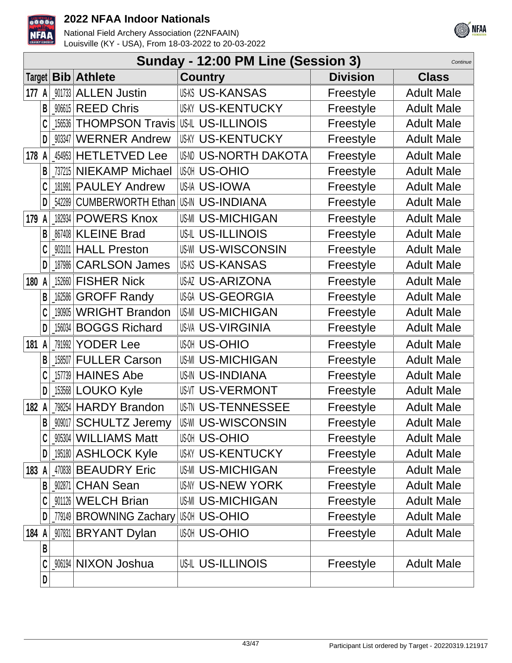



|       | Sunday - 12:00 PM Line (Session 3)<br>Continue |                                                                                     |                           |                 |                   |  |  |  |  |
|-------|------------------------------------------------|-------------------------------------------------------------------------------------|---------------------------|-----------------|-------------------|--|--|--|--|
|       | Target $ $ <b>Bib</b>                          | <b>Athlete</b>                                                                      | <b>Country</b>            | <b>Division</b> | <b>Class</b>      |  |  |  |  |
| 177 A |                                                | <b>ALLEN Justin</b><br>901733                                                       | <b>US-KANSAS</b>          | Freestyle       | <b>Adult Male</b> |  |  |  |  |
|       | B                                              | <b>REED Chris</b><br>906615                                                         | <b>USKY US-KENTUCKY</b>   | Freestyle       | <b>Adult Male</b> |  |  |  |  |
|       |                                                | <b>THOMPSON Travis US-IL US-ILLINOIS</b><br>156536                                  |                           | Freestyle       | <b>Adult Male</b> |  |  |  |  |
|       | D                                              | <b>WERNER Andrew</b><br>903347                                                      | <b>US-KENTUCKY</b>        | Freestyle       | <b>Adult Male</b> |  |  |  |  |
| 178 A |                                                | <b>HETLETVED Lee</b><br>454953                                                      | <b>US-NORTH DAKOTA</b>    | Freestyle       | <b>Adult Male</b> |  |  |  |  |
|       | B                                              | <b>NIEKAMP Michael</b><br>737215                                                    | <b>US-OHIO</b>            | Freestyle       | <b>Adult Male</b> |  |  |  |  |
|       | C                                              | <b>PAULEY Andrew</b><br>181991                                                      | US-IA US-IOWA             | Freestyle       | <b>Adult Male</b> |  |  |  |  |
|       | D                                              | <b>CUMBERWORTH Ethan</b><br>542289                                                  | US-IN US-INDIANA          | Freestyle       | <b>Adult Male</b> |  |  |  |  |
| 179   |                                                | <b>POWERS Knox</b><br>182934                                                        | <b>US-MI US-MICHIGAN</b>  | Freestyle       | <b>Adult Male</b> |  |  |  |  |
|       | B                                              | <b>KLEINE Brad</b><br>867408                                                        | US-IL US-ILLINOIS         | Freestyle       | <b>Adult Male</b> |  |  |  |  |
|       |                                                | <b>HALL Preston</b><br>903101                                                       | <b>US-WI US-WISCONSIN</b> | Freestyle       | <b>Adult Male</b> |  |  |  |  |
|       | D                                              | <b>CARLSON James</b><br>187986                                                      | <b>US-KANSAS</b>          | Freestyle       | <b>Adult Male</b> |  |  |  |  |
| 180   | A                                              | <b>FISHER Nick</b><br>152660                                                        | <b>US-ARIZONA</b>         | Freestyle       | <b>Adult Male</b> |  |  |  |  |
|       | B                                              | <b>GROFF Randy</b><br>$\left[ \begin{smallmatrix} 162586 \end{smallmatrix} \right]$ | <b>USGA US-GEORGIA</b>    | Freestyle       | <b>Adult Male</b> |  |  |  |  |
|       |                                                | <b>WRIGHT Brandon</b><br>190905                                                     | <b>US-MICHIGAN</b>        | Freestyle       | <b>Adult Male</b> |  |  |  |  |
|       | D                                              | <b>BOGGS Richard</b><br>156034                                                      | <b>US-VA US-VIRGINIA</b>  | Freestyle       | <b>Adult Male</b> |  |  |  |  |
| 181   | A                                              | <b>YODER Lee</b><br>791992                                                          | <b>US-OHIO</b>            | Freestyle       | <b>Adult Male</b> |  |  |  |  |
|       | B                                              | <b>FULLER Carson</b><br>158507                                                      | <b>US-MI US-MICHIGAN</b>  | Freestyle       | <b>Adult Male</b> |  |  |  |  |
|       |                                                | <b>HAINES Abe</b><br>157739                                                         | <b>US-IN US-INDIANA</b>   | Freestyle       | <b>Adult Male</b> |  |  |  |  |
|       | D                                              | 153568 LOUKO Kyle                                                                   | <b>US-VERMONT</b>         | Freestyle       | <b>Adult Male</b> |  |  |  |  |
| 182 A |                                                | <b>HARDY Brandon</b><br>798254                                                      | <b>US TN US-TENNESSEE</b> | Freestyle       | <b>Adult Male</b> |  |  |  |  |
|       | R                                              | _909017   SCHULTZ Jeremy                                                            | US-WI US-WISCONSIN        | Freestyle       | <b>Adult Male</b> |  |  |  |  |
|       | C                                              | 905304   WILLIAMS Matt                                                              | แฒ US-OHIO                | Freestyle       | <b>Adult Male</b> |  |  |  |  |
|       | D                                              | 195180 ASHLOCK Kyle                                                                 | <b>US-KY US-KENTUCKY</b>  | Freestyle       | <b>Adult Male</b> |  |  |  |  |
| 183 A |                                                | 470838 BEAUDRY Eric                                                                 | <b>US-MI US-MICHIGAN</b>  | Freestyle       | <b>Adult Male</b> |  |  |  |  |
|       | B <sub>1</sub>                                 | <b>CHAN Sean</b><br>902871                                                          | <b>US-NY US-NEW YORK</b>  | Freestyle       | <b>Adult Male</b> |  |  |  |  |
|       |                                                | 901126 WELCH Brian                                                                  | <b>US-MI US-MICHIGAN</b>  | Freestyle       | <b>Adult Male</b> |  |  |  |  |
|       | D                                              | _779149 BROWNING Zachary                                                            | <b>US-OHIO</b>            | Freestyle       | <b>Adult Male</b> |  |  |  |  |
| 184 A |                                                | 907831<br><b>BRYANT Dylan</b>                                                       | <b>US-OHIO</b>            | Freestyle       | <b>Adult Male</b> |  |  |  |  |
|       | B                                              |                                                                                     |                           |                 |                   |  |  |  |  |
|       |                                                | <b>NIXON Joshua</b><br>906194                                                       | US-IL US-ILLINOIS         | Freestyle       | <b>Adult Male</b> |  |  |  |  |
|       | D                                              |                                                                                     |                           |                 |                   |  |  |  |  |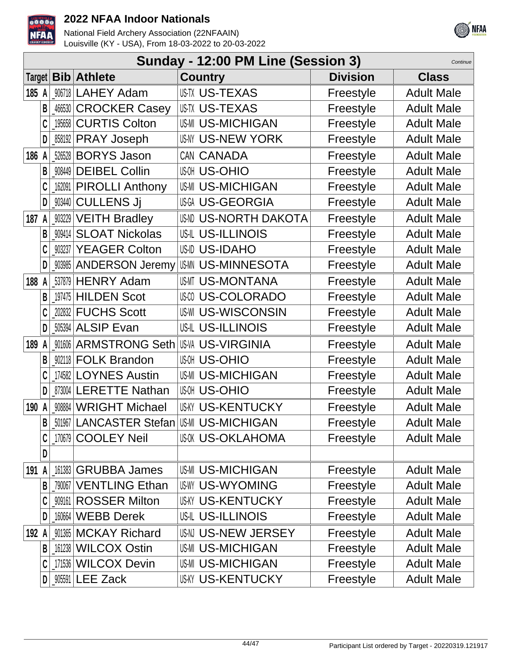



|          | Sunday - 12:00 PM Line (Session 3)<br>Continue |  |                                              |                          |                 |                   |  |  |
|----------|------------------------------------------------|--|----------------------------------------------|--------------------------|-----------------|-------------------|--|--|
|          |                                                |  | Target <b>Bib Athlete</b>                    | <b>Country</b>           | <b>Division</b> | <b>Class</b>      |  |  |
| 185 $A$  |                                                |  | 906718 LAHEY Adam                            | <b>USTX US-TEXAS</b>     | Freestyle       | <b>Adult Male</b> |  |  |
|          | B                                              |  | 466530 CROCKER Casey                         | US-TX US-TEXAS           | Freestyle       | <b>Adult Male</b> |  |  |
|          |                                                |  | 195658 CURTIS Colton                         | <b>US-MICHIGAN</b>       | Freestyle       | <b>Adult Male</b> |  |  |
|          | D                                              |  | <b>_858192 PRAY Joseph</b>                   | US-NEW YORK              | Freestyle       | <b>Adult Male</b> |  |  |
| 186<br>A |                                                |  | 526528 BORYS Jason                           | CAN CANADA               | Freestyle       | <b>Adult Male</b> |  |  |
|          | B                                              |  | 908449 DEIBEL Collin                         | <b>US-OHIO</b>           | Freestyle       | <b>Adult Male</b> |  |  |
|          |                                                |  | 162091 PIROLLI Anthony                       | <b>US-MICHIGAN</b>       | Freestyle       | <b>Adult Male</b> |  |  |
|          | D                                              |  | _903440 CULLENS Jj                           | US-GEORGIA               | Freestyle       | <b>Adult Male</b> |  |  |
| 187 $A$  |                                                |  | _903229 VEITH Bradley                        | <b>US-NORTH DAKOTA</b>   | Freestyle       | <b>Adult Male</b> |  |  |
|          | B                                              |  | <b>909414 SLOAT Nickolas</b>                 | <b>US-IL US-ILLINOIS</b> | Freestyle       | <b>Adult Male</b> |  |  |
|          |                                                |  | 903237 YEAGER Colton                         | US-ID US-IDAHO           | Freestyle       | <b>Adult Male</b> |  |  |
|          | D                                              |  | <b>903985 ANDERSON Jeremy</b>                | US-MINNESOTA             | Freestyle       | <b>Adult Male</b> |  |  |
| 188 $A$  |                                                |  | $537879$ HENRY Adam                          | <b>US-MI US-MONTANA</b>  | Freestyle       | <b>Adult Male</b> |  |  |
|          | B                                              |  | $197475$ HILDEN Scot                         | <b>US-COLORADO</b>       | Freestyle       | <b>Adult Male</b> |  |  |
|          |                                                |  | 202832 FUCHS Scott                           | <b>US-WISCONSIN</b>      | Freestyle       | <b>Adult Male</b> |  |  |
|          | D                                              |  | <b>505394 ALSIP Evan</b>                     | US-IL US-ILLINOIS        | Freestyle       | <b>Adult Male</b> |  |  |
| 189      | A                                              |  | 901606 ARMSTRONG Seth                        | <b>USVA US-VIRGINIA</b>  | Freestyle       | <b>Adult Male</b> |  |  |
|          |                                                |  | 902118 FOLK Brandon                          | <b>US-OHIO</b>           | Freestyle       | <b>Adult Male</b> |  |  |
|          |                                                |  | 174582 LOYNES Austin                         | <b>US-MICHIGAN</b>       | Freestyle       | <b>Adult Male</b> |  |  |
|          | D                                              |  | 873004 LERETTE Nathan                        | <b>US-OHIO</b>           | Freestyle       | <b>Adult Male</b> |  |  |
| 190 A    |                                                |  | 908884 WRIGHT Michael                        | <b>US-KY US-KENTUCKY</b> | Freestyle       | <b>Adult Male</b> |  |  |
|          | B                                              |  | <b>M967 LANCASTER Stefan USM US-MICHIGAN</b> |                          | Freestyle       | <b>Adult Male</b> |  |  |
|          |                                                |  | 170679 COOLEY Neil                           | US-OKLAHOMA              | Freestyle       | <b>Adult Male</b> |  |  |
|          | D                                              |  |                                              |                          |                 |                   |  |  |
| 191 A    |                                                |  | 161383 GRUBBA James                          | <b>US-MICHIGAN</b>       | Freestyle       | <b>Adult Male</b> |  |  |
|          | B                                              |  | 790067 VENTLING Ethan                        | <b>US-WYOMING</b>        | Freestyle       | <b>Adult Male</b> |  |  |
|          |                                                |  | 909161 ROSSER Milton                         | <b>US-KENTUCKY</b>       | Freestyle       | <b>Adult Male</b> |  |  |
|          |                                                |  | 160664   WEBB Derek                          | US-IL US-ILLINOIS        | Freestyle       | <b>Adult Male</b> |  |  |
| 192      | A                                              |  | 901365 MCKAY Richard                         | US-N US-NEW JERSEY       | Freestyle       | <b>Adult Male</b> |  |  |
|          | B                                              |  | 161238 WILCOX Ostin                          | <b>US-MI US-MICHIGAN</b> | Freestyle       | <b>Adult Male</b> |  |  |
|          |                                                |  | 171536 WILCOX Devin                          | <b>US-MICHIGAN</b>       | Freestyle       | <b>Adult Male</b> |  |  |
|          | D                                              |  | _905591 LEE Zack                             | <b>US-KY US-KENTUCKY</b> | Freestyle       | <b>Adult Male</b> |  |  |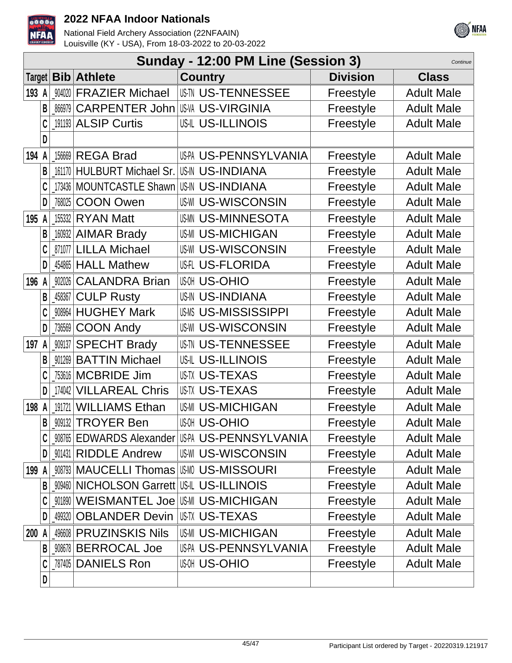



|            | Sunday - 12:00 PM Line (Session 3)<br>Continue |        |                                               |                                                    |                 |                   |  |  |  |
|------------|------------------------------------------------|--------|-----------------------------------------------|----------------------------------------------------|-----------------|-------------------|--|--|--|
| Target     |                                                |        | <b>Bib Athlete</b>                            | <b>Country</b>                                     | <b>Division</b> | <b>Class</b>      |  |  |  |
| 193 A      |                                                | 904020 | <b>FRAZIER Michael</b>                        | <b>US-TENNESSEE</b>                                | Freestyle       | <b>Adult Male</b> |  |  |  |
|            | B                                              | 866979 | <b>CARPENTER John</b>                         | <b>US-VA US-VIRGINIA</b>                           | Freestyle       | <b>Adult Male</b> |  |  |  |
|            | C                                              |        | 191193 ALSIP Curtis                           | <b>US-IL US-ILLINOIS</b>                           | Freestyle       | <b>Adult Male</b> |  |  |  |
|            | D                                              |        |                                               |                                                    |                 |                   |  |  |  |
| 194 A      |                                                |        | 156669 REGA Brad                              | US-PA US-PENNSYLVANIA                              | Freestyle       | <b>Adult Male</b> |  |  |  |
|            | B                                              |        | 161170 HULBURT Michael Sr.                    | <b>US-IN US-INDIANA</b>                            | Freestyle       | <b>Adult Male</b> |  |  |  |
|            |                                                |        | 173436   MOUNTCASTLE Shawn   US-IN US-INDIANA |                                                    | Freestyle       | <b>Adult Male</b> |  |  |  |
|            | D                                              | 768025 | <b>COON Owen</b>                              | <b>US-WISCONSIN</b>                                | Freestyle       | <b>Adult Male</b> |  |  |  |
| 195 A      |                                                |        | 155332 <b>RYAN Matt</b>                       | <b>USMN US-MINNESOTA</b>                           | Freestyle       | <b>Adult Male</b> |  |  |  |
|            | B                                              |        | 160932 AIMAR Brady                            | <b>US-MI US-MICHIGAN</b>                           | Freestyle       | <b>Adult Male</b> |  |  |  |
|            | C                                              |        | 871077 LILLA Michael                          | <b>US-WISCONSIN</b>                                | Freestyle       | <b>Adult Male</b> |  |  |  |
|            | D                                              |        | 454865   HALL Mathew                          | <b>US-FLORIDA</b>                                  | Freestyle       | <b>Adult Male</b> |  |  |  |
| 196 A      |                                                | 902026 | <b>CALANDRA Brian</b>                         | <b>US-OHIO</b>                                     | Freestyle       | <b>Adult Male</b> |  |  |  |
|            | B                                              |        | 458367 CULP Rusty                             | <b>US-IN US-INDIANA</b>                            | Freestyle       | <b>Adult Male</b> |  |  |  |
|            | C                                              | 908964 | <b>HUGHEY Mark</b>                            | <b>USMS US-MISSISSIPPI</b>                         | Freestyle       | <b>Adult Male</b> |  |  |  |
|            | D                                              | 736569 | <b>COON Andy</b>                              | <b>US-WISCONSIN</b>                                | Freestyle       | <b>Adult Male</b> |  |  |  |
| 197        | A                                              |        | 909137 SPECHT Brady                           | <b>US TN US-TENNESSEE</b>                          | Freestyle       | <b>Adult Male</b> |  |  |  |
|            | B                                              | 901269 | <b>BATTIN Michael</b>                         | <b>US-L US-ILLINOIS</b>                            | Freestyle       | <b>Adult Male</b> |  |  |  |
|            | C                                              |        | 753616 MCBRIDE Jim                            | <b>US-TX US-TEXAS</b>                              | Freestyle       | <b>Adult Male</b> |  |  |  |
|            | D                                              | 174042 | <b>VILLAREAL Chris</b>                        | <b>US-TX US-TEXAS</b>                              | Freestyle       | <b>Adult Male</b> |  |  |  |
| 198 A      |                                                | 191721 | <b>WILLIAMS Ethan</b>                         | <b>US-MI US-MICHIGAN</b>                           | Freestyle       | <b>Adult Male</b> |  |  |  |
|            | B                                              |        | <b>909132 TROYER Ben</b>                      | <b>US-OHIO</b>                                     | Freestyle       | <b>Adult Male</b> |  |  |  |
|            | C                                              |        |                                               | <b>WWWS EDWARDS Alexander USPA US-PENNSYLVANIA</b> | Freestyle       | <b>Adult Male</b> |  |  |  |
|            | D                                              |        | 901431 RIDDLE Andrew                          | <b>US-WISCONSIN</b>                                | Freestyle       | <b>Adult Male</b> |  |  |  |
| 199 A      |                                                |        | 008793   MAUCELLI Thomas   USMO US-MISSOURI   |                                                    | Freestyle       | <b>Adult Male</b> |  |  |  |
|            | B                                              |        | 909460 NICHOLSON Garrett US-IL US-ILLINOIS    |                                                    | Freestyle       | <b>Adult Male</b> |  |  |  |
|            |                                                |        | 001890   WEISMANTEL Joe   US-MICHIGAN         |                                                    | Freestyle       | <b>Adult Male</b> |  |  |  |
|            | D                                              |        | 499320 OBLANDER Devin                         | US-TX US-TEXAS                                     | Freestyle       | <b>Adult Male</b> |  |  |  |
| <b>200</b> |                                                |        | 496608 PRUZINSKIS Nils                        | <b>US-MICHIGAN</b>                                 | Freestyle       | <b>Adult Male</b> |  |  |  |
|            | B                                              |        | 908678 BERROCAL Joe                           | US-PA US-PENNSYLVANIA                              | Freestyle       | <b>Adult Male</b> |  |  |  |
|            |                                                |        | _787405   DANIELS Ron                         | <b>US-OHIO</b>                                     | Freestyle       | <b>Adult Male</b> |  |  |  |
|            | D                                              |        |                                               |                                                    |                 |                   |  |  |  |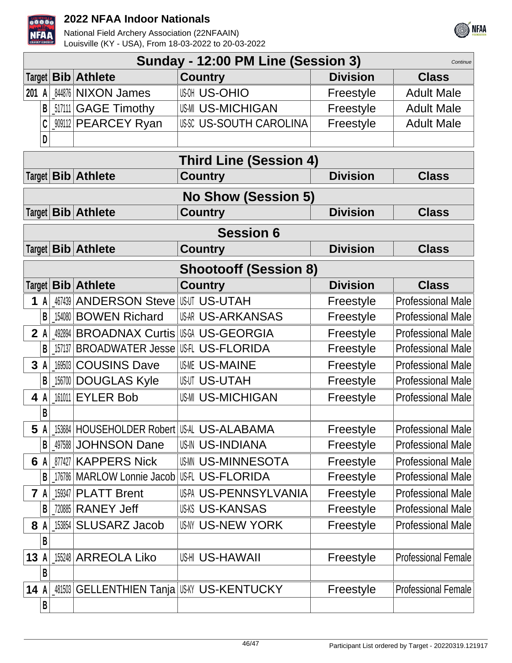



|                               | Sunday - 12:00 PM Line (Session 3)<br>Continue |        |                                             |                                            |                 |                            |  |  |
|-------------------------------|------------------------------------------------|--------|---------------------------------------------|--------------------------------------------|-----------------|----------------------------|--|--|
| Target                        |                                                |        | <b>Bib Athlete</b>                          | Country                                    | <b>Division</b> | <b>Class</b>               |  |  |
| 201                           | A                                              |        | 844876 NIXON James                          | <b>US-OHIO</b>                             | Freestyle       | <b>Adult Male</b>          |  |  |
|                               | B                                              |        | 517111 GAGE Timothy                         | <b>US-MI US-MICHIGAN</b>                   | Freestyle       | <b>Adult Male</b>          |  |  |
|                               |                                                |        | _909112 PEARCEY Ryan                        | USSC US-SOUTH CAROLINA                     | Freestyle       | <b>Adult Male</b>          |  |  |
|                               | D                                              |        |                                             |                                            |                 |                            |  |  |
| <b>Third Line (Session 4)</b> |                                                |        |                                             |                                            |                 |                            |  |  |
|                               |                                                |        | Target <b>Bib Athlete</b>                   | Country                                    | <b>Division</b> | <b>Class</b>               |  |  |
|                               |                                                |        |                                             | <b>No Show (Session 5)</b>                 |                 |                            |  |  |
|                               |                                                |        | Target   Bib   Athlete                      | <b>Country</b>                             | <b>Division</b> | <b>Class</b>               |  |  |
|                               |                                                |        |                                             | <b>Session 6</b>                           |                 |                            |  |  |
|                               |                                                |        | Target   Bib   Athlete                      | <b>Country</b>                             | <b>Division</b> | <b>Class</b>               |  |  |
|                               | <b>Shootooff (Session 8)</b>                   |        |                                             |                                            |                 |                            |  |  |
| Target                        |                                                |        | <b>Bib</b> Athlete                          | <b>Country</b>                             | <b>Division</b> | <b>Class</b>               |  |  |
| 1                             | A                                              |        | _467439   ANDERSON Steve   US-UT US-UT AH   |                                            | Freestyle       | <b>Professional Male</b>   |  |  |
|                               | B                                              |        | 154080 BOWEN Richard                        | <b>US-ARKANSAS</b>                         | Freestyle       | <b>Professional Male</b>   |  |  |
| 2A                            |                                                |        | 492894 BROADNAX Curtis USGA US-GEORGIA      |                                            | Freestyle       | <b>Professional Male</b>   |  |  |
|                               | B                                              |        | 157137 BROADWATER Jesse US-FL US-FLORIDA    |                                            | Freestyle       | <b>Professional Male</b>   |  |  |
| 3A                            |                                                | 169503 | <b>COUSINS Dave</b>                         | <b>US-MAINE</b>                            | Freestyle       | <b>Professional Male</b>   |  |  |
|                               | $\mathsf{B}$                                   |        | 156700 DOUGLAS Kyle                         | US-UTAH                                    | Freestyle       | <b>Professional Male</b>   |  |  |
| 4 A                           |                                                |        | 161011 EYLER Bob                            | <b>US-MICHIGAN</b>                         | Freestyle       | <b>Professional Male</b>   |  |  |
|                               |                                                |        |                                             |                                            |                 |                            |  |  |
|                               |                                                |        | 5 A 153684 HOUSEHOLDER Robert US-ALABAMA    |                                            | Freestyle       | <b>Professional Male</b>   |  |  |
|                               | B                                              |        | 497588 JOHNSON Dane                         | <b>US-IN US-INDIANA</b>                    | Freestyle       | <b>Professional Male</b>   |  |  |
| 6 A                           |                                                |        | 877427 KAPPERS Nick                         | <b>US-MINNESOTA</b>                        | Freestyle       | <b>Professional Male</b>   |  |  |
|                               | B                                              |        | 176786 MARLOW Lonnie Jacob US-FL US-FLORIDA |                                            | Freestyle       | <b>Professional Male</b>   |  |  |
| <b>7</b> A                    |                                                | 159347 | <b>PLATT Brent</b>                          | US-PA US-PENNSYLVANIA                      | Freestyle       | <b>Professional Male</b>   |  |  |
|                               | B                                              |        | [720885   RANEY Jeff                        | <b>US-KANSAS</b>                           | Freestyle       | <b>Professional Male</b>   |  |  |
| 8 A                           |                                                |        | 153854 SLUSARZ Jacob                        | US-NY US-NEW YORK                          | Freestyle       | <b>Professional Male</b>   |  |  |
|                               | B                                              |        |                                             |                                            |                 |                            |  |  |
| 13                            | A                                              |        | 155248 ARREOLA Liko                         | US-HAWAII                                  | Freestyle       | <b>Professional Female</b> |  |  |
|                               | В                                              |        |                                             |                                            |                 |                            |  |  |
| 14A                           |                                                |        |                                             | 481503 GELLENTHIEN Tanja US AY US-KENTUCKY | Freestyle       | <b>Professional Female</b> |  |  |
|                               | B                                              |        |                                             |                                            |                 |                            |  |  |